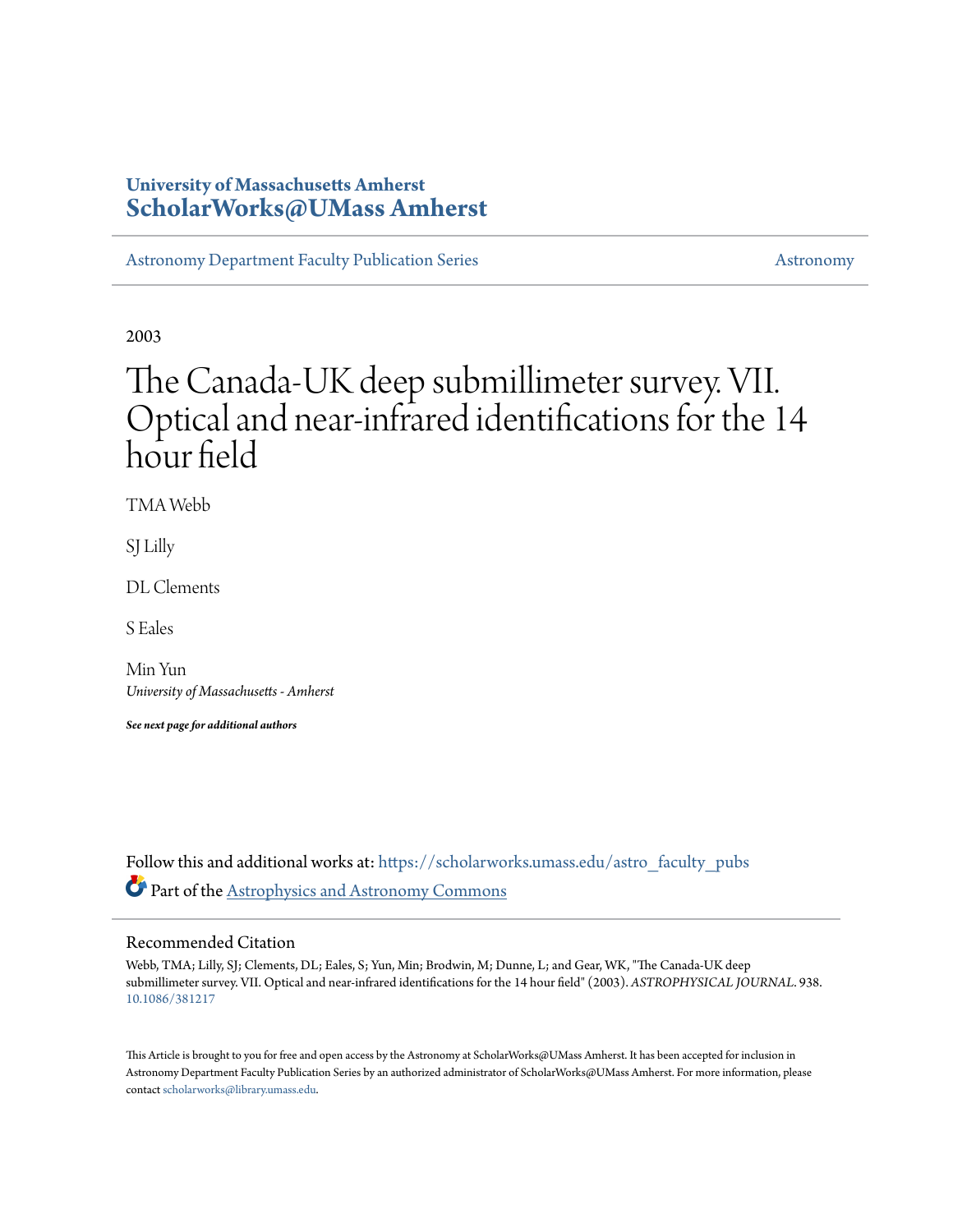# **University of Massachusetts Amherst [ScholarWorks@UMass Amherst](https://scholarworks.umass.edu?utm_source=scholarworks.umass.edu%2Fastro_faculty_pubs%2F938&utm_medium=PDF&utm_campaign=PDFCoverPages)**

[Astronomy Department Faculty Publication Series](https://scholarworks.umass.edu/astro_faculty_pubs?utm_source=scholarworks.umass.edu%2Fastro_faculty_pubs%2F938&utm_medium=PDF&utm_campaign=PDFCoverPages) [Astronomy](https://scholarworks.umass.edu/astro?utm_source=scholarworks.umass.edu%2Fastro_faculty_pubs%2F938&utm_medium=PDF&utm_campaign=PDFCoverPages) Astronomy

2003

# The Canada-UK deep submillimeter survey. VII. Optical and near-infrared identifications for the 14 hour field

TMA Webb

SJ Lilly

DL Clements

S Eales

Min Yun *University of Massachusetts - Amherst*

*See next page for additional authors*

Follow this and additional works at: [https://scholarworks.umass.edu/astro\\_faculty\\_pubs](https://scholarworks.umass.edu/astro_faculty_pubs?utm_source=scholarworks.umass.edu%2Fastro_faculty_pubs%2F938&utm_medium=PDF&utm_campaign=PDFCoverPages) Part of the [Astrophysics and Astronomy Commons](http://network.bepress.com/hgg/discipline/123?utm_source=scholarworks.umass.edu%2Fastro_faculty_pubs%2F938&utm_medium=PDF&utm_campaign=PDFCoverPages)

# Recommended Citation

Webb, TMA; Lilly, SJ; Clements, DL; Eales, S; Yun, Min; Brodwin, M; Dunne, L; and Gear, WK, "The Canada-UK deep submillimeter survey. VII. Optical and near-infrared identifications for the 14 hour field" (2003). *ASTROPHYSICAL JOURNAL*. 938. <10.1086/381217>

This Article is brought to you for free and open access by the Astronomy at ScholarWorks@UMass Amherst. It has been accepted for inclusion in Astronomy Department Faculty Publication Series by an authorized administrator of ScholarWorks@UMass Amherst. For more information, please contact [scholarworks@library.umass.edu](mailto:scholarworks@library.umass.edu).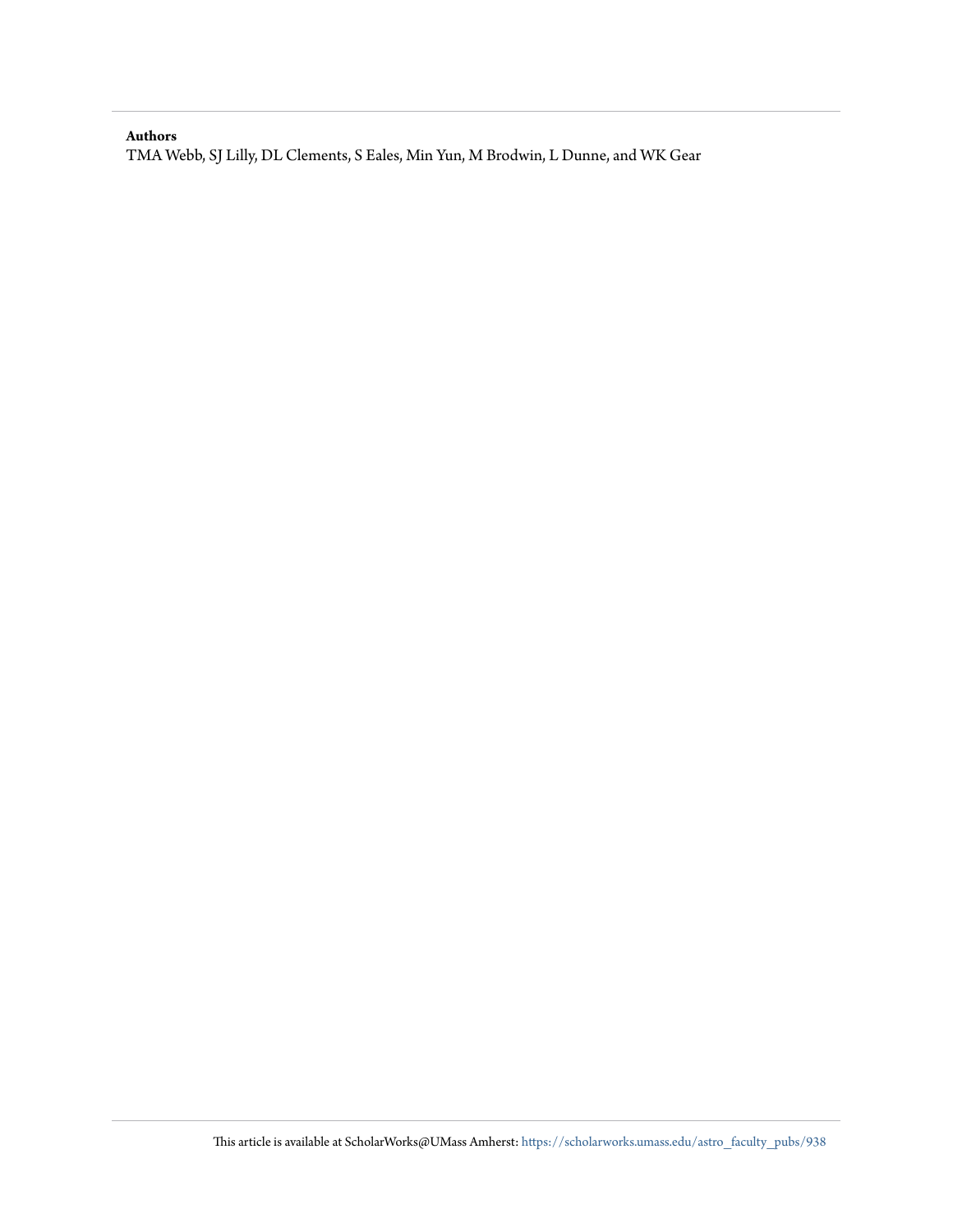# **Authors**

TMA Webb, SJ Lilly, DL Clements, S Eales, Min Yun, M Brodwin, L Dunne, and WK Gear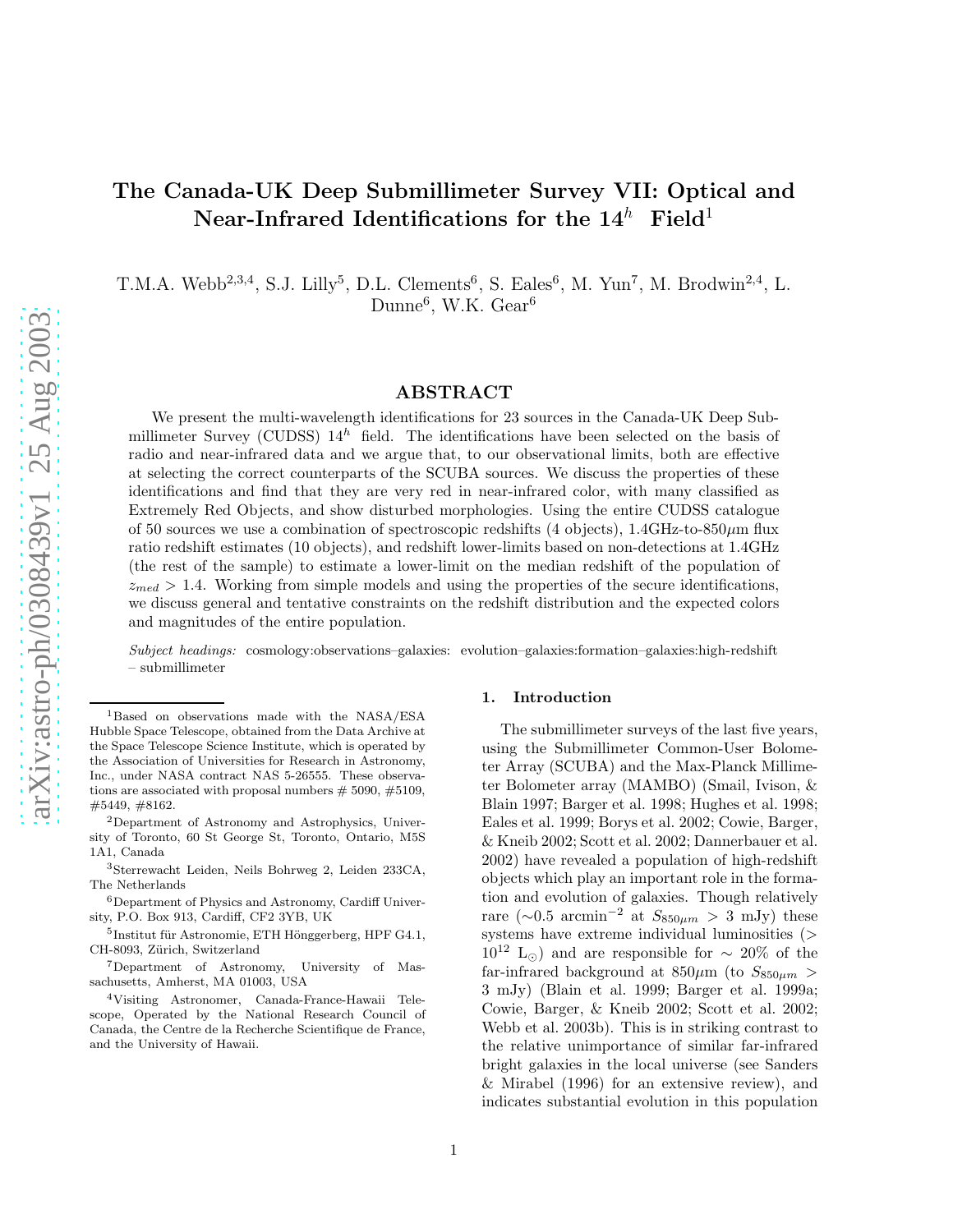# The Canada-UK Deep Submillimeter Survey VII: Optical and Near-Infrared Identifications for the  $14^h$  Field<sup>1</sup>

T.M.A. Webb<sup>2,3,4</sup>, S.J. Lilly<sup>5</sup>, D.L. Clements<sup>6</sup>, S. Eales<sup>6</sup>, M. Yun<sup>7</sup>, M. Brodwin<sup>2,4</sup>, L. Dunne<sup>6</sup>, W.K. Gear<sup>6</sup>

# ABSTRACT

We present the multi-wavelength identifications for 23 sources in the Canada-UK Deep Submillimeter Survey (CUDSS)  $14^h$  field. The identifications have been selected on the basis of radio and near-infrared data and we argue that, to our observational limits, both are effective at selecting the correct counterparts of the SCUBA sources. We discuss the properties of these identifications and find that they are very red in near-infrared color, with many classified as Extremely Red Objects, and show disturbed morphologies. Using the entire CUDSS catalogue of 50 sources we use a combination of spectroscopic redshifts (4 objects),  $1.4\text{GHz-to-}850\,\mu\text{m}$  flux ratio redshift estimates (10 objects), and redshift lower-limits based on non-detections at 1.4GHz (the rest of the sample) to estimate a lower-limit on the median redshift of the population of  $z_{med} > 1.4$ . Working from simple models and using the properties of the secure identifications, we discuss general and tentative constraints on the redshift distribution and the expected colors and magnitudes of the entire population.

Subject headings: cosmology:observations–galaxies: evolution–galaxies:formation–galaxies:high-redshift – submillimeter

#### 1. Introduction

The submillimeter surveys of the last five years, using the Submillimeter Common-User Bolometer Array (SCUBA) and the Max-Planck Millimeter Bolometer array (MAMBO) (Smail, Ivison, & Blain 1997; Barger et al. 1998; Hughes et al. 1998; Eales et al. 1999; Borys et al. 2002; Cowie, Barger, & Kneib 2002; Scott et al. 2002; Dannerbauer et al. 2002) have revealed a population of high-redshift objects which play an important role in the formation and evolution of galaxies. Though relatively rare (∼0.5 arcmin<sup>-2</sup> at  $S_{850\mu m} > 3$  mJy) these systems have extreme individual luminosities (>  $10^{12}$  L<sub>☉</sub>) and are responsible for ~ 20% of the far-infrared background at  $850\mu m$  (to  $S_{850\mu m}$ ) 3 mJy) (Blain et al. 1999; Barger et al. 1999a; Cowie, Barger, & Kneib 2002; Scott et al. 2002; Webb et al. 2003b). This is in striking contrast to the relative unimportance of similar far-infrared bright galaxies in the local universe (see Sanders & Mirabel (1996) for an extensive review), and indicates substantial evolution in this population

<sup>1</sup>Based on observations made with the NASA/ESA Hubble Space Telescope, obtained from the Data Archive at the Space Telescope Science Institute, which is operated by the Association of Universities for Research in Astronomy, Inc., under NASA contract NAS 5-26555. These observations are associated with proposal numbers  $# 5090, #5109,$ #5449, #8162.

<sup>2</sup>Department of Astronomy and Astrophysics, University of Toronto, 60 St George St, Toronto, Ontario, M5S 1A1, Canada

<sup>3</sup>Sterrewacht Leiden, Neils Bohrweg 2, Leiden 233CA, The Netherlands

<sup>6</sup>Department of Physics and Astronomy, Cardiff University, P.O. Box 913, Cardiff, CF2 3YB, UK

 ${}^{5}$ Institut für Astronomie, ETH Hönggerberg, HPF G4.1, CH-8093, Zürich, Switzerland

<sup>7</sup>Department of Astronomy, University of Massachusetts, Amherst, MA 01003, USA

<sup>4</sup>Visiting Astronomer, Canada-France-Hawaii Telescope, Operated by the National Research Council of Canada, the Centre de la Recherche Scientifique de France, and the University of Hawaii.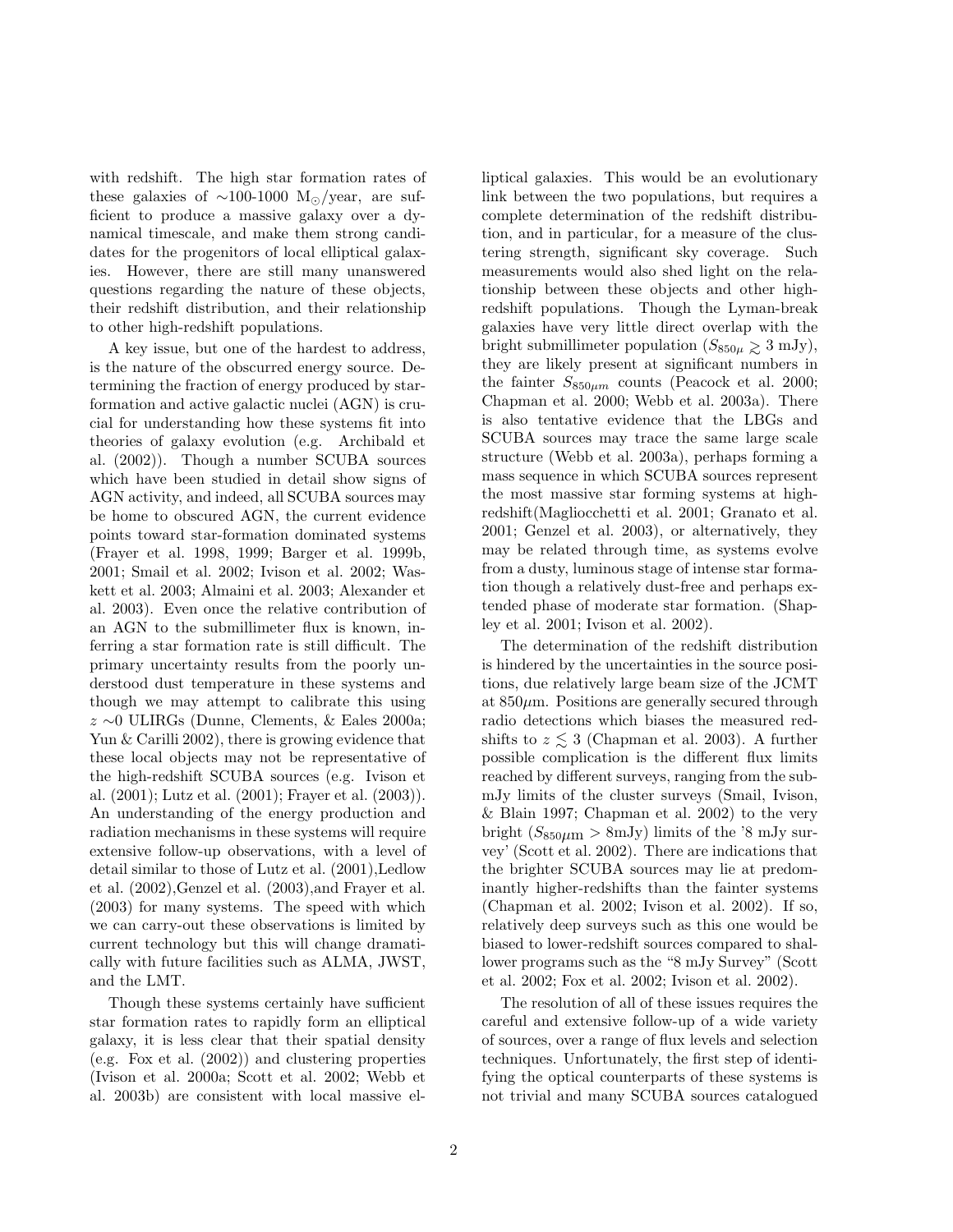with redshift. The high star formation rates of these galaxies of  $\sim$ 100-1000 M<sub>☉</sub>/year, are sufficient to produce a massive galaxy over a dynamical timescale, and make them strong candidates for the progenitors of local elliptical galaxies. However, there are still many unanswered questions regarding the nature of these objects, their redshift distribution, and their relationship to other high-redshift populations.

A key issue, but one of the hardest to address, is the nature of the obscurred energy source. Determining the fraction of energy produced by starformation and active galactic nuclei (AGN) is crucial for understanding how these systems fit into theories of galaxy evolution (e.g. Archibald et al. (2002)). Though a number SCUBA sources which have been studied in detail show signs of AGN activity, and indeed, all SCUBA sources may be home to obscured AGN, the current evidence points toward star-formation dominated systems (Frayer et al. 1998, 1999; Barger et al. 1999b, 2001; Smail et al. 2002; Ivison et al. 2002; Waskett et al. 2003; Almaini et al. 2003; Alexander et al. 2003). Even once the relative contribution of an AGN to the submillimeter flux is known, inferring a star formation rate is still difficult. The primary uncertainty results from the poorly understood dust temperature in these systems and though we may attempt to calibrate this using z ∼0 ULIRGs (Dunne, Clements, & Eales 2000a; Yun & Carilli 2002), there is growing evidence that these local objects may not be representative of the high-redshift SCUBA sources (e.g. Ivison et al. (2001); Lutz et al. (2001); Frayer et al. (2003)). An understanding of the energy production and radiation mechanisms in these systems will require extensive follow-up observations, with a level of detail similar to those of Lutz et al. (2001),Ledlow et al. (2002),Genzel et al. (2003),and Frayer et al. (2003) for many systems. The speed with which we can carry-out these observations is limited by current technology but this will change dramatically with future facilities such as ALMA, JWST, and the LMT.

Though these systems certainly have sufficient star formation rates to rapidly form an elliptical galaxy, it is less clear that their spatial density (e.g. Fox et al. (2002)) and clustering properties (Ivison et al. 2000a; Scott et al. 2002; Webb et al. 2003b) are consistent with local massive elliptical galaxies. This would be an evolutionary link between the two populations, but requires a complete determination of the redshift distribution, and in particular, for a measure of the clustering strength, significant sky coverage. Such measurements would also shed light on the relationship between these objects and other highredshift populations. Though the Lyman-break galaxies have very little direct overlap with the bright submillimeter population  $(S_{850\mu} \geq 3 \text{ mJy}),$ they are likely present at significant numbers in the fainter  $S_{850\mu m}$  counts (Peacock et al. 2000; Chapman et al. 2000; Webb et al. 2003a). There is also tentative evidence that the LBGs and SCUBA sources may trace the same large scale structure (Webb et al. 2003a), perhaps forming a mass sequence in which SCUBA sources represent the most massive star forming systems at highredshift(Magliocchetti et al. 2001; Granato et al. 2001; Genzel et al. 2003), or alternatively, they may be related through time, as systems evolve from a dusty, luminous stage of intense star formation though a relatively dust-free and perhaps extended phase of moderate star formation. (Shapley et al. 2001; Ivison et al. 2002).

The determination of the redshift distribution is hindered by the uncertainties in the source positions, due relatively large beam size of the JCMT at  $850 \mu m$ . Positions are generally secured through radio detections which biases the measured redshifts to  $z \leq 3$  (Chapman et al. 2003). A further possible complication is the different flux limits reached by different surveys, ranging from the submJy limits of the cluster surveys (Smail, Ivison, & Blain 1997; Chapman et al. 2002) to the very bright  $(S_{850\mu m} > 8 \text{mJy})$  limits of the '8 mJy survey' (Scott et al. 2002). There are indications that the brighter SCUBA sources may lie at predominantly higher-redshifts than the fainter systems (Chapman et al. 2002; Ivison et al. 2002). If so, relatively deep surveys such as this one would be biased to lower-redshift sources compared to shallower programs such as the "8 mJy Survey" (Scott et al. 2002; Fox et al. 2002; Ivison et al. 2002).

The resolution of all of these issues requires the careful and extensive follow-up of a wide variety of sources, over a range of flux levels and selection techniques. Unfortunately, the first step of identifying the optical counterparts of these systems is not trivial and many SCUBA sources catalogued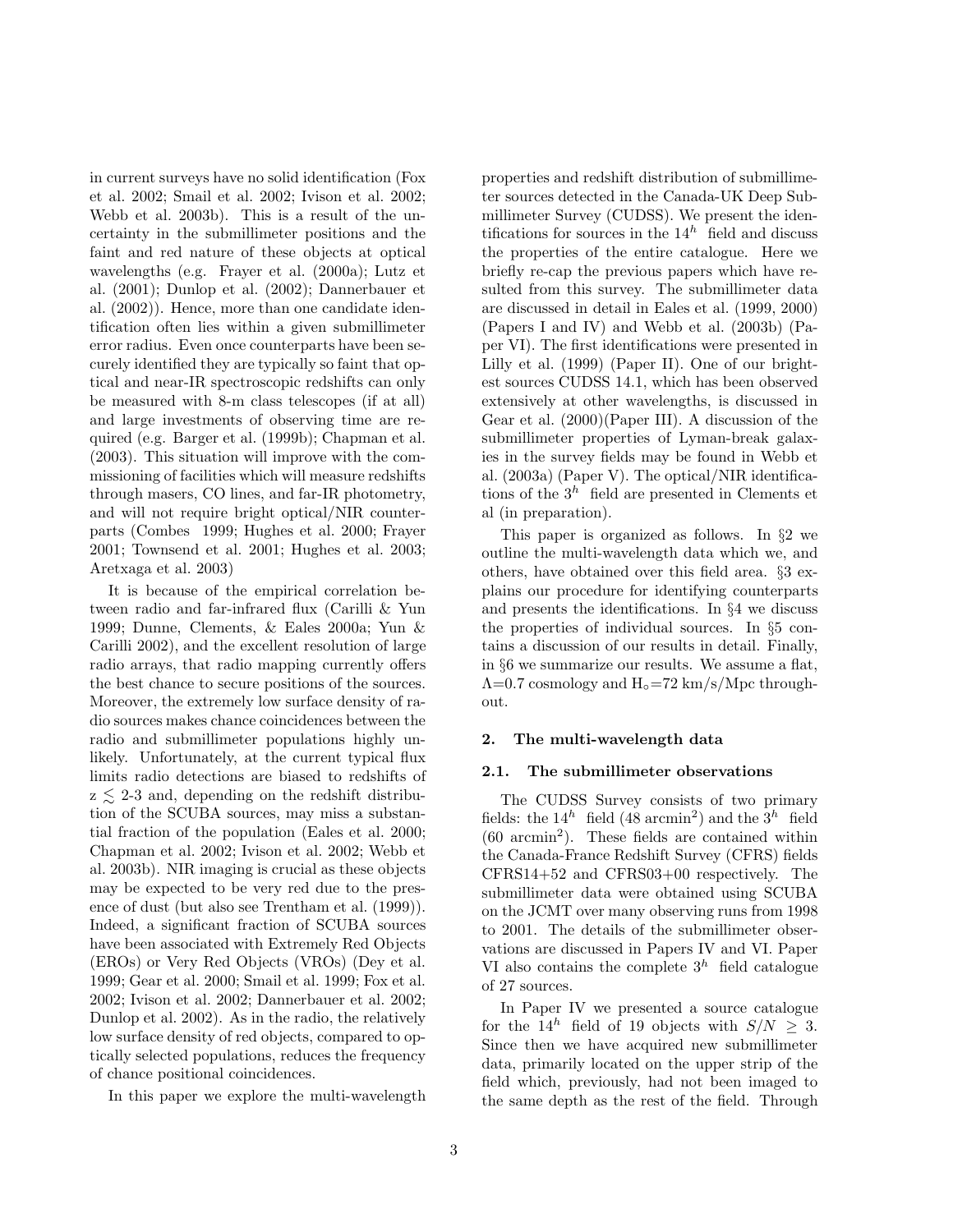in current surveys have no solid identification (Fox et al. 2002; Smail et al. 2002; Ivison et al. 2002; Webb et al. 2003b). This is a result of the uncertainty in the submillimeter positions and the faint and red nature of these objects at optical wavelengths (e.g. Frayer et al. (2000a); Lutz et al. (2001); Dunlop et al. (2002); Dannerbauer et al. (2002)). Hence, more than one candidate identification often lies within a given submillimeter error radius. Even once counterparts have been securely identified they are typically so faint that optical and near-IR spectroscopic redshifts can only be measured with 8-m class telescopes (if at all) and large investments of observing time are required (e.g. Barger et al. (1999b); Chapman et al. (2003). This situation will improve with the commissioning of facilities which will measure redshifts through masers, CO lines, and far-IR photometry, and will not require bright optical/NIR counterparts (Combes 1999; Hughes et al. 2000; Frayer 2001; Townsend et al. 2001; Hughes et al. 2003; Aretxaga et al. 2003)

It is because of the empirical correlation between radio and far-infrared flux (Carilli & Yun 1999; Dunne, Clements, & Eales 2000a; Yun & Carilli 2002), and the excellent resolution of large radio arrays, that radio mapping currently offers the best chance to secure positions of the sources. Moreover, the extremely low surface density of radio sources makes chance coincidences between the radio and submillimeter populations highly unlikely. Unfortunately, at the current typical flux limits radio detections are biased to redshifts of  $z \leq 2-3$  and, depending on the redshift distribution of the SCUBA sources, may miss a substantial fraction of the population (Eales et al. 2000; Chapman et al. 2002; Ivison et al. 2002; Webb et al. 2003b). NIR imaging is crucial as these objects may be expected to be very red due to the presence of dust (but also see Trentham et al. (1999)). Indeed, a significant fraction of SCUBA sources have been associated with Extremely Red Objects (EROs) or Very Red Objects (VROs) (Dey et al. 1999; Gear et al. 2000; Smail et al. 1999; Fox et al. 2002; Ivison et al. 2002; Dannerbauer et al. 2002; Dunlop et al. 2002). As in the radio, the relatively low surface density of red objects, compared to optically selected populations, reduces the frequency of chance positional coincidences.

In this paper we explore the multi-wavelength

properties and redshift distribution of submillimeter sources detected in the Canada-UK Deep Submillimeter Survey (CUDSS). We present the identifications for sources in the  $14<sup>h</sup>$  field and discuss the properties of the entire catalogue. Here we briefly re-cap the previous papers which have resulted from this survey. The submillimeter data are discussed in detail in Eales et al. (1999, 2000) (Papers I and IV) and Webb et al. (2003b) (Paper VI). The first identifications were presented in Lilly et al. (1999) (Paper II). One of our brightest sources CUDSS 14.1, which has been observed extensively at other wavelengths, is discussed in Gear et al. (2000)(Paper III). A discussion of the submillimeter properties of Lyman-break galaxies in the survey fields may be found in Webb et al. (2003a) (Paper V). The optical/NIR identifications of the  $3<sup>h</sup>$  field are presented in Clements et al (in preparation).

This paper is organized as follows. In §2 we outline the multi-wavelength data which we, and others, have obtained over this field area. §3 explains our procedure for identifying counterparts and presents the identifications. In §4 we discuss the properties of individual sources. In §5 contains a discussion of our results in detail. Finally, in §6 we summarize our results. We assume a flat,  $\Lambda$ =0.7 cosmology and  $H_0$ =72 km/s/Mpc throughout.

# 2. The multi-wavelength data

#### 2.1. The submillimeter observations

The CUDSS Survey consists of two primary fields: the  $14^h$  field (48 arcmin<sup>2</sup>) and the  $3^h$  field (60 arcmin<sup>2</sup> ). These fields are contained within the Canada-France Redshift Survey (CFRS) fields CFRS14+52 and CFRS03+00 respectively. The submillimeter data were obtained using SCUBA on the JCMT over many observing runs from 1998 to 2001. The details of the submillimeter observations are discussed in Papers IV and VI. Paper VI also contains the complete  $3<sup>h</sup>$  field catalogue of 27 sources.

In Paper IV we presented a source catalogue for the 14<sup>h</sup> field of 19 objects with  $S/N > 3$ . Since then we have acquired new submillimeter data, primarily located on the upper strip of the field which, previously, had not been imaged to the same depth as the rest of the field. Through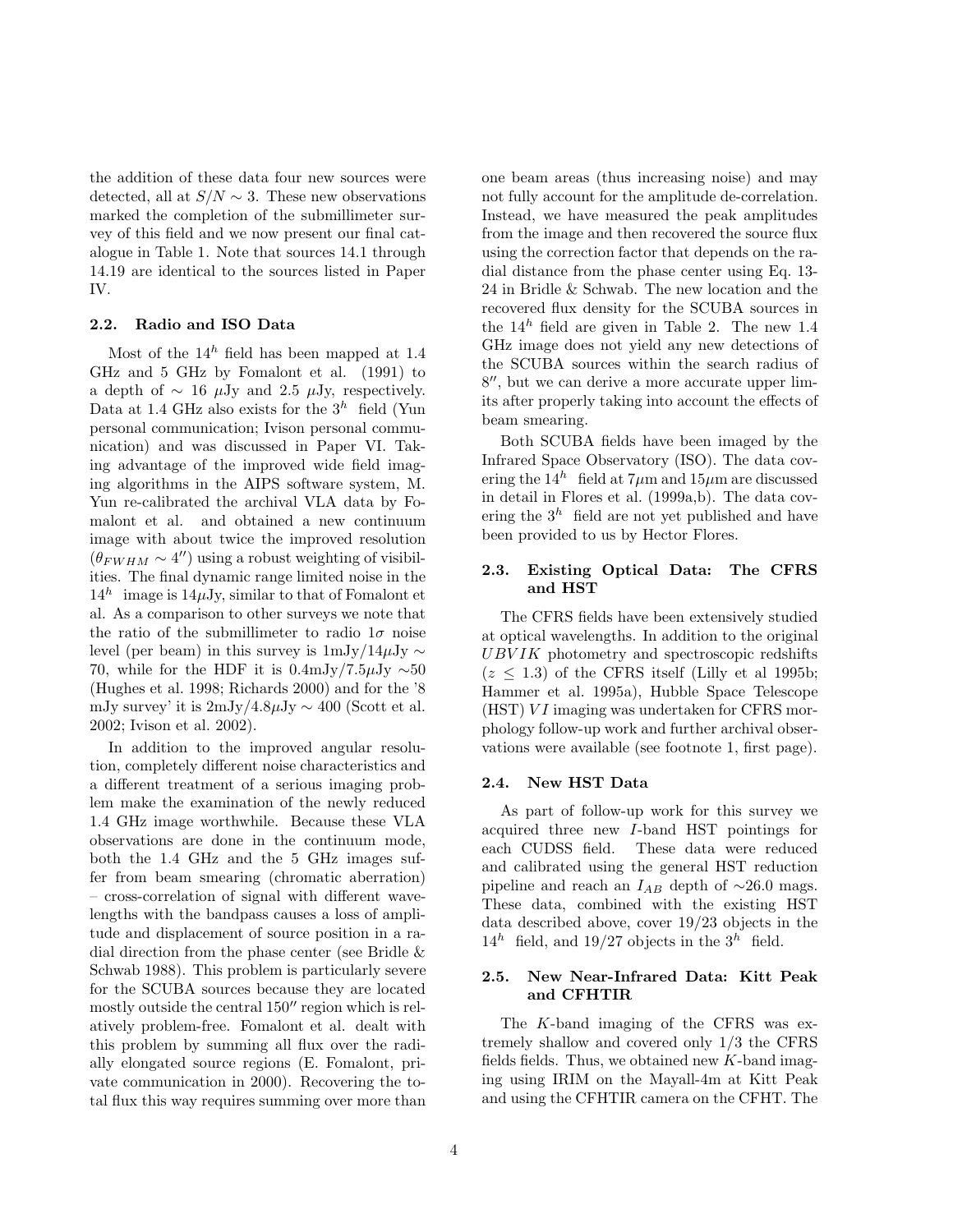the addition of these data four new sources were detected, all at  $S/N \sim 3$ . These new observations marked the completion of the submillimeter survey of this field and we now present our final catalogue in Table 1. Note that sources 14.1 through 14.19 are identical to the sources listed in Paper IV.

## 2.2. Radio and ISO Data

Most of the  $14^h$  field has been mapped at 1.4 GHz and 5 GHz by Fomalont et al. (1991) to a depth of  $\sim$  16  $\mu$ Jy and 2.5  $\mu$ Jy, respectively. Data at 1.4 GHz also exists for the  $3<sup>h</sup>$  field (Yun personal communication; Ivison personal communication) and was discussed in Paper VI. Taking advantage of the improved wide field imaging algorithms in the AIPS software system, M. Yun re-calibrated the archival VLA data by Fomalont et al. and obtained a new continuum image with about twice the improved resolution  $(\theta_{FWHM} \sim 4'')$  using a robust weighting of visibilities. The final dynamic range limited noise in the  $14^h$  image is  $14\mu\text{Jy}$ , similar to that of Fomalont et al. As a comparison to other surveys we note that the ratio of the submillimeter to radio  $1\sigma$  noise level (per beam) in this survey is  $1mJy/14\mu Jy \sim$ 70, while for the HDF it is  $0.4 \text{mJy}/7.5 \mu \text{Jy} \sim 50$ (Hughes et al. 1998; Richards 2000) and for the '8 mJy survey' it is  $2mJy/4.8\mu Jy \sim 400$  (Scott et al. 2002; Ivison et al. 2002).

In addition to the improved angular resolution, completely different noise characteristics and a different treatment of a serious imaging problem make the examination of the newly reduced 1.4 GHz image worthwhile. Because these VLA observations are done in the continuum mode, both the 1.4 GHz and the 5 GHz images suffer from beam smearing (chromatic aberration) – cross-correlation of signal with different wavelengths with the bandpass causes a loss of amplitude and displacement of source position in a radial direction from the phase center (see Bridle & Schwab 1988). This problem is particularly severe for the SCUBA sources because they are located mostly outside the central  $150''$  region which is relatively problem-free. Fomalont et al. dealt with this problem by summing all flux over the radially elongated source regions (E. Fomalont, private communication in 2000). Recovering the total flux this way requires summing over more than one beam areas (thus increasing noise) and may not fully account for the amplitude de-correlation. Instead, we have measured the peak amplitudes from the image and then recovered the source flux using the correction factor that depends on the radial distance from the phase center using Eq. 13- 24 in Bridle & Schwab. The new location and the recovered flux density for the SCUBA sources in the  $14^h$  field are given in Table 2. The new 1.4 GHz image does not yield any new detections of the SCUBA sources within the search radius of 8 ′′, but we can derive a more accurate upper limits after properly taking into account the effects of beam smearing.

Both SCUBA fields have been imaged by the Infrared Space Observatory (ISO). The data covering the  $14^h$  field at  $7\mu$ m and  $15\mu$ m are discussed in detail in Flores et al. (1999a,b). The data covering the  $3<sup>h</sup>$  field are not yet published and have been provided to us by Hector Flores.

# 2.3. Existing Optical Data: The CFRS and HST

The CFRS fields have been extensively studied at optical wavelengths. In addition to the original  $UBVIK$  photometry and spectroscopic redshifts  $(z \leq 1.3)$  of the CFRS itself (Lilly et al 1995b; Hammer et al. 1995a), Hubble Space Telescope  $(HST) VI$  imaging was undertaken for CFRS morphology follow-up work and further archival observations were available (see footnote 1, first page).

#### 2.4. New HST Data

As part of follow-up work for this survey we acquired three new I-band HST pointings for each CUDSS field. These data were reduced and calibrated using the general HST reduction pipeline and reach an  $I_{AB}$  depth of ~26.0 mags. These data, combined with the existing HST data described above, cover 19/23 objects in the  $14^h$  field, and  $19/27$  objects in the  $3^h$  field.

#### 2.5. New Near-Infrared Data: Kitt Peak and CFHTIR

The K-band imaging of the CFRS was extremely shallow and covered only 1/3 the CFRS fields fields. Thus, we obtained new  $K$ -band imaging using IRIM on the Mayall-4m at Kitt Peak and using the CFHTIR camera on the CFHT. The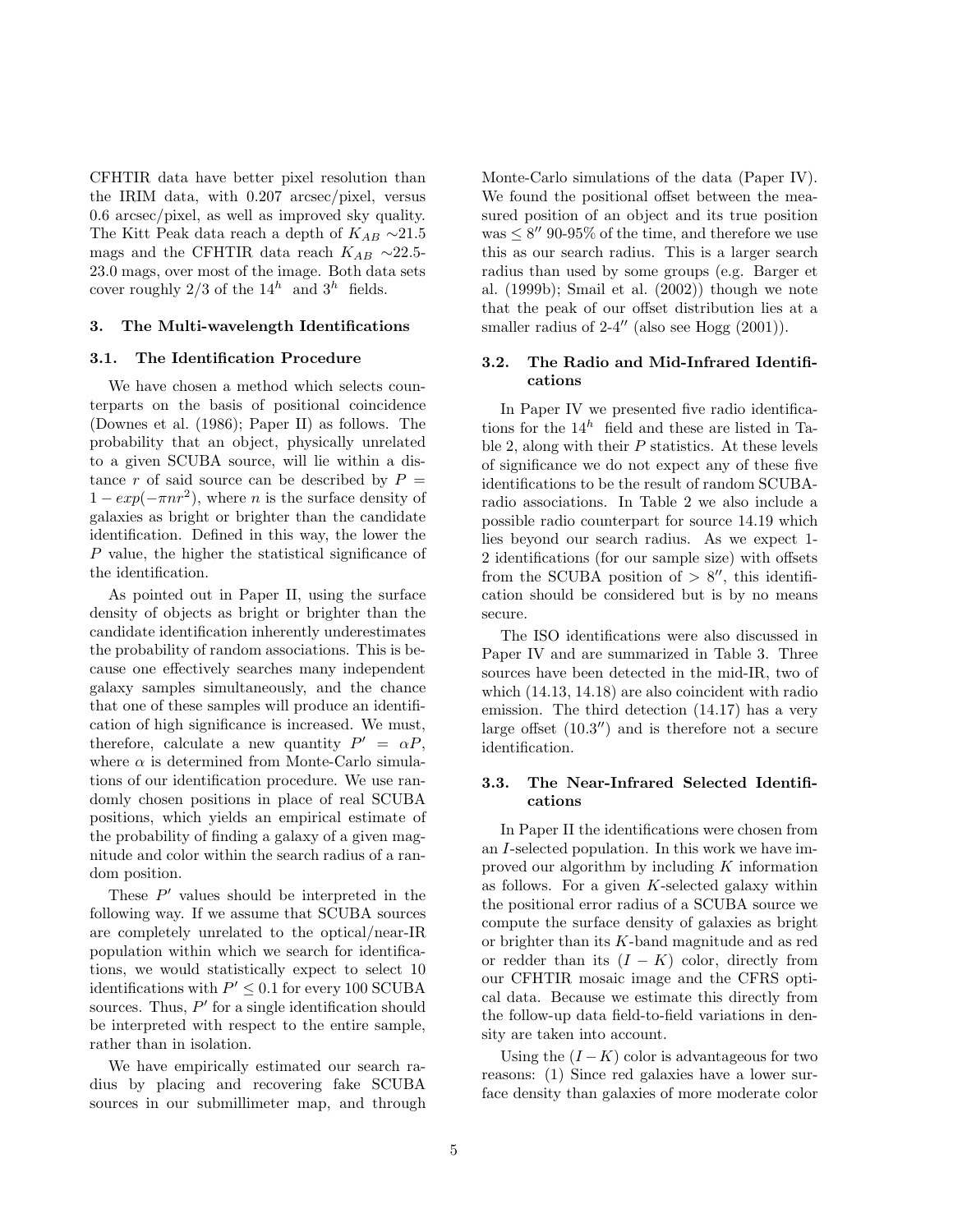CFHTIR data have better pixel resolution than the IRIM data, with 0.207 arcsec/pixel, versus 0.6 arcsec/pixel, as well as improved sky quality. The Kitt Peak data reach a depth of  $K_{AB} \sim 21.5$ mags and the CFHTIR data reach  $K_{AB}\ \sim\!\!22.5$ 23.0 mags, over most of the image. Both data sets cover roughly 2/3 of the  $14^h$  and  $3^h$  fields.

#### 3. The Multi-wavelength Identifications

#### 3.1. The Identification Procedure

We have chosen a method which selects counterparts on the basis of positional coincidence (Downes et al. (1986); Paper II) as follows. The probability that an object, physically unrelated to a given SCUBA source, will lie within a distance r of said source can be described by  $P =$  $1 - exp(-\pi nr^2)$ , where *n* is the surface density of galaxies as bright or brighter than the candidate identification. Defined in this way, the lower the P value, the higher the statistical significance of the identification.

As pointed out in Paper II, using the surface density of objects as bright or brighter than the candidate identification inherently underestimates the probability of random associations. This is because one effectively searches many independent galaxy samples simultaneously, and the chance that one of these samples will produce an identification of high significance is increased. We must, therefore, calculate a new quantity  $P' = \alpha P$ , where  $\alpha$  is determined from Monte-Carlo simulations of our identification procedure. We use randomly chosen positions in place of real SCUBA positions, which yields an empirical estimate of the probability of finding a galaxy of a given magnitude and color within the search radius of a random position.

These  $P'$  values should be interpreted in the following way. If we assume that SCUBA sources are completely unrelated to the optical/near-IR population within which we search for identifications, we would statistically expect to select 10 identifications with  $P' \leq 0.1$  for every 100 SCUBA sources. Thus,  $P'$  for a single identification should be interpreted with respect to the entire sample, rather than in isolation.

We have empirically estimated our search radius by placing and recovering fake SCUBA sources in our submillimeter map, and through Monte-Carlo simulations of the data (Paper IV). We found the positional offset between the measured position of an object and its true position was  $\leq 8''$  90-95% of the time, and therefore we use this as our search radius. This is a larger search radius than used by some groups (e.g. Barger et al. (1999b); Smail et al. (2002)) though we note that the peak of our offset distribution lies at a smaller radius of  $2-4''$  (also see Hogg  $(2001)$ ).

# 3.2. The Radio and Mid-Infrared Identifications

In Paper IV we presented five radio identifications for the  $14^h$  field and these are listed in Table 2, along with their  $P$  statistics. At these levels of significance we do not expect any of these five identifications to be the result of random SCUBAradio associations. In Table 2 we also include a possible radio counterpart for source 14.19 which lies beyond our search radius. As we expect 1- 2 identifications (for our sample size) with offsets from the SCUBA position of  $> 8''$ , this identification should be considered but is by no means secure.

The ISO identifications were also discussed in Paper IV and are summarized in Table 3. Three sources have been detected in the mid-IR, two of which (14.13, 14.18) are also coincident with radio emission. The third detection (14.17) has a very large offset  $(10.3'')$  and is therefore not a secure identification.

# 3.3. The Near-Infrared Selected Identifications

In Paper II the identifications were chosen from an I-selected population. In this work we have improved our algorithm by including  $K$  information as follows. For a given  $K$ -selected galaxy within the positional error radius of a SCUBA source we compute the surface density of galaxies as bright or brighter than its K-band magnitude and as red or redder than its  $(I - K)$  color, directly from our CFHTIR mosaic image and the CFRS optical data. Because we estimate this directly from the follow-up data field-to-field variations in density are taken into account.

Using the  $(I - K)$  color is advantageous for two reasons: (1) Since red galaxies have a lower surface density than galaxies of more moderate color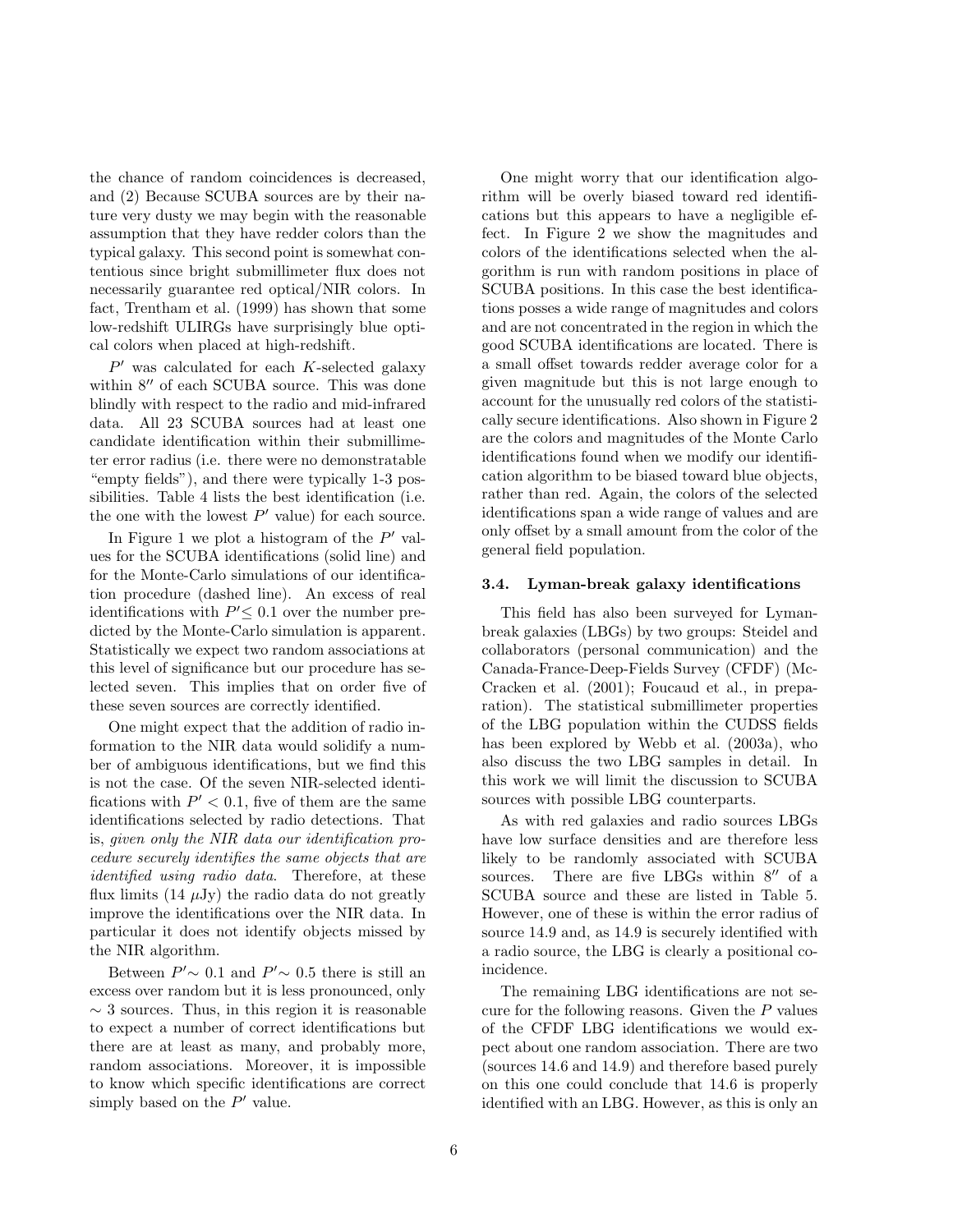the chance of random coincidences is decreased, and (2) Because SCUBA sources are by their nature very dusty we may begin with the reasonable assumption that they have redder colors than the typical galaxy. This second point is somewhat contentious since bright submillimeter flux does not necessarily guarantee red optical/NIR colors. In fact, Trentham et al. (1999) has shown that some low-redshift ULIRGs have surprisingly blue optical colors when placed at high-redshift.

 $P'$  was calculated for each  $K$ -selected galaxy within 8′′ of each SCUBA source. This was done blindly with respect to the radio and mid-infrared data. All 23 SCUBA sources had at least one candidate identification within their submillimeter error radius (i.e. there were no demonstratable "empty fields"), and there were typically 1-3 possibilities. Table 4 lists the best identification (i.e. the one with the lowest  $P'$  value) for each source.

In Figure 1 we plot a histogram of the  $P'$  values for the SCUBA identifications (solid line) and for the Monte-Carlo simulations of our identification procedure (dashed line). An excess of real identifications with  $P' \leq 0.1$  over the number predicted by the Monte-Carlo simulation is apparent. Statistically we expect two random associations at this level of significance but our procedure has selected seven. This implies that on order five of these seven sources are correctly identified.

One might expect that the addition of radio information to the NIR data would solidify a number of ambiguous identifications, but we find this is not the case. Of the seven NIR-selected identifications with  $P' < 0.1$ , five of them are the same identifications selected by radio detections. That is, given only the NIR data our identification procedure securely identifies the same objects that are identified using radio data. Therefore, at these flux limits  $(14 \mu Jy)$  the radio data do not greatly improve the identifications over the NIR data. In particular it does not identify objects missed by the NIR algorithm.

Between  $P' \sim 0.1$  and  $P' \sim 0.5$  there is still an excess over random but it is less pronounced, only  $\sim$  3 sources. Thus, in this region it is reasonable to expect a number of correct identifications but there are at least as many, and probably more, random associations. Moreover, it is impossible to know which specific identifications are correct simply based on the  $P'$  value.

One might worry that our identification algorithm will be overly biased toward red identifications but this appears to have a negligible effect. In Figure 2 we show the magnitudes and colors of the identifications selected when the algorithm is run with random positions in place of SCUBA positions. In this case the best identifications posses a wide range of magnitudes and colors and are not concentrated in the region in which the good SCUBA identifications are located. There is a small offset towards redder average color for a given magnitude but this is not large enough to account for the unusually red colors of the statistically secure identifications. Also shown in Figure 2 are the colors and magnitudes of the Monte Carlo identifications found when we modify our identification algorithm to be biased toward blue objects, rather than red. Again, the colors of the selected identifications span a wide range of values and are only offset by a small amount from the color of the general field population.

#### 3.4. Lyman-break galaxy identifications

This field has also been surveyed for Lymanbreak galaxies (LBGs) by two groups: Steidel and collaborators (personal communication) and the Canada-France-Deep-Fields Survey (CFDF) (Mc-Cracken et al. (2001); Foucaud et al., in preparation). The statistical submillimeter properties of the LBG population within the CUDSS fields has been explored by Webb et al. (2003a), who also discuss the two LBG samples in detail. In this work we will limit the discussion to SCUBA sources with possible LBG counterparts.

As with red galaxies and radio sources LBGs have low surface densities and are therefore less likely to be randomly associated with SCUBA sources. There are five LBGs within 8<sup>"</sup> of a SCUBA source and these are listed in Table 5. However, one of these is within the error radius of source 14.9 and, as 14.9 is securely identified with a radio source, the LBG is clearly a positional coincidence.

The remaining LBG identifications are not secure for the following reasons. Given the  $P$  values of the CFDF LBG identifications we would expect about one random association. There are two (sources 14.6 and 14.9) and therefore based purely on this one could conclude that 14.6 is properly identified with an LBG. However, as this is only an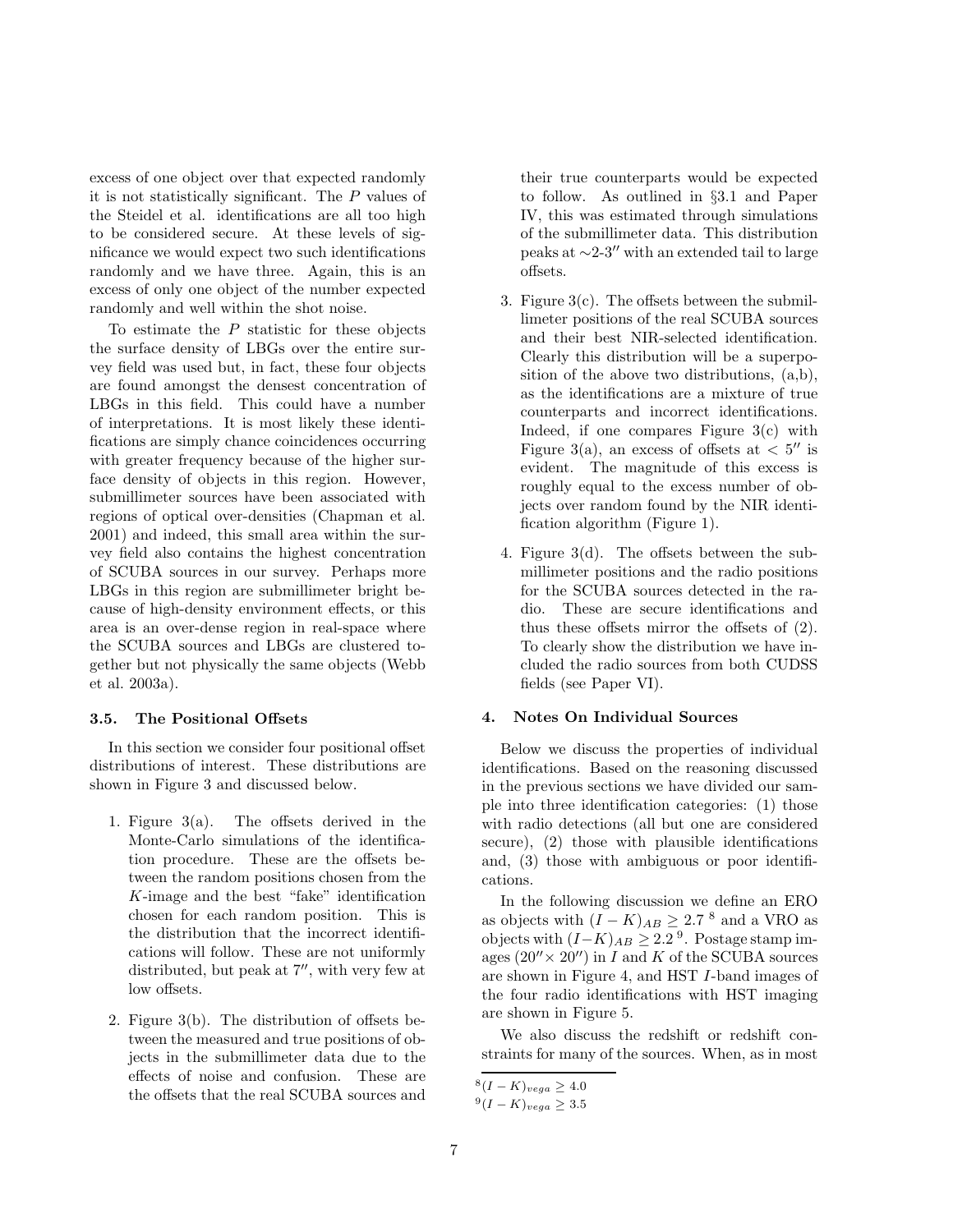excess of one object over that expected randomly it is not statistically significant. The P values of the Steidel et al. identifications are all too high to be considered secure. At these levels of significance we would expect two such identifications randomly and we have three. Again, this is an excess of only one object of the number expected randomly and well within the shot noise.

To estimate the  $P$  statistic for these objects the surface density of LBGs over the entire survey field was used but, in fact, these four objects are found amongst the densest concentration of LBGs in this field. This could have a number of interpretations. It is most likely these identifications are simply chance coincidences occurring with greater frequency because of the higher surface density of objects in this region. However, submillimeter sources have been associated with regions of optical over-densities (Chapman et al. 2001) and indeed, this small area within the survey field also contains the highest concentration of SCUBA sources in our survey. Perhaps more LBGs in this region are submillimeter bright because of high-density environment effects, or this area is an over-dense region in real-space where the SCUBA sources and LBGs are clustered together but not physically the same objects (Webb et al. 2003a).

#### 3.5. The Positional Offsets

In this section we consider four positional offset distributions of interest. These distributions are shown in Figure 3 and discussed below.

- 1. Figure 3(a). The offsets derived in the Monte-Carlo simulations of the identification procedure. These are the offsets between the random positions chosen from the K-image and the best "fake" identification chosen for each random position. This is the distribution that the incorrect identifications will follow. These are not uniformly distributed, but peak at 7′′, with very few at low offsets.
- 2. Figure 3(b). The distribution of offsets between the measured and true positions of objects in the submillimeter data due to the effects of noise and confusion. These are the offsets that the real SCUBA sources and

their true counterparts would be expected to follow. As outlined in §3.1 and Paper IV, this was estimated through simulations of the submillimeter data. This distribution peaks at ∼2-3′′ with an extended tail to large offsets.

- 3. Figure  $3(c)$ . The offsets between the submillimeter positions of the real SCUBA sources and their best NIR-selected identification. Clearly this distribution will be a superposition of the above two distributions, (a,b), as the identifications are a mixture of true counterparts and incorrect identifications. Indeed, if one compares Figure 3(c) with Figure 3(a), an excess of offsets at  $< 5''$  is evident. The magnitude of this excess is roughly equal to the excess number of objects over random found by the NIR identification algorithm (Figure 1).
- 4. Figure 3(d). The offsets between the submillimeter positions and the radio positions for the SCUBA sources detected in the radio. These are secure identifications and thus these offsets mirror the offsets of (2). To clearly show the distribution we have included the radio sources from both CUDSS fields (see Paper VI).

#### 4. Notes On Individual Sources

Below we discuss the properties of individual identifications. Based on the reasoning discussed in the previous sections we have divided our sample into three identification categories: (1) those with radio detections (all but one are considered secure), (2) those with plausible identifications and, (3) those with ambiguous or poor identifications.

In the following discussion we define an ERO as objects with  $(I - K)_{AB} \geq 2.7$ <sup>8</sup> and a VRO as objects with  $(I-K)_{AB} \geq 2.2$ <sup>9</sup>. Postage stamp images  $(20'' \times 20'')$  in I and K of the SCUBA sources are shown in Figure 4, and HST I-band images of the four radio identifications with HST imaging are shown in Figure 5.

We also discuss the redshift or redshift constraints for many of the sources. When, as in most

 $^{8}(I - K)_{vega} \geq 4.0$ 

 $^{9}(I - K)_{vega} \geq 3.5$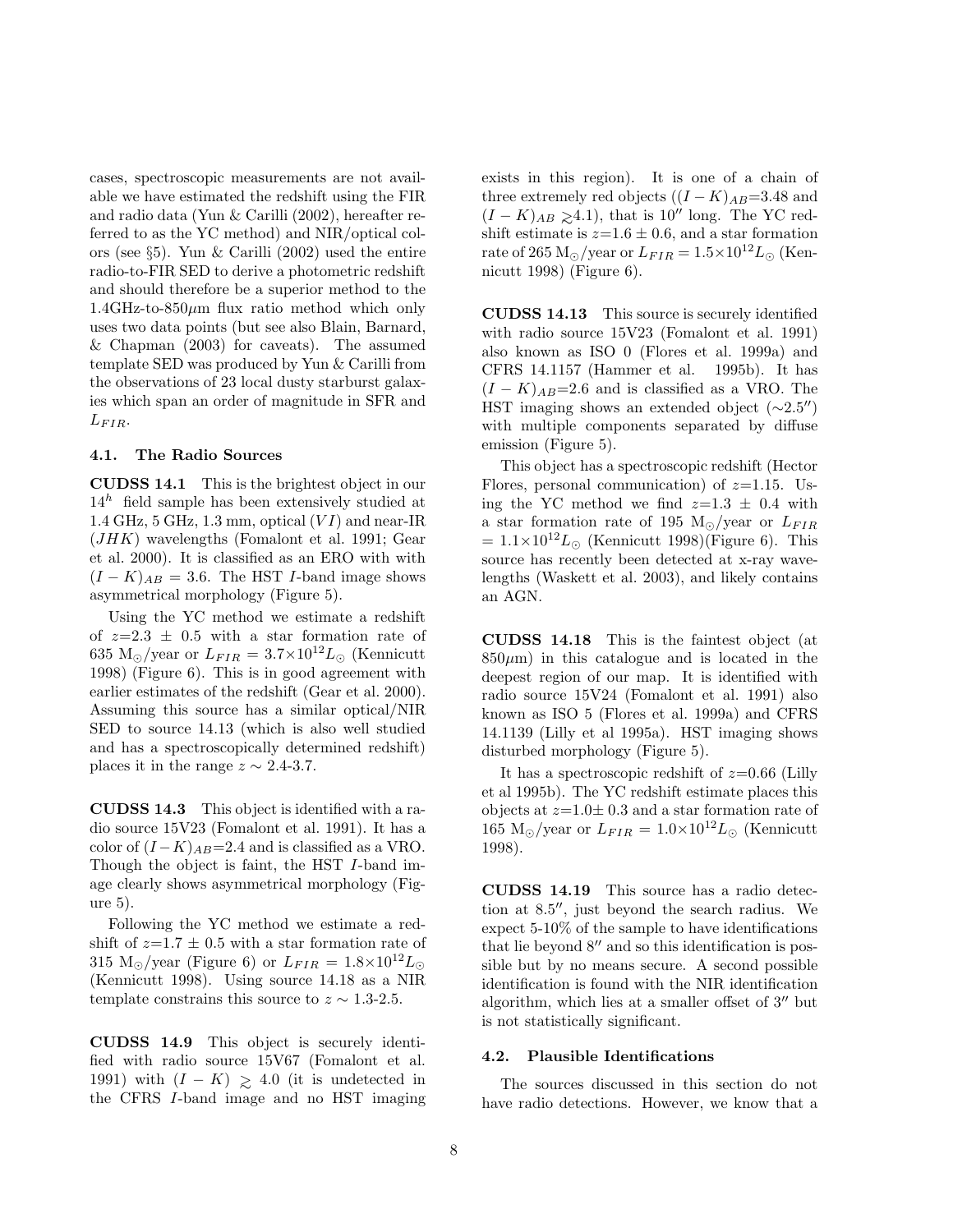cases, spectroscopic measurements are not available we have estimated the redshift using the FIR and radio data (Yun & Carilli (2002), hereafter referred to as the YC method) and NIR/optical colors (see §5). Yun & Carilli (2002) used the entire radio-to-FIR SED to derive a photometric redshift and should therefore be a superior method to the 1.4GHz-to-850 $\mu$ m flux ratio method which only uses two data points (but see also Blain, Barnard, & Chapman (2003) for caveats). The assumed template SED was produced by Yun & Carilli from the observations of 23 local dusty starburst galaxies which span an order of magnitude in SFR and  $L_{FIR}$ .

#### 4.1. The Radio Sources

CUDSS 14.1 This is the brightest object in our  $14<sup>h</sup>$  field sample has been extensively studied at 1.4 GHz, 5 GHz, 1.3 mm, optical  $(VI)$  and near-IR (JHK) wavelengths (Fomalont et al. 1991; Gear et al. 2000). It is classified as an ERO with with  $(I - K)_{AB} = 3.6$ . The HST I-band image shows asymmetrical morphology (Figure 5).

Using the YC method we estimate a redshift of  $z=2.3 \pm 0.5$  with a star formation rate of 635 M<sub>☉</sub>/year or  $L_{FIR} = 3.7 \times 10^{12} L_{\odot}$  (Kennicutt 1998) (Figure 6). This is in good agreement with earlier estimates of the redshift (Gear et al. 2000). Assuming this source has a similar optical/NIR SED to source 14.13 (which is also well studied and has a spectroscopically determined redshift) places it in the range  $z \sim 2.4$ -3.7.

CUDSS 14.3 This object is identified with a radio source 15V23 (Fomalont et al. 1991). It has a color of  $(I - K)_{AB} = 2.4$  and is classified as a VRO. Though the object is faint, the HST I-band image clearly shows asymmetrical morphology (Figure 5).

Following the YC method we estimate a redshift of  $z=1.7 \pm 0.5$  with a star formation rate of 315 M<sub>☉</sub>/year (Figure 6) or  $L_{FIR} = 1.8 \times 10^{12} L_{\odot}$ (Kennicutt 1998). Using source 14.18 as a NIR template constrains this source to  $z \sim 1.3$ -2.5.

CUDSS 14.9 This object is securely identified with radio source 15V67 (Fomalont et al. 1991) with  $(I - K) \ge 4.0$  (it is undetected in the CFRS I-band image and no HST imaging exists in this region). It is one of a chain of three extremely red objects  $((I - K)_{AB} = 3.48$  and  $(I - K)_{AB} \ge 4.1$ , that is 10″ long. The YC redshift estimate is  $z=1.6 \pm 0.6$ , and a star formation rate of 265 M<sub>☉</sub>/year or  $L_{FIR} = 1.5 \times 10^{12} L_{\odot}$  (Kennicutt 1998) (Figure 6).

CUDSS 14.13 This source is securely identified with radio source 15V23 (Fomalont et al. 1991) also known as ISO 0 (Flores et al. 1999a) and CFRS 14.1157 (Hammer et al. 1995b). It has  $(I - K)_{AB} = 2.6$  and is classified as a VRO. The HST imaging shows an extended object  $(\sim 2.5'')$ with multiple components separated by diffuse emission (Figure 5).

This object has a spectroscopic redshift (Hector Flores, personal communication) of  $z=1.15$ . Using the YC method we find  $z=1.3 \pm 0.4$  with a star formation rate of 195 M<sub>☉</sub>/year or  $L_{FIR}$  $= 1.1 \times 10^{12} L_{\odot}$  (Kennicutt 1998)(Figure 6). This source has recently been detected at x-ray wavelengths (Waskett et al. 2003), and likely contains an AGN.

CUDSS 14.18 This is the faintest object (at  $850\mu$ m) in this catalogue and is located in the deepest region of our map. It is identified with radio source 15V24 (Fomalont et al. 1991) also known as ISO 5 (Flores et al. 1999a) and CFRS 14.1139 (Lilly et al 1995a). HST imaging shows disturbed morphology (Figure 5).

It has a spectroscopic redshift of  $z=0.66$  (Lilly et al 1995b). The YC redshift estimate places this objects at  $z=1.0\pm 0.3$  and a star formation rate of 165 M<sub>☉</sub>/year or  $L_{FIR} = 1.0 \times 10^{12} L_{\odot}$  (Kennicutt 1998).

CUDSS 14.19 This source has a radio detection at 8.5′′, just beyond the search radius. We expect 5-10% of the sample to have identifications that lie beyond 8′′ and so this identification is possible but by no means secure. A second possible identification is found with the NIR identification algorithm, which lies at a smaller offset of 3′′ but is not statistically significant.

#### 4.2. Plausible Identifications

The sources discussed in this section do not have radio detections. However, we know that a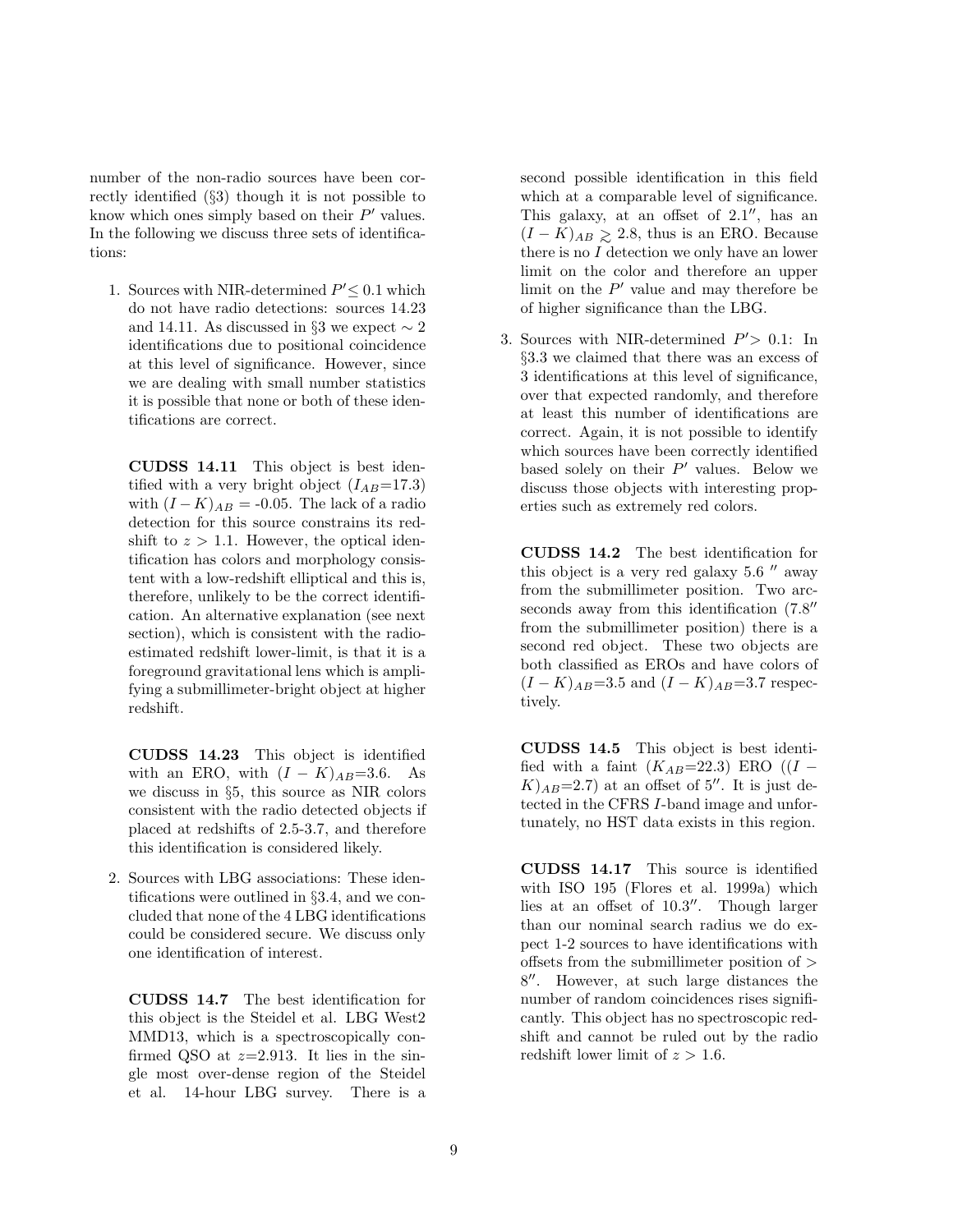number of the non-radio sources have been correctly identified (§3) though it is not possible to know which ones simply based on their  $P'$  values. In the following we discuss three sets of identifications:

1. Sources with NIR-determined  $P^\prime{\leq}$  0.1 which do not have radio detections: sources 14.23 and 14.11. As discussed in §3 we expect  $\sim 2$ identifications due to positional coincidence at this level of significance. However, since we are dealing with small number statistics it is possible that none or both of these identifications are correct.

CUDSS 14.11 This object is best identified with a very bright object  $(I_{AB}=17.3)$ with  $(I - K)_{AB} = -0.05$ . The lack of a radio detection for this source constrains its redshift to  $z > 1.1$ . However, the optical identification has colors and morphology consistent with a low-redshift elliptical and this is, therefore, unlikely to be the correct identification. An alternative explanation (see next section), which is consistent with the radioestimated redshift lower-limit, is that it is a foreground gravitational lens which is amplifying a submillimeter-bright object at higher redshift.

CUDSS 14.23 This object is identified with an ERO, with  $(I - K)_{AB} = 3.6$ . As we discuss in §5, this source as NIR colors consistent with the radio detected objects if placed at redshifts of 2.5-3.7, and therefore this identification is considered likely.

2. Sources with LBG associations: These identifications were outlined in §3.4, and we concluded that none of the 4 LBG identifications could be considered secure. We discuss only one identification of interest.

CUDSS 14.7 The best identification for this object is the Steidel et al. LBG West2 MMD13, which is a spectroscopically confirmed QSO at  $z=2.913$ . It lies in the single most over-dense region of the Steidel et al. 14-hour LBG survey. There is a second possible identification in this field which at a comparable level of significance. This galaxy, at an offset of  $2.1''$ , has an  $(I - K)_{AB} \ge 2.8$ , thus is an ERO. Because there is no I detection we only have an lower limit on the color and therefore an upper limit on the  $P'$  value and may therefore be of higher significance than the LBG.

3. Sources with NIR-determined  $P' > 0.1$ : In §3.3 we claimed that there was an excess of 3 identifications at this level of significance, over that expected randomly, and therefore at least this number of identifications are correct. Again, it is not possible to identify which sources have been correctly identified based solely on their  $P'$  values. Below we discuss those objects with interesting properties such as extremely red colors.

CUDSS 14.2 The best identification for this object is a very red galaxy  $5.6$   $\prime\prime$  away from the submillimeter position. Two arcseconds away from this identification  $(7.8'')$ from the submillimeter position) there is a second red object. These two objects are both classified as EROs and have colors of  $(I - K)_{AB} = 3.5$  and  $(I - K)_{AB} = 3.7$  respectively.

CUDSS 14.5 This object is best identified with a faint  $(K_{AB}=22.3)$  ERO  $((I K$ <sub> $AB$ </sub>=2.7) at an offset of 5''. It is just detected in the CFRS I-band image and unfortunately, no HST data exists in this region.

CUDSS 14.17 This source is identified with ISO 195 (Flores et al. 1999a) which lies at an offset of 10.3′′. Though larger than our nominal search radius we do expect 1-2 sources to have identifications with offsets from the submillimeter position of > 8 ′′. However, at such large distances the number of random coincidences rises significantly. This object has no spectroscopic redshift and cannot be ruled out by the radio redshift lower limit of  $z > 1.6$ .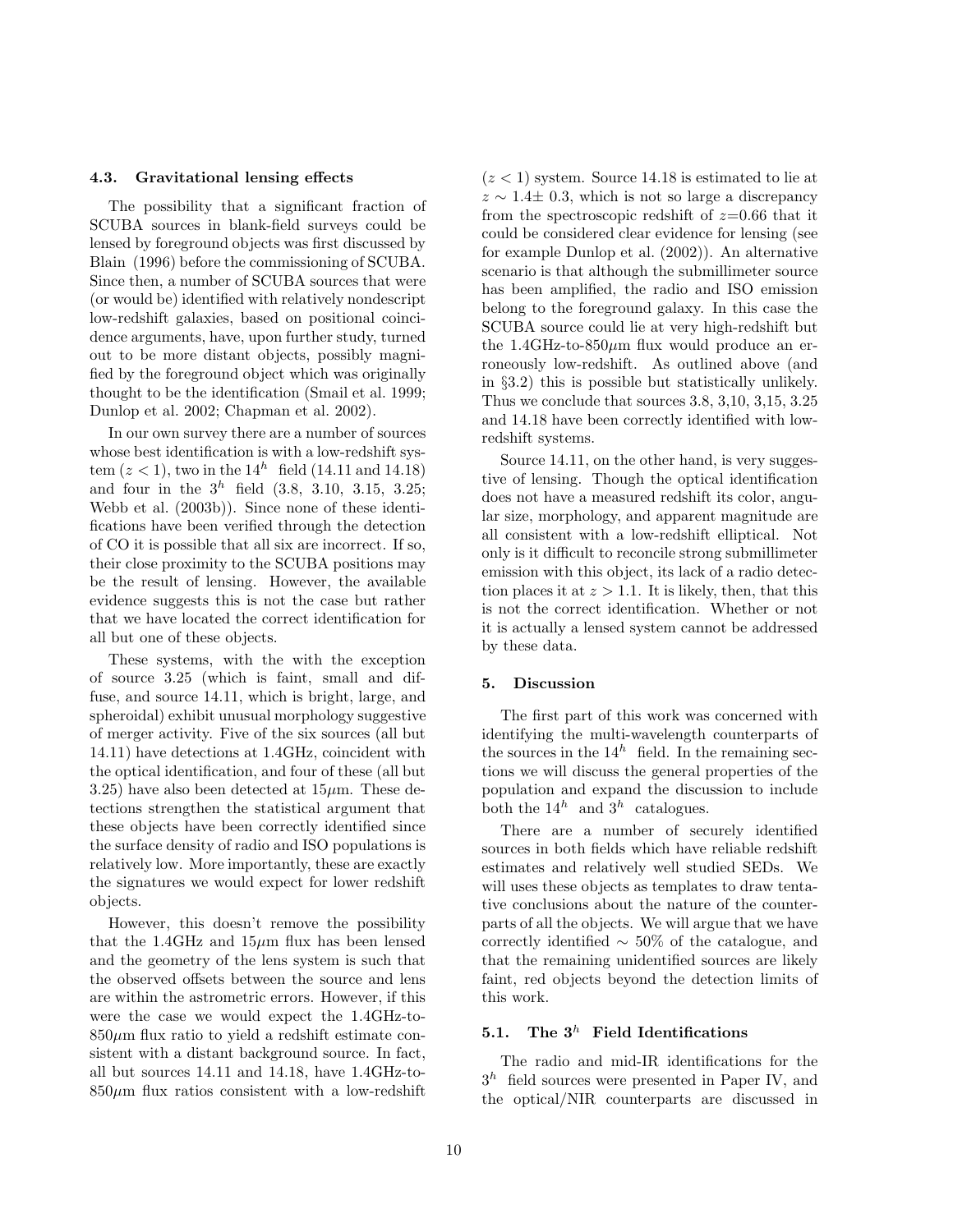#### 4.3. Gravitational lensing effects

The possibility that a significant fraction of SCUBA sources in blank-field surveys could be lensed by foreground objects was first discussed by Blain (1996) before the commissioning of SCUBA. Since then, a number of SCUBA sources that were (or would be) identified with relatively nondescript low-redshift galaxies, based on positional coincidence arguments, have, upon further study, turned out to be more distant objects, possibly magnified by the foreground object which was originally thought to be the identification (Smail et al. 1999; Dunlop et al. 2002; Chapman et al. 2002).

In our own survey there are a number of sources whose best identification is with a low-redshift system  $(z < 1)$ , two in the  $14^h$  field (14.11 and 14.18) and four in the  $3^h$  field  $(3.8, 3.10, 3.15, 3.25;$ Webb et al. (2003b)). Since none of these identifications have been verified through the detection of CO it is possible that all six are incorrect. If so, their close proximity to the SCUBA positions may be the result of lensing. However, the available evidence suggests this is not the case but rather that we have located the correct identification for all but one of these objects.

These systems, with the with the exception of source 3.25 (which is faint, small and diffuse, and source 14.11, which is bright, large, and spheroidal) exhibit unusual morphology suggestive of merger activity. Five of the six sources (all but 14.11) have detections at 1.4GHz, coincident with the optical identification, and four of these (all but 3.25) have also been detected at  $15\mu$ m. These detections strengthen the statistical argument that these objects have been correctly identified since the surface density of radio and ISO populations is relatively low. More importantly, these are exactly the signatures we would expect for lower redshift objects.

However, this doesn't remove the possibility that the 1.4GHz and  $15\mu$ m flux has been lensed and the geometry of the lens system is such that the observed offsets between the source and lens are within the astrometric errors. However, if this were the case we would expect the 1.4GHz-to- $850\mu$ m flux ratio to yield a redshift estimate consistent with a distant background source. In fact, all but sources 14.11 and 14.18, have 1.4GHz-to- $850\mu$ m flux ratios consistent with a low-redshift  $(z < 1)$  system. Source 14.18 is estimated to lie at  $z \sim 1.4 \pm 0.3$ , which is not so large a discrepancy from the spectroscopic redshift of  $z=0.66$  that it could be considered clear evidence for lensing (see for example Dunlop et al. (2002)). An alternative scenario is that although the submillimeter source has been amplified, the radio and ISO emission belong to the foreground galaxy. In this case the SCUBA source could lie at very high-redshift but the 1.4GHz-to-850 $\mu$ m flux would produce an erroneously low-redshift. As outlined above (and in §3.2) this is possible but statistically unlikely. Thus we conclude that sources 3.8, 3,10, 3,15, 3.25 and 14.18 have been correctly identified with lowredshift systems.

Source 14.11, on the other hand, is very suggestive of lensing. Though the optical identification does not have a measured redshift its color, angular size, morphology, and apparent magnitude are all consistent with a low-redshift elliptical. Not only is it difficult to reconcile strong submillimeter emission with this object, its lack of a radio detection places it at  $z > 1.1$ . It is likely, then, that this is not the correct identification. Whether or not it is actually a lensed system cannot be addressed by these data.

#### 5. Discussion

The first part of this work was concerned with identifying the multi-wavelength counterparts of the sources in the  $14^h$  field. In the remaining sections we will discuss the general properties of the population and expand the discussion to include both the  $14^h$  and  $3^h$  catalogues.

There are a number of securely identified sources in both fields which have reliable redshift estimates and relatively well studied SEDs. We will uses these objects as templates to draw tentative conclusions about the nature of the counterparts of all the objects. We will argue that we have correctly identified ∼ 50% of the catalogue, and that the remaining unidentified sources are likely faint, red objects beyond the detection limits of this work.

# 5.1. The  $3^h$  Field Identifications

The radio and mid-IR identifications for the  $3<sup>h</sup>$  field sources were presented in Paper IV, and the optical/NIR counterparts are discussed in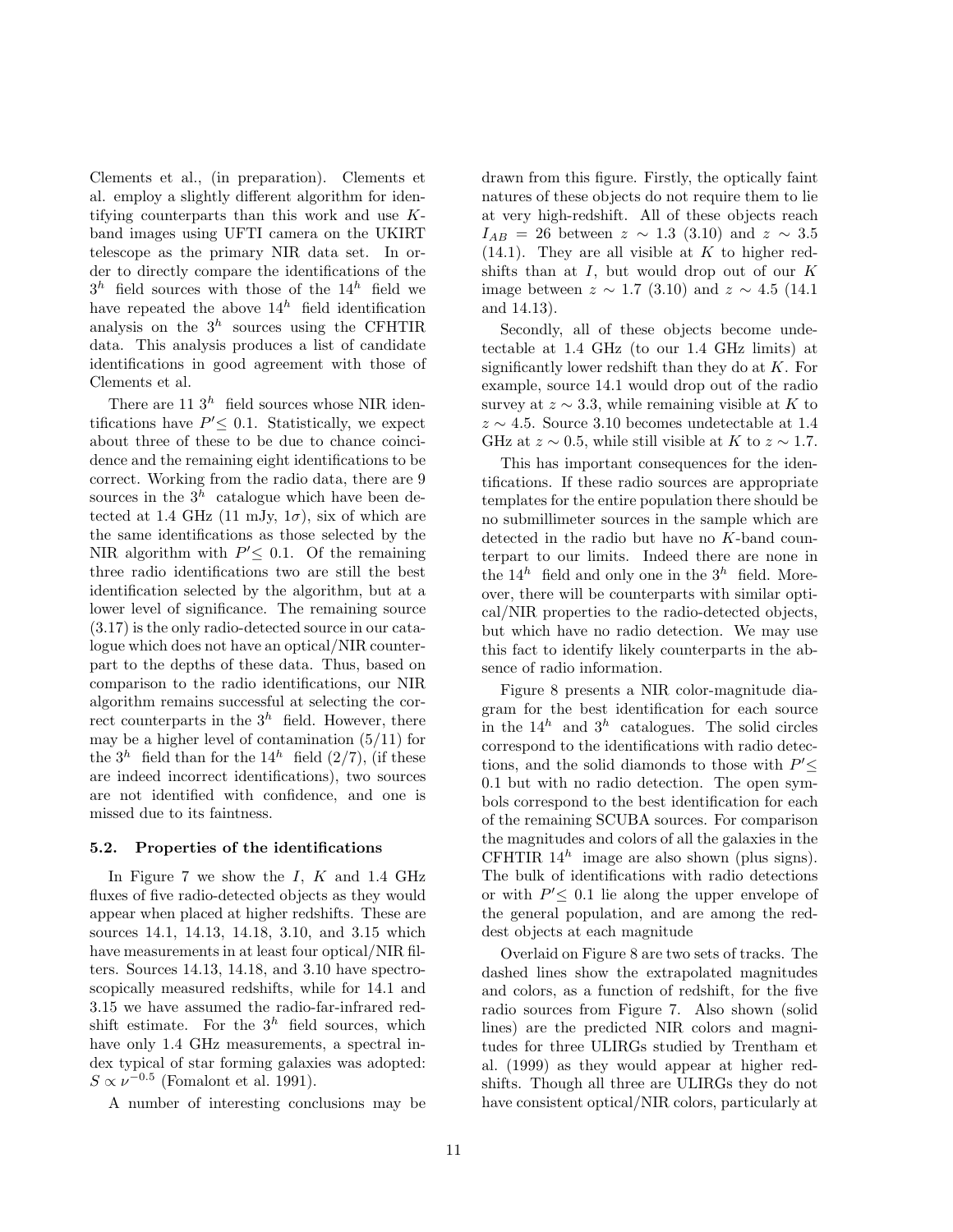Clements et al., (in preparation). Clements et al. employ a slightly different algorithm for identifying counterparts than this work and use Kband images using UFTI camera on the UKIRT telescope as the primary NIR data set. In order to directly compare the identifications of the  $3<sup>h</sup>$  field sources with those of the  $14<sup>h</sup>$  field we have repeated the above  $14^h$  field identification analysis on the  $3<sup>h</sup>$  sources using the CFHTIR data. This analysis produces a list of candidate identifications in good agreement with those of Clements et al.

There are 11  $3<sup>h</sup>$  field sources whose NIR identifications have  $P' \leq 0.1$ . Statistically, we expect about three of these to be due to chance coincidence and the remaining eight identifications to be correct. Working from the radio data, there are 9 sources in the  $3<sup>h</sup>$  catalogue which have been detected at 1.4 GHz (11 mJy,  $1\sigma$ ), six of which are the same identifications as those selected by the NIR algorithm with  $P' \leq 0.1$ . Of the remaining three radio identifications two are still the best identification selected by the algorithm, but at a lower level of significance. The remaining source (3.17) is the only radio-detected source in our catalogue which does not have an optical/NIR counterpart to the depths of these data. Thus, based on comparison to the radio identifications, our NIR algorithm remains successful at selecting the correct counterparts in the  $3^h$  field. However, there may be a higher level of contamination  $(5/11)$  for the  $3^h$  field than for the  $14^h$  field  $(2/7)$ , (if these are indeed incorrect identifications), two sources are not identified with confidence, and one is missed due to its faintness.

#### 5.2. Properties of the identifications

In Figure 7 we show the  $I, K$  and 1.4 GHz fluxes of five radio-detected objects as they would appear when placed at higher redshifts. These are sources 14.1, 14.13, 14.18, 3.10, and 3.15 which have measurements in at least four optical/NIR filters. Sources 14.13, 14.18, and 3.10 have spectroscopically measured redshifts, while for 14.1 and 3.15 we have assumed the radio-far-infrared redshift estimate. For the  $3<sup>h</sup>$  field sources, which have only 1.4 GHz measurements, a spectral index typical of star forming galaxies was adopted:  $S \propto \nu^{-0.5}$  (Fomalont et al. 1991).

A number of interesting conclusions may be

drawn from this figure. Firstly, the optically faint natures of these objects do not require them to lie at very high-redshift. All of these objects reach  $I_{AB} = 26$  between  $z \sim 1.3$  (3.10) and  $z \sim 3.5$  $(14.1)$ . They are all visible at K to higher redshifts than at  $I$ , but would drop out of our  $K$ image between  $z \sim 1.7$  (3.10) and  $z \sim 4.5$  (14.1 and 14.13).

Secondly, all of these objects become undetectable at 1.4 GHz (to our 1.4 GHz limits) at significantly lower redshift than they do at  $K$ . For example, source 14.1 would drop out of the radio survey at  $z \sim 3.3$ , while remaining visible at K to  $z \sim 4.5$ . Source 3.10 becomes undetectable at 1.4 GHz at  $z \sim 0.5$ , while still visible at K to  $z \sim 1.7$ .

This has important consequences for the identifications. If these radio sources are appropriate templates for the entire population there should be no submillimeter sources in the sample which are detected in the radio but have no K-band counterpart to our limits. Indeed there are none in the  $14^h$  field and only one in the  $3^h$  field. Moreover, there will be counterparts with similar optical/NIR properties to the radio-detected objects, but which have no radio detection. We may use this fact to identify likely counterparts in the absence of radio information.

Figure 8 presents a NIR color-magnitude diagram for the best identification for each source in the  $14^h$  and  $3^h$  catalogues. The solid circles correspond to the identifications with radio detections, and the solid diamonds to those with  $P' \leq$ 0.1 but with no radio detection. The open symbols correspond to the best identification for each of the remaining SCUBA sources. For comparison the magnitudes and colors of all the galaxies in the CFHTIR  $14^h$  image are also shown (plus signs). The bulk of identifications with radio detections or with  $P' \leq 0.1$  lie along the upper envelope of the general population, and are among the reddest objects at each magnitude

Overlaid on Figure 8 are two sets of tracks. The dashed lines show the extrapolated magnitudes and colors, as a function of redshift, for the five radio sources from Figure 7. Also shown (solid lines) are the predicted NIR colors and magnitudes for three ULIRGs studied by Trentham et al. (1999) as they would appear at higher redshifts. Though all three are ULIRGs they do not have consistent optical/NIR colors, particularly at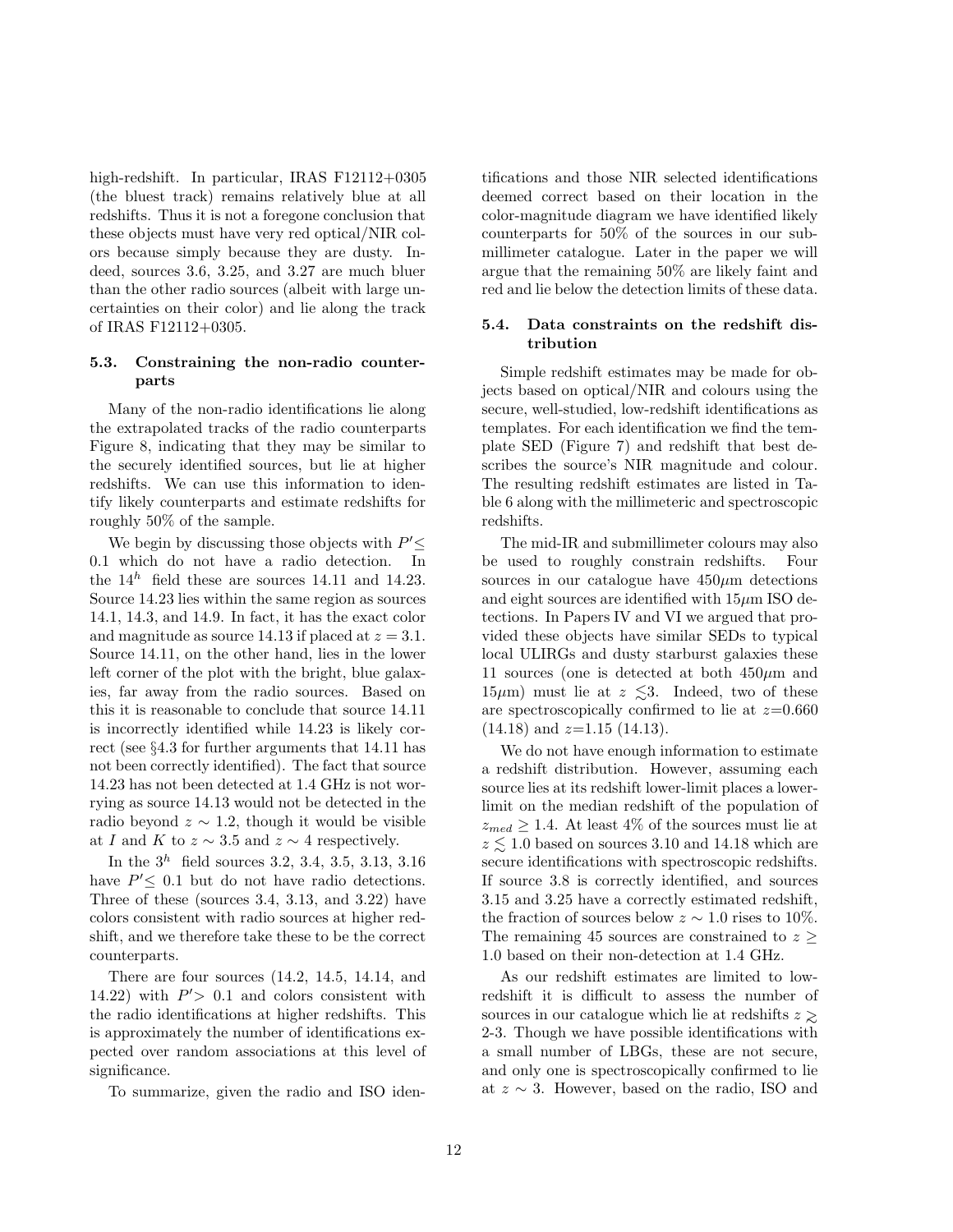high-redshift. In particular, IRAS F12112+0305 (the bluest track) remains relatively blue at all redshifts. Thus it is not a foregone conclusion that these objects must have very red optical/NIR colors because simply because they are dusty. Indeed, sources 3.6, 3.25, and 3.27 are much bluer than the other radio sources (albeit with large uncertainties on their color) and lie along the track of IRAS F12112+0305.

## 5.3. Constraining the non-radio counterparts

Many of the non-radio identifications lie along the extrapolated tracks of the radio counterparts Figure 8, indicating that they may be similar to the securely identified sources, but lie at higher redshifts. We can use this information to identify likely counterparts and estimate redshifts for roughly 50% of the sample.

We begin by discussing those objects with  $P' \leq$ 0.1 which do not have a radio detection. In the  $14^h$  field these are sources 14.11 and 14.23. Source 14.23 lies within the same region as sources 14.1, 14.3, and 14.9. In fact, it has the exact color and magnitude as source 14.13 if placed at  $z = 3.1$ . Source 14.11, on the other hand, lies in the lower left corner of the plot with the bright, blue galaxies, far away from the radio sources. Based on this it is reasonable to conclude that source 14.11 is incorrectly identified while 14.23 is likely correct (see §4.3 for further arguments that 14.11 has not been correctly identified). The fact that source 14.23 has not been detected at 1.4 GHz is not worrying as source 14.13 would not be detected in the radio beyond  $z \sim 1.2$ , though it would be visible at I and K to  $z \sim 3.5$  and  $z \sim 4$  respectively.

In the  $3^h$  field sources 3.2, 3.4, 3.5, 3.13, 3.16 have  $P' \leq 0.1$  but do not have radio detections. Three of these (sources 3.4, 3.13, and 3.22) have colors consistent with radio sources at higher redshift, and we therefore take these to be the correct counterparts.

There are four sources (14.2, 14.5, 14.14, and 14.22) with  $P' > 0.1$  and colors consistent with the radio identifications at higher redshifts. This is approximately the number of identifications expected over random associations at this level of significance.

To summarize, given the radio and ISO iden-

tifications and those NIR selected identifications deemed correct based on their location in the color-magnitude diagram we have identified likely counterparts for 50% of the sources in our submillimeter catalogue. Later in the paper we will argue that the remaining 50% are likely faint and red and lie below the detection limits of these data.

# 5.4. Data constraints on the redshift distribution

Simple redshift estimates may be made for objects based on optical/NIR and colours using the secure, well-studied, low-redshift identifications as templates. For each identification we find the template SED (Figure 7) and redshift that best describes the source's NIR magnitude and colour. The resulting redshift estimates are listed in Table 6 along with the millimeteric and spectroscopic redshifts.

The mid-IR and submillimeter colours may also be used to roughly constrain redshifts. Four sources in our catalogue have  $450\mu m$  detections and eight sources are identified with  $15\mu m$  ISO detections. In Papers IV and VI we argued that provided these objects have similar SEDs to typical local ULIRGs and dusty starburst galaxies these 11 sources (one is detected at both  $450\mu$ m and 15 $\mu$ m) must lie at  $z \leq 3$ . Indeed, two of these are spectroscopically confirmed to lie at  $z=0.660$  $(14.18)$  and  $z=1.15$   $(14.13)$ .

We do not have enough information to estimate a redshift distribution. However, assuming each source lies at its redshift lower-limit places a lowerlimit on the median redshift of the population of  $z_{med} \geq 1.4$ . At least 4% of the sources must lie at  $z \lesssim 1.0$  based on sources 3.10 and 14.18 which are secure identifications with spectroscopic redshifts. If source 3.8 is correctly identified, and sources 3.15 and 3.25 have a correctly estimated redshift, the fraction of sources below  $z \sim 1.0$  rises to 10%. The remaining 45 sources are constrained to  $z \geq$ 1.0 based on their non-detection at 1.4 GHz.

As our redshift estimates are limited to lowredshift it is difficult to assess the number of sources in our catalogue which lie at redshifts  $z \gtrsim$ 2-3. Though we have possible identifications with a small number of LBGs, these are not secure, and only one is spectroscopically confirmed to lie at  $z \sim 3$ . However, based on the radio, ISO and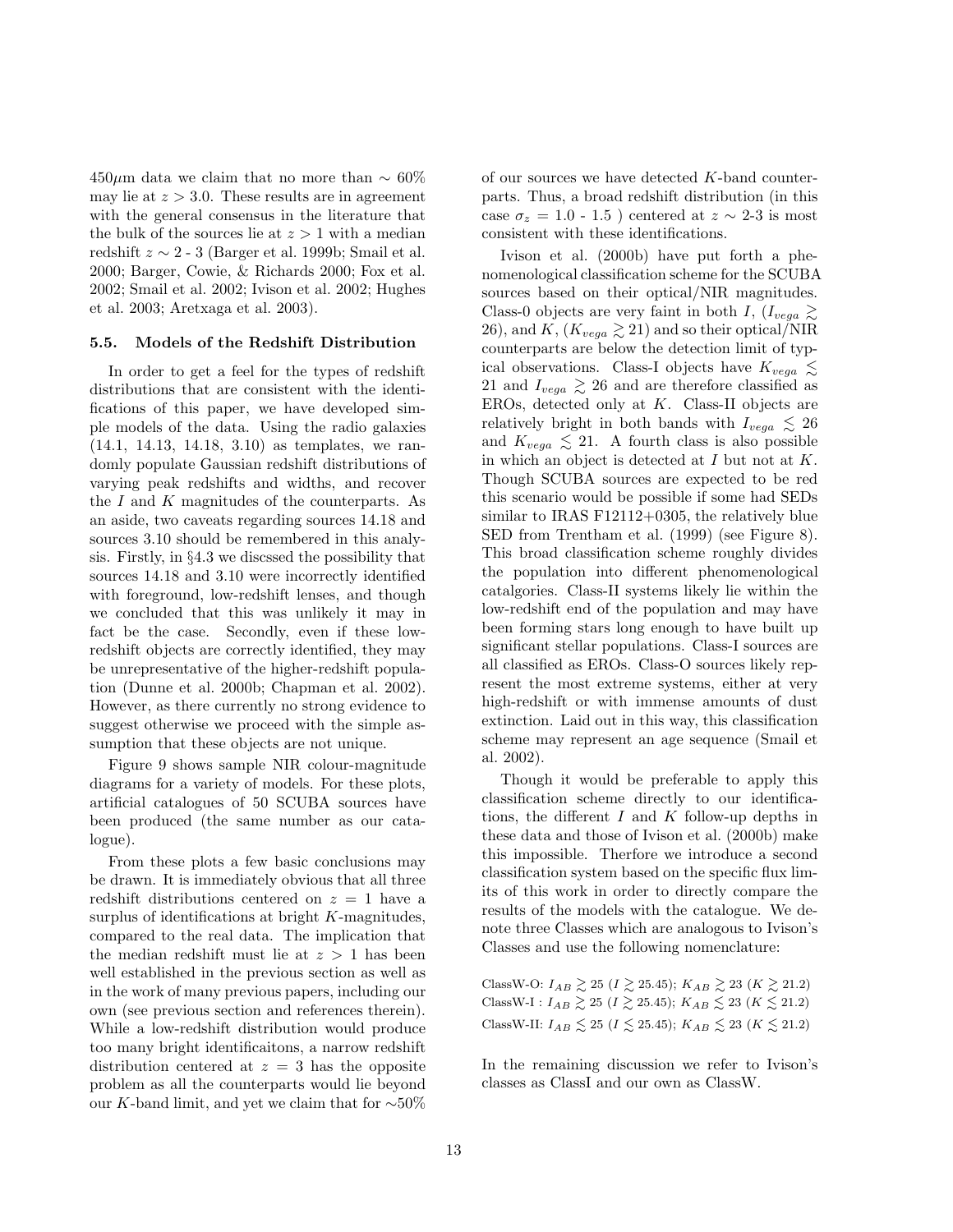450μm data we claim that no more than  $\sim$  60% may lie at  $z > 3.0$ . These results are in agreement with the general consensus in the literature that the bulk of the sources lie at  $z > 1$  with a median redshift  $z \sim 2$  - 3 (Barger et al. 1999b; Smail et al. 2000; Barger, Cowie, & Richards 2000; Fox et al. 2002; Smail et al. 2002; Ivison et al. 2002; Hughes et al. 2003; Aretxaga et al. 2003).

#### 5.5. Models of the Redshift Distribution

In order to get a feel for the types of redshift distributions that are consistent with the identifications of this paper, we have developed simple models of the data. Using the radio galaxies (14.1, 14.13, 14.18, 3.10) as templates, we randomly populate Gaussian redshift distributions of varying peak redshifts and widths, and recover the  $I$  and  $K$  magnitudes of the counterparts. As an aside, two caveats regarding sources 14.18 and sources 3.10 should be remembered in this analysis. Firstly, in §4.3 we discssed the possibility that sources 14.18 and 3.10 were incorrectly identified with foreground, low-redshift lenses, and though we concluded that this was unlikely it may in fact be the case. Secondly, even if these lowredshift objects are correctly identified, they may be unrepresentative of the higher-redshift population (Dunne et al. 2000b; Chapman et al. 2002). However, as there currently no strong evidence to suggest otherwise we proceed with the simple assumption that these objects are not unique.

Figure 9 shows sample NIR colour-magnitude diagrams for a variety of models. For these plots, artificial catalogues of 50 SCUBA sources have been produced (the same number as our catalogue).

From these plots a few basic conclusions may be drawn. It is immediately obvious that all three redshift distributions centered on  $z = 1$  have a surplus of identifications at bright  $K$ -magnitudes, compared to the real data. The implication that the median redshift must lie at  $z > 1$  has been well established in the previous section as well as in the work of many previous papers, including our own (see previous section and references therein). While a low-redshift distribution would produce too many bright identificaitons, a narrow redshift distribution centered at  $z = 3$  has the opposite problem as all the counterparts would lie beyond our K-band limit, and yet we claim that for ∼50% of our sources we have detected K-band counterparts. Thus, a broad redshift distribution (in this case  $\sigma_z = 1.0 - 1.5$ ) centered at  $z \sim 2-3$  is most consistent with these identifications.

Ivison et al. (2000b) have put forth a phenomenological classification scheme for the SCUBA sources based on their optical/NIR magnitudes. Class-0 objects are very faint in both I,  $(I_{veqa} \geq$ 26), and K,  $(K_{vega} \geq 21)$  and so their optical/NIR counterparts are below the detection limit of typical observations. Class-I objects have  $K_{vega} \lesssim$ 21 and  $I_{vega} \ge 26$  and are therefore classified as EROs, detected only at  $K$ . Class-II objects are relatively bright in both bands with  $I_{vega} \leq 26$ and  $K_{vega} \leq 21$ . A fourth class is also possible in which an object is detected at  $I$  but not at  $K$ . Though SCUBA sources are expected to be red this scenario would be possible if some had SEDs similar to IRAS F12112+0305, the relatively blue SED from Trentham et al. (1999) (see Figure 8). This broad classification scheme roughly divides the population into different phenomenological catalgories. Class-II systems likely lie within the low-redshift end of the population and may have been forming stars long enough to have built up significant stellar populations. Class-I sources are all classified as EROs. Class-O sources likely represent the most extreme systems, either at very high-redshift or with immense amounts of dust extinction. Laid out in this way, this classification scheme may represent an age sequence (Smail et al. 2002).

Though it would be preferable to apply this classification scheme directly to our identifications, the different  $I$  and  $K$  follow-up depths in these data and those of Ivison et al. (2000b) make this impossible. Therfore we introduce a second classification system based on the specific flux limits of this work in order to directly compare the results of the models with the catalogue. We denote three Classes which are analogous to Ivison's Classes and use the following nomenclature:

ClassW-O:  $I_{AB} \gtrsim 25$  ( $I \gtrsim 25.45$ );  $K_{AB} \gtrsim 23$  ( $K \gtrsim 21.2$ ) ClassW-I :  $I_{AB} \gtrsim 25$  ( $I \gtrsim 25.45$ );  $K_{AB} \lesssim 23$  ( $K \lesssim 21.2$ ) ClassW-II:  $I_{AB} \leq 25$  ( $I \leq 25.45$ );  $K_{AB} \leq 23$  ( $K \leq 21.2$ )

In the remaining discussion we refer to Ivison's classes as ClassI and our own as ClassW.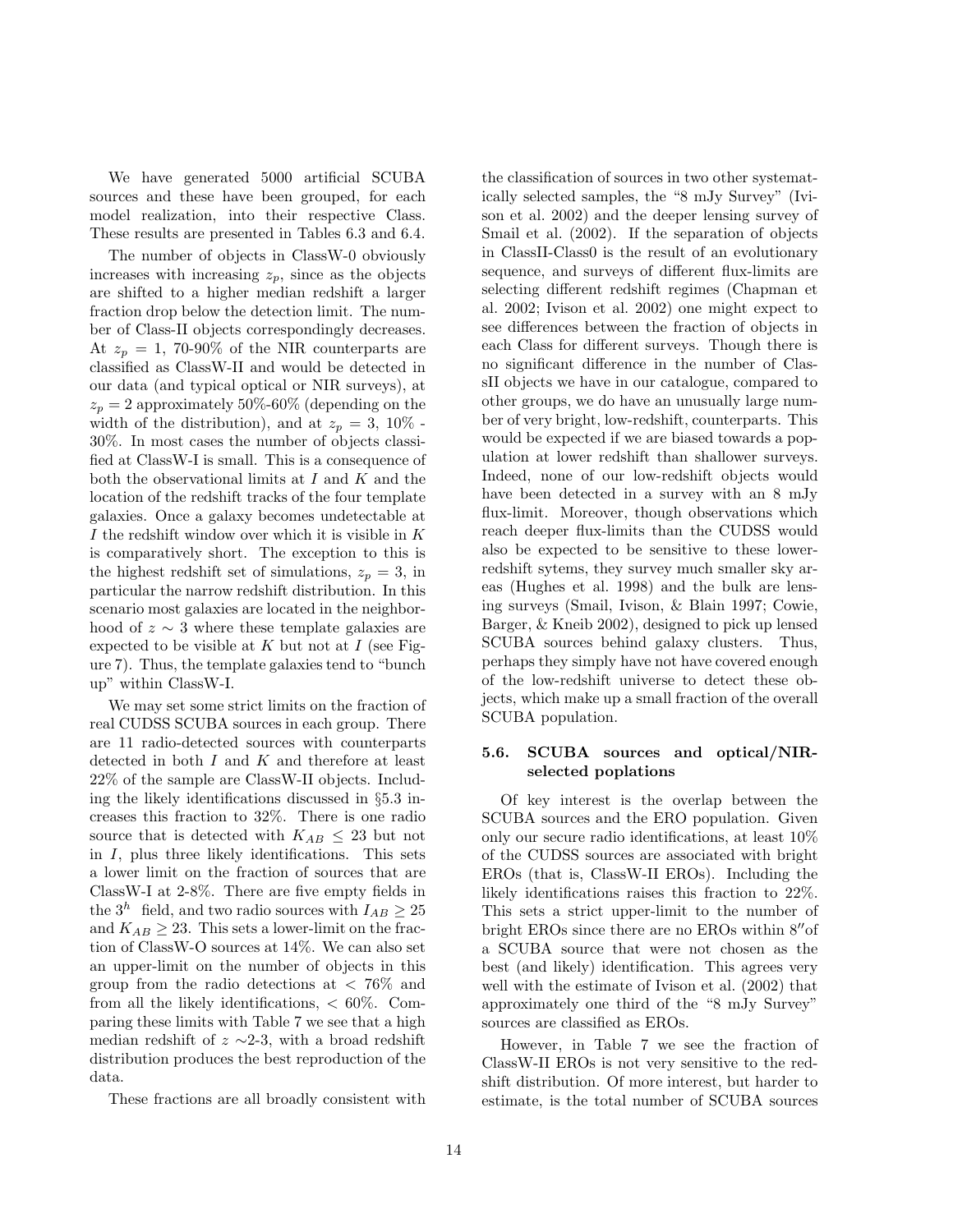We have generated 5000 artificial SCUBA sources and these have been grouped, for each model realization, into their respective Class. These results are presented in Tables 6.3 and 6.4.

The number of objects in ClassW-0 obviously increases with increasing  $z_p$ , since as the objects are shifted to a higher median redshift a larger fraction drop below the detection limit. The number of Class-II objects correspondingly decreases. At  $z_p = 1$ , 70-90% of the NIR counterparts are classified as ClassW-II and would be detected in our data (and typical optical or NIR surveys), at  $z_p = 2$  approximately 50%-60% (depending on the width of the distribution), and at  $z_p = 3$ , 10% -30%. In most cases the number of objects classified at ClassW-I is small. This is a consequence of both the observational limits at  $I$  and  $K$  and the location of the redshift tracks of the four template galaxies. Once a galaxy becomes undetectable at I the redshift window over which it is visible in K is comparatively short. The exception to this is the highest redshift set of simulations,  $z_p = 3$ , in particular the narrow redshift distribution. In this scenario most galaxies are located in the neighborhood of  $z \sim 3$  where these template galaxies are expected to be visible at  $K$  but not at  $I$  (see Figure 7). Thus, the template galaxies tend to "bunch up" within ClassW-I.

We may set some strict limits on the fraction of real CUDSS SCUBA sources in each group. There are 11 radio-detected sources with counterparts detected in both  $I$  and  $K$  and therefore at least 22% of the sample are ClassW-II objects. Including the likely identifications discussed in §5.3 increases this fraction to 32%. There is one radio source that is detected with  $K_{AB} \leq 23$  but not in  $I$ , plus three likely identifications. This sets a lower limit on the fraction of sources that are ClassW-I at 2-8%. There are five empty fields in the  $3^h$  field, and two radio sources with  $I_{AB} \geq 25$ and  $K_{AB} \geq 23$ . This sets a lower-limit on the fraction of ClassW-O sources at 14%. We can also set an upper-limit on the number of objects in this group from the radio detections at  $\langle 76\% \rangle$  and from all the likely identifications,  $< 60\%$ . Comparing these limits with Table 7 we see that a high median redshift of  $z \sim 2-3$ , with a broad redshift distribution produces the best reproduction of the data.

These fractions are all broadly consistent with

the classification of sources in two other systematically selected samples, the "8 mJy Survey" (Ivison et al. 2002) and the deeper lensing survey of Smail et al. (2002). If the separation of objects in ClassII-Class0 is the result of an evolutionary sequence, and surveys of different flux-limits are selecting different redshift regimes (Chapman et al. 2002; Ivison et al. 2002) one might expect to see differences between the fraction of objects in each Class for different surveys. Though there is no significant difference in the number of ClassII objects we have in our catalogue, compared to other groups, we do have an unusually large number of very bright, low-redshift, counterparts. This would be expected if we are biased towards a population at lower redshift than shallower surveys. Indeed, none of our low-redshift objects would have been detected in a survey with an 8 mJy flux-limit. Moreover, though observations which reach deeper flux-limits than the CUDSS would also be expected to be sensitive to these lowerredshift sytems, they survey much smaller sky areas (Hughes et al. 1998) and the bulk are lensing surveys (Smail, Ivison, & Blain 1997; Cowie, Barger, & Kneib 2002), designed to pick up lensed SCUBA sources behind galaxy clusters. Thus, perhaps they simply have not have covered enough of the low-redshift universe to detect these objects, which make up a small fraction of the overall SCUBA population.

# 5.6. SCUBA sources and optical/NIRselected poplations

Of key interest is the overlap between the SCUBA sources and the ERO population. Given only our secure radio identifications, at least 10% of the CUDSS sources are associated with bright EROs (that is, ClassW-II EROs). Including the likely identifications raises this fraction to 22%. This sets a strict upper-limit to the number of bright EROs since there are no EROs within 8′′of a SCUBA source that were not chosen as the best (and likely) identification. This agrees very well with the estimate of Ivison et al. (2002) that approximately one third of the "8 mJy Survey" sources are classified as EROs.

However, in Table 7 we see the fraction of ClassW-II EROs is not very sensitive to the redshift distribution. Of more interest, but harder to estimate, is the total number of SCUBA sources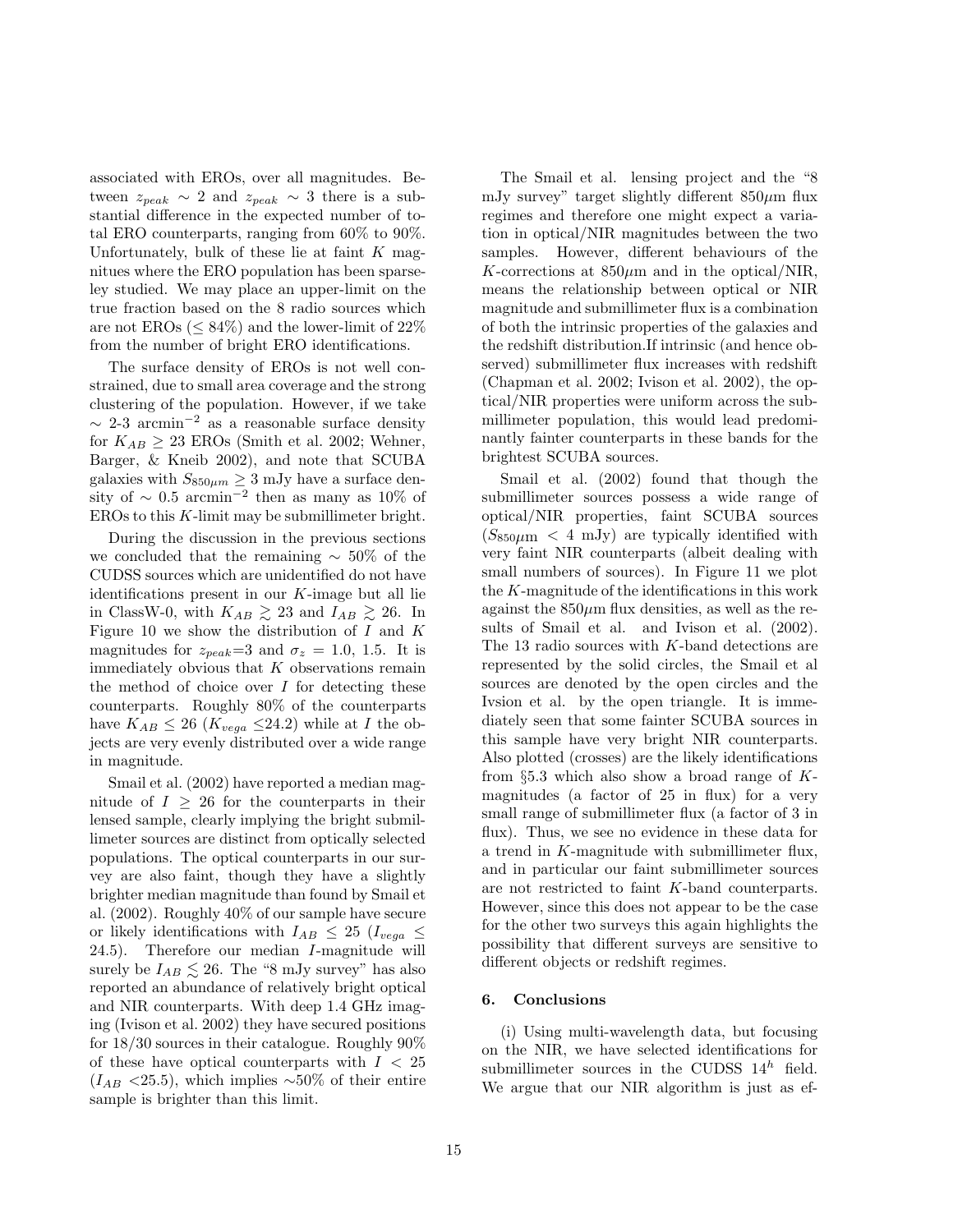associated with EROs, over all magnitudes. Between  $z_{peak} \sim 2$  and  $z_{peak} \sim 3$  there is a substantial difference in the expected number of total ERO counterparts, ranging from 60% to 90%. Unfortunately, bulk of these lie at faint  $K$  magnitues where the ERO population has been sparseley studied. We may place an upper-limit on the true fraction based on the 8 radio sources which are not EROs ( $\leq 84\%$ ) and the lower-limit of 22% from the number of bright ERO identifications.

The surface density of EROs is not well constrained, due to small area coverage and the strong clustering of the population. However, if we take  $\sim$  2-3 arcmin<sup>-2</sup> as a reasonable surface density for  $K_{AB} \geq 23$  EROs (Smith et al. 2002; Wehner, Barger, & Kneib 2002), and note that SCUBA galaxies with  $S_{850\mu m} \geq 3$  mJy have a surface density of  $\sim 0.5$  arcmin<sup>-2</sup> then as many as 10% of EROs to this K-limit may be submillimeter bright.

During the discussion in the previous sections we concluded that the remaining  $~\sim~50\%$  of the CUDSS sources which are unidentified do not have identifications present in our  $K$ -image but all lie in ClassW-0, with  $K_{AB} \gtrsim 23$  and  $I_{AB} \gtrsim 26$ . In Figure 10 we show the distribution of  $I$  and  $K$ magnitudes for  $z_{peak}=3$  and  $\sigma_z = 1.0, 1.5$ . It is immediately obvious that  $K$  observations remain the method of choice over  $I$  for detecting these counterparts. Roughly 80% of the counterparts have  $K_{AB} \leq 26$  ( $K_{vega} \leq 24.2$ ) while at I the objects are very evenly distributed over a wide range in magnitude.

Smail et al. (2002) have reported a median magnitude of  $I \geq 26$  for the counterparts in their lensed sample, clearly implying the bright submillimeter sources are distinct from optically selected populations. The optical counterparts in our survey are also faint, though they have a slightly brighter median magnitude than found by Smail et al. (2002). Roughly 40% of our sample have secure or likely identifications with  $I_{AB} \leq 25$  ( $I_{vega} \leq$ 24.5). Therefore our median I-magnitude will surely be  $I_{AB} \lesssim 26$ . The "8 mJy survey" has also reported an abundance of relatively bright optical and NIR counterparts. With deep 1.4 GHz imaging (Ivison et al. 2002) they have secured positions for 18/30 sources in their catalogue. Roughly 90% of these have optical counterparts with  $I < 25$  $(I_{AB}$  <25.5), which implies ~50% of their entire sample is brighter than this limit.

The Smail et al. lensing project and the "8 mJy survey" target slightly different  $850 \mu m$  flux regimes and therefore one might expect a variation in optical/NIR magnitudes between the two samples. However, different behaviours of the K-corrections at  $850\mu m$  and in the optical/NIR, means the relationship between optical or NIR magnitude and submillimeter flux is a combination of both the intrinsic properties of the galaxies and the redshift distribution.If intrinsic (and hence observed) submillimeter flux increases with redshift (Chapman et al. 2002; Ivison et al. 2002), the optical/NIR properties were uniform across the submillimeter population, this would lead predominantly fainter counterparts in these bands for the brightest SCUBA sources.

Smail et al. (2002) found that though the submillimeter sources possess a wide range of optical/NIR properties, faint SCUBA sources  $(S_{850\mu m} < 4$  mJy) are typically identified with very faint NIR counterparts (albeit dealing with small numbers of sources). In Figure 11 we plot the K-magnitude of the identifications in this work against the  $850\mu$ m flux densities, as well as the results of Smail et al. and Ivison et al. (2002). The 13 radio sources with K-band detections are represented by the solid circles, the Smail et al sources are denoted by the open circles and the Ivsion et al. by the open triangle. It is immediately seen that some fainter SCUBA sources in this sample have very bright NIR counterparts. Also plotted (crosses) are the likely identifications from  $\S 5.3$  which also show a broad range of  $K$ magnitudes (a factor of 25 in flux) for a very small range of submillimeter flux (a factor of 3 in flux). Thus, we see no evidence in these data for a trend in K-magnitude with submillimeter flux, and in particular our faint submillimeter sources are not restricted to faint K-band counterparts. However, since this does not appear to be the case for the other two surveys this again highlights the possibility that different surveys are sensitive to different objects or redshift regimes.

#### 6. Conclusions

(i) Using multi-wavelength data, but focusing on the NIR, we have selected identifications for submillimeter sources in the CUDSS  $14^h$  field. We argue that our NIR algorithm is just as ef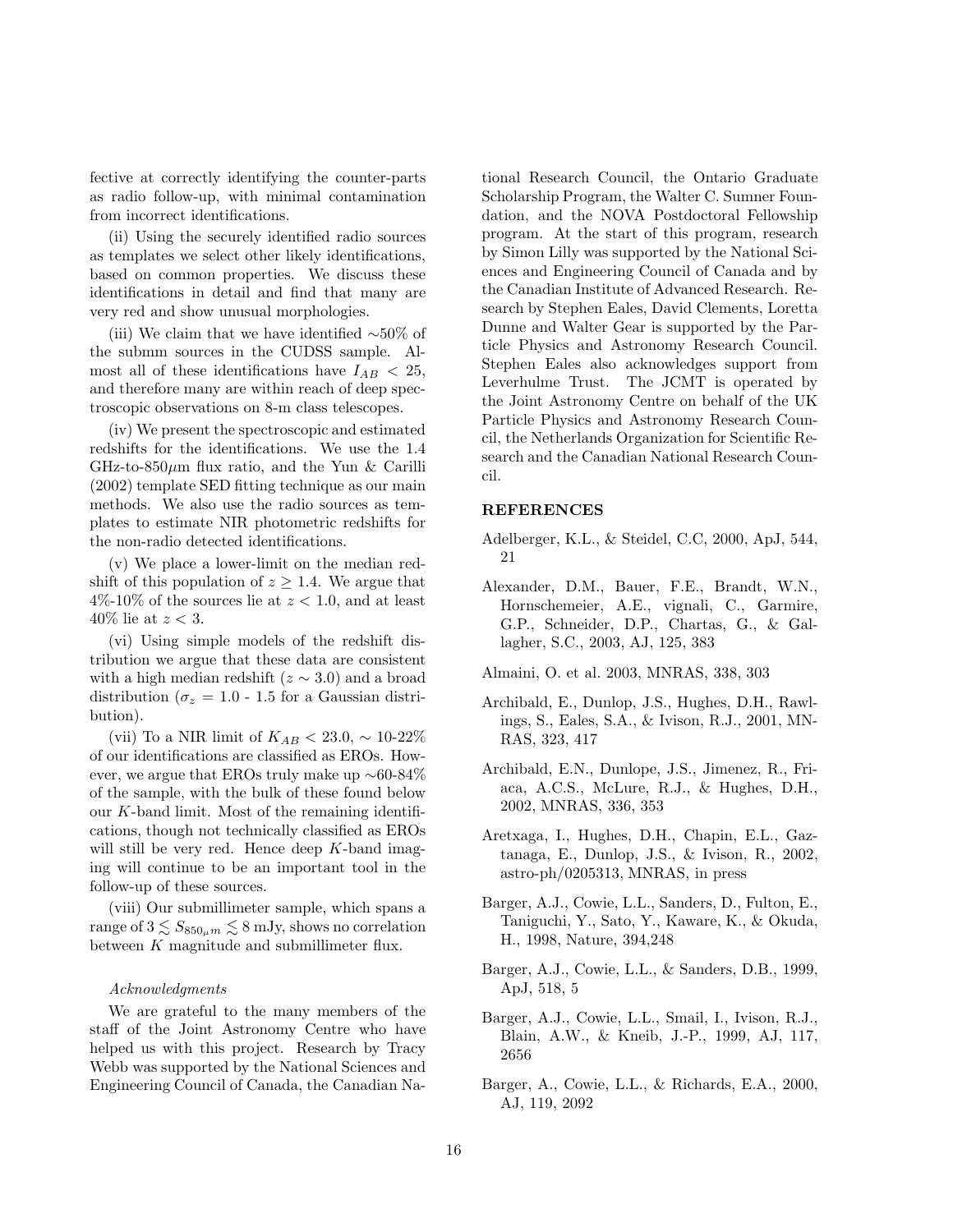fective at correctly identifying the counter-parts as radio follow-up, with minimal contamination from incorrect identifications.

(ii) Using the securely identified radio sources as templates we select other likely identifications, based on common properties. We discuss these identifications in detail and find that many are very red and show unusual morphologies.

(iii) We claim that we have identified ∼50% of the submm sources in the CUDSS sample. Almost all of these identifications have  $I_{AB} < 25$ , and therefore many are within reach of deep spectroscopic observations on 8-m class telescopes.

(iv) We present the spectroscopic and estimated redshifts for the identifications. We use the 1.4 GHz-to-850 $\mu$ m flux ratio, and the Yun & Carilli (2002) template SED fitting technique as our main methods. We also use the radio sources as templates to estimate NIR photometric redshifts for the non-radio detected identifications.

(v) We place a lower-limit on the median redshift of this population of  $z \geq 1.4$ . We argue that  $4\%$ -10% of the sources lie at  $z < 1.0$ , and at least 40\% lie at  $z < 3$ .

(vi) Using simple models of the redshift distribution we argue that these data are consistent with a high median redshift ( $z \sim 3.0$ ) and a broad distribution ( $\sigma_z = 1.0$  - 1.5 for a Gaussian distribution).

(vii) To a NIR limit of  $K_{AB} < 23.0, \sim 10-22\%$ of our identifications are classified as EROs. However, we argue that EROs truly make up ∼60-84% of the sample, with the bulk of these found below our  $K$ -band limit. Most of the remaining identifications, though not technically classified as EROs will still be very red. Hence deep K-band imaging will continue to be an important tool in the follow-up of these sources.

(viii) Our submillimeter sample, which spans a range of  $3 \lesssim S_{850_{\mu}m} \lesssim 8$  mJy, shows no correlation between K magnitude and submillimeter flux.

#### Acknowledgments

We are grateful to the many members of the staff of the Joint Astronomy Centre who have helped us with this project. Research by Tracy Webb was supported by the National Sciences and Engineering Council of Canada, the Canadian National Research Council, the Ontario Graduate Scholarship Program, the Walter C. Sumner Foundation, and the NOVA Postdoctoral Fellowship program. At the start of this program, research by Simon Lilly was supported by the National Sciences and Engineering Council of Canada and by the Canadian Institute of Advanced Research. Research by Stephen Eales, David Clements, Loretta Dunne and Walter Gear is supported by the Particle Physics and Astronomy Research Council. Stephen Eales also acknowledges support from Leverhulme Trust. The JCMT is operated by the Joint Astronomy Centre on behalf of the UK Particle Physics and Astronomy Research Council, the Netherlands Organization for Scientific Research and the Canadian National Research Council.

#### REFERENCES

- Adelberger, K.L., & Steidel, C.C, 2000, ApJ, 544, 21
- Alexander, D.M., Bauer, F.E., Brandt, W.N., Hornschemeier, A.E., vignali, C., Garmire, G.P., Schneider, D.P., Chartas, G., & Gallagher, S.C., 2003, AJ, 125, 383
- Almaini, O. et al. 2003, MNRAS, 338, 303
- Archibald, E., Dunlop, J.S., Hughes, D.H., Rawlings, S., Eales, S.A., & Ivison, R.J., 2001, MN-RAS, 323, 417
- Archibald, E.N., Dunlope, J.S., Jimenez, R., Friaca, A.C.S., McLure, R.J., & Hughes, D.H., 2002, MNRAS, 336, 353
- Aretxaga, I., Hughes, D.H., Chapin, E.L., Gaztanaga, E., Dunlop, J.S., & Ivison, R., 2002, astro-ph/0205313, MNRAS, in press
- Barger, A.J., Cowie, L.L., Sanders, D., Fulton, E., Taniguchi, Y., Sato, Y., Kaware, K., & Okuda, H., 1998, Nature, 394,248
- Barger, A.J., Cowie, L.L., & Sanders, D.B., 1999, ApJ, 518, 5
- Barger, A.J., Cowie, L.L., Smail, I., Ivison, R.J., Blain, A.W., & Kneib, J.-P., 1999, AJ, 117, 2656
- Barger, A., Cowie, L.L., & Richards, E.A., 2000, AJ, 119, 2092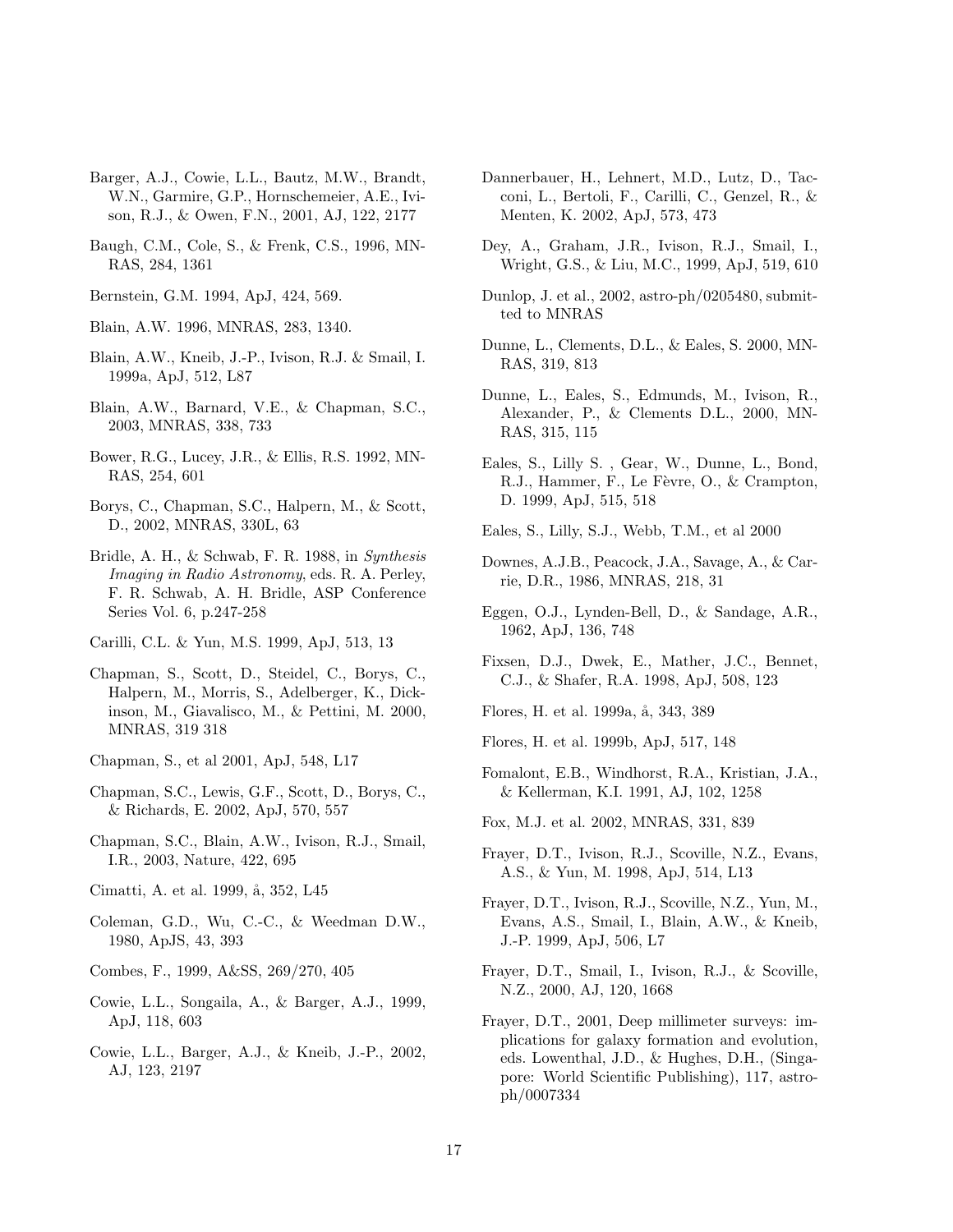- Barger, A.J., Cowie, L.L., Bautz, M.W., Brandt, W.N., Garmire, G.P., Hornschemeier, A.E., Ivison, R.J., & Owen, F.N., 2001, AJ, 122, 2177
- Baugh, C.M., Cole, S., & Frenk, C.S., 1996, MN-RAS, 284, 1361
- Bernstein, G.M. 1994, ApJ, 424, 569.

Blain, A.W. 1996, MNRAS, 283, 1340.

- Blain, A.W., Kneib, J.-P., Ivison, R.J. & Smail, I. 1999a, ApJ, 512, L87
- Blain, A.W., Barnard, V.E., & Chapman, S.C., 2003, MNRAS, 338, 733
- Bower, R.G., Lucey, J.R., & Ellis, R.S. 1992, MN-RAS, 254, 601
- Borys, C., Chapman, S.C., Halpern, M., & Scott, D., 2002, MNRAS, 330L, 63
- Bridle, A. H., & Schwab, F. R. 1988, in Synthesis Imaging in Radio Astronomy, eds. R. A. Perley, F. R. Schwab, A. H. Bridle, ASP Conference Series Vol. 6, p.247-258
- Carilli, C.L. & Yun, M.S. 1999, ApJ, 513, 13
- Chapman, S., Scott, D., Steidel, C., Borys, C., Halpern, M., Morris, S., Adelberger, K., Dickinson, M., Giavalisco, M., & Pettini, M. 2000, MNRAS, 319 318
- Chapman, S., et al 2001, ApJ, 548, L17
- Chapman, S.C., Lewis, G.F., Scott, D., Borys, C., & Richards, E. 2002, ApJ, 570, 557
- Chapman, S.C., Blain, A.W., Ivison, R.J., Smail, I.R., 2003, Nature, 422, 695
- Cimatti, A. et al. 1999, å, 352, L45
- Coleman, G.D., Wu, C.-C., & Weedman D.W., 1980, ApJS, 43, 393
- Combes, F., 1999, A&SS, 269/270, 405
- Cowie, L.L., Songaila, A., & Barger, A.J., 1999, ApJ, 118, 603
- Cowie, L.L., Barger, A.J., & Kneib, J.-P., 2002, AJ, 123, 2197
- Dannerbauer, H., Lehnert, M.D., Lutz, D., Tacconi, L., Bertoli, F., Carilli, C., Genzel, R., & Menten, K. 2002, ApJ, 573, 473
- Dey, A., Graham, J.R., Ivison, R.J., Smail, I., Wright, G.S., & Liu, M.C., 1999, ApJ, 519, 610
- Dunlop, J. et al., 2002, astro-ph/0205480, submitted to MNRAS
- Dunne, L., Clements, D.L., & Eales, S. 2000, MN-RAS, 319, 813
- Dunne, L., Eales, S., Edmunds, M., Ivison, R., Alexander, P., & Clements D.L., 2000, MN-RAS, 315, 115
- Eales, S., Lilly S. , Gear, W., Dunne, L., Bond, R.J., Hammer, F., Le Fèvre, O., & Crampton, D. 1999, ApJ, 515, 518
- Eales, S., Lilly, S.J., Webb, T.M., et al 2000
- Downes, A.J.B., Peacock, J.A., Savage, A., & Carrie, D.R., 1986, MNRAS, 218, 31
- Eggen, O.J., Lynden-Bell, D., & Sandage, A.R., 1962, ApJ, 136, 748
- Fixsen, D.J., Dwek, E., Mather, J.C., Bennet, C.J., & Shafer, R.A. 1998, ApJ, 508, 123
- Flores, H. et al. 1999a, å, 343, 389
- Flores, H. et al. 1999b, ApJ, 517, 148
- Fomalont, E.B., Windhorst, R.A., Kristian, J.A., & Kellerman, K.I. 1991, AJ, 102, 1258
- Fox, M.J. et al. 2002, MNRAS, 331, 839
- Frayer, D.T., Ivison, R.J., Scoville, N.Z., Evans, A.S., & Yun, M. 1998, ApJ, 514, L13
- Frayer, D.T., Ivison, R.J., Scoville, N.Z., Yun, M., Evans, A.S., Smail, I., Blain, A.W., & Kneib, J.-P. 1999, ApJ, 506, L7
- Frayer, D.T., Smail, I., Ivison, R.J., & Scoville, N.Z., 2000, AJ, 120, 1668
- Frayer, D.T., 2001, Deep millimeter surveys: implications for galaxy formation and evolution, eds. Lowenthal, J.D., & Hughes, D.H., (Singapore: World Scientific Publishing), 117, astroph/0007334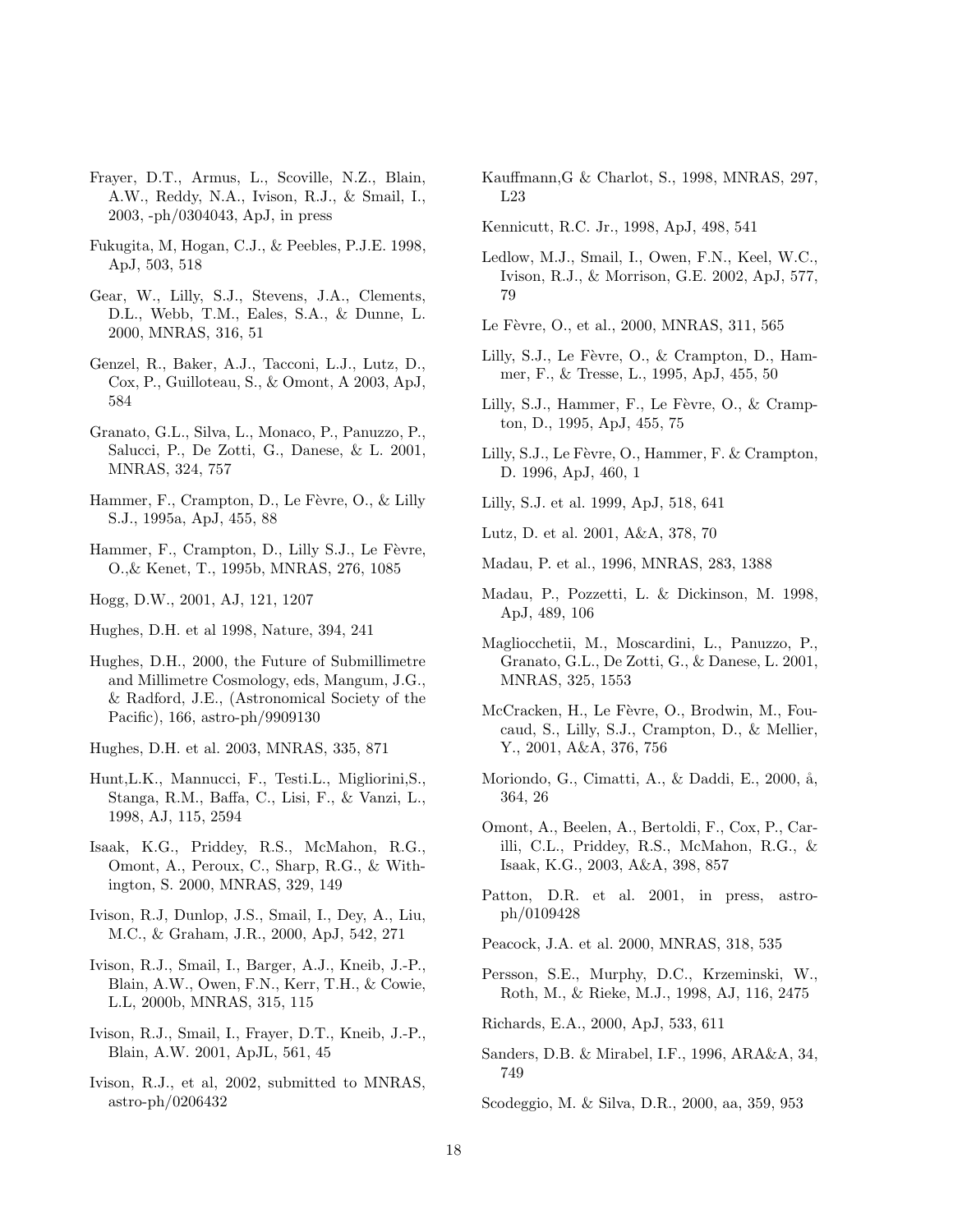- Frayer, D.T., Armus, L., Scoville, N.Z., Blain, A.W., Reddy, N.A., Ivison, R.J., & Smail, I., 2003, -ph/0304043, ApJ, in press
- Fukugita, M, Hogan, C.J., & Peebles, P.J.E. 1998, ApJ, 503, 518
- Gear, W., Lilly, S.J., Stevens, J.A., Clements, D.L., Webb, T.M., Eales, S.A., & Dunne, L. 2000, MNRAS, 316, 51
- Genzel, R., Baker, A.J., Tacconi, L.J., Lutz, D., Cox, P., Guilloteau, S., & Omont, A 2003, ApJ, 584
- Granato, G.L., Silva, L., Monaco, P., Panuzzo, P., Salucci, P., De Zotti, G., Danese, & L. 2001, MNRAS, 324, 757
- Hammer, F., Crampton, D., Le Fèvre, O.,  $&$  Lilly S.J., 1995a, ApJ, 455, 88
- Hammer, F., Crampton, D., Lilly S.J., Le Fèvre, O.,& Kenet, T., 1995b, MNRAS, 276, 1085
- Hogg, D.W., 2001, AJ, 121, 1207
- Hughes, D.H. et al 1998, Nature, 394, 241
- Hughes, D.H., 2000, the Future of Submillimetre and Millimetre Cosmology, eds, Mangum, J.G., & Radford, J.E., (Astronomical Society of the Pacific), 166, astro-ph/9909130
- Hughes, D.H. et al. 2003, MNRAS, 335, 871
- Hunt,L.K., Mannucci, F., Testi.L., Migliorini,S., Stanga, R.M., Baffa, C., Lisi, F., & Vanzi, L., 1998, AJ, 115, 2594
- Isaak, K.G., Priddey, R.S., McMahon, R.G., Omont, A., Peroux, C., Sharp, R.G., & Withington, S. 2000, MNRAS, 329, 149
- Ivison, R.J, Dunlop, J.S., Smail, I., Dey, A., Liu, M.C., & Graham, J.R., 2000, ApJ, 542, 271
- Ivison, R.J., Smail, I., Barger, A.J., Kneib, J.-P., Blain, A.W., Owen, F.N., Kerr, T.H., & Cowie, L.L, 2000b, MNRAS, 315, 115
- Ivison, R.J., Smail, I., Frayer, D.T., Kneib, J.-P., Blain, A.W. 2001, ApJL, 561, 45
- Ivison, R.J., et al, 2002, submitted to MNRAS, astro-ph/0206432
- Kauffmann,G & Charlot, S., 1998, MNRAS, 297, L23
- Kennicutt, R.C. Jr., 1998, ApJ, 498, 541
- Ledlow, M.J., Smail, I., Owen, F.N., Keel, W.C., Ivison, R.J., & Morrison, G.E. 2002, ApJ, 577, 79
- Le Fèvre, O., et al., 2000, MNRAS, 311, 565
- Lilly, S.J., Le Fèvre, O.,  $\&$  Crampton, D., Hammer, F., & Tresse, L., 1995, ApJ, 455, 50
- Lilly, S.J., Hammer, F., Le Fèvre, O.,  $& Cramp$ ton, D., 1995, ApJ, 455, 75
- Lilly, S.J., Le Fèvre, O., Hammer, F. & Crampton, D. 1996, ApJ, 460, 1

Lilly, S.J. et al. 1999, ApJ, 518, 641

Lutz, D. et al. 2001, A&A, 378, 70

- Madau, P. et al., 1996, MNRAS, 283, 1388
- Madau, P., Pozzetti, L. & Dickinson, M. 1998, ApJ, 489, 106
- Magliocchetii, M., Moscardini, L., Panuzzo, P., Granato, G.L., De Zotti, G., & Danese, L. 2001, MNRAS, 325, 1553
- McCracken, H., Le Fèvre, O., Brodwin, M., Foucaud, S., Lilly, S.J., Crampton, D., & Mellier, Y., 2001, A&A, 376, 756
- Moriondo, G., Cimatti, A., & Daddi, E., 2000, å, 364, 26
- Omont, A., Beelen, A., Bertoldi, F., Cox, P., Carilli, C.L., Priddey, R.S., McMahon, R.G., & Isaak, K.G., 2003, A&A, 398, 857
- Patton, D.R. et al. 2001, in press, astroph/0109428
- Peacock, J.A. et al. 2000, MNRAS, 318, 535
- Persson, S.E., Murphy, D.C., Krzeminski, W., Roth, M., & Rieke, M.J., 1998, AJ, 116, 2475

Richards, E.A., 2000, ApJ, 533, 611

Sanders, D.B. & Mirabel, I.F., 1996, ARA&A, 34, 749

Scodeggio, M. & Silva, D.R., 2000, aa, 359, 953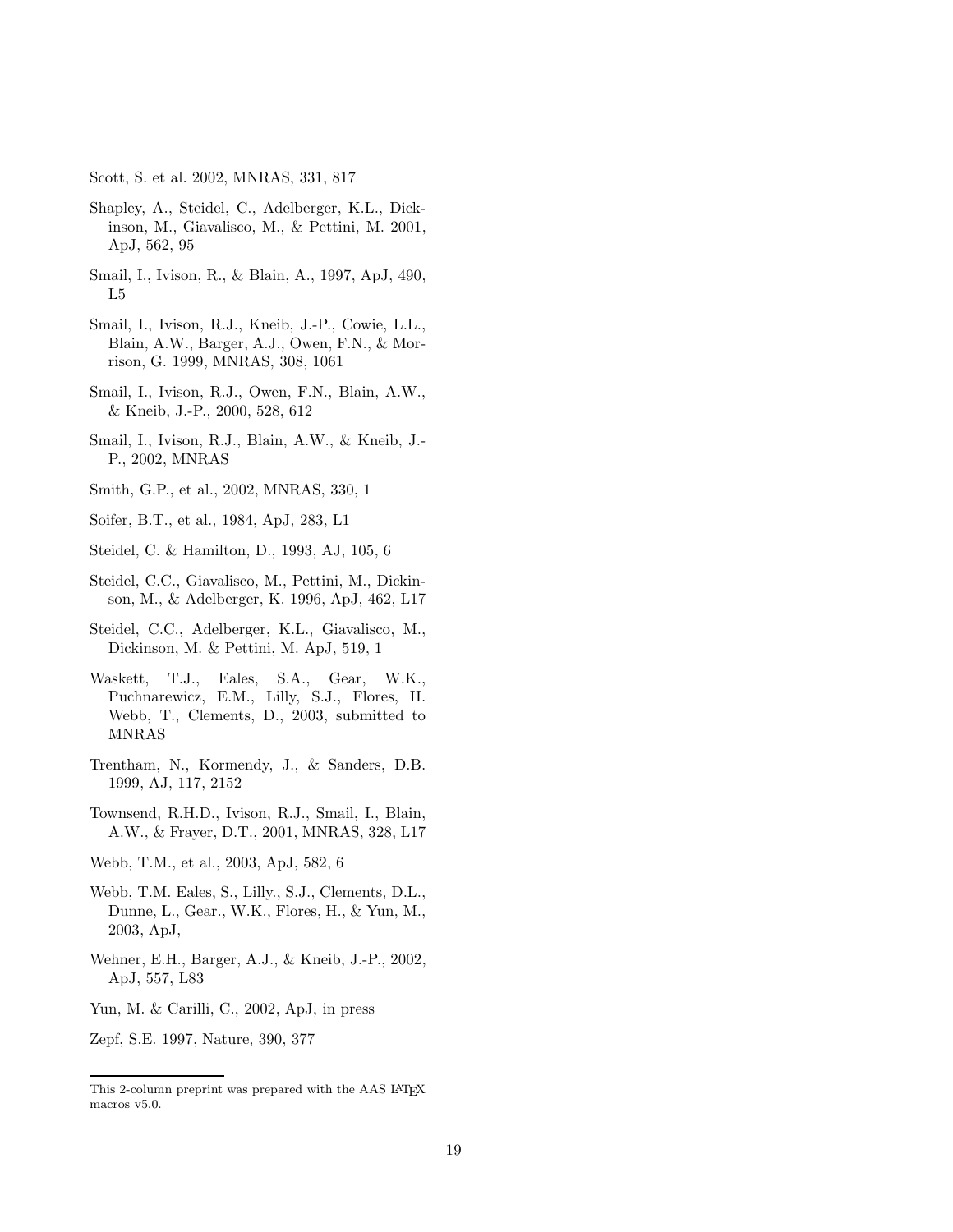Scott, S. et al. 2002, MNRAS, 331, 817

- Shapley, A., Steidel, C., Adelberger, K.L., Dickinson, M., Giavalisco, M., & Pettini, M. 2001, ApJ, 562, 95
- Smail, I., Ivison, R., & Blain, A., 1997, ApJ, 490, L5
- Smail, I., Ivison, R.J., Kneib, J.-P., Cowie, L.L., Blain, A.W., Barger, A.J., Owen, F.N., & Morrison, G. 1999, MNRAS, 308, 1061
- Smail, I., Ivison, R.J., Owen, F.N., Blain, A.W., & Kneib, J.-P., 2000, 528, 612
- Smail, I., Ivison, R.J., Blain, A.W., & Kneib, J.- P., 2002, MNRAS
- Smith, G.P., et al., 2002, MNRAS, 330, 1

Soifer, B.T., et al., 1984, ApJ, 283, L1

- Steidel, C. & Hamilton, D., 1993, AJ, 105, 6
- Steidel, C.C., Giavalisco, M., Pettini, M., Dickinson, M., & Adelberger, K. 1996, ApJ, 462, L17
- Steidel, C.C., Adelberger, K.L., Giavalisco, M., Dickinson, M. & Pettini, M. ApJ, 519, 1
- Waskett, T.J., Eales, S.A., Gear, W.K., Puchnarewicz, E.M., Lilly, S.J., Flores, H. Webb, T., Clements, D., 2003, submitted to MNRAS
- Trentham, N., Kormendy, J., & Sanders, D.B. 1999, AJ, 117, 2152
- Townsend, R.H.D., Ivison, R.J., Smail, I., Blain, A.W., & Frayer, D.T., 2001, MNRAS, 328, L17
- Webb, T.M., et al., 2003, ApJ, 582, 6
- Webb, T.M. Eales, S., Lilly., S.J., Clements, D.L., Dunne, L., Gear., W.K., Flores, H., & Yun, M., 2003, ApJ,
- Wehner, E.H., Barger, A.J., & Kneib, J.-P., 2002, ApJ, 557, L83
- Yun, M. & Carilli, C., 2002, ApJ, in press

Zepf, S.E. 1997, Nature, 390, 377

This 2-column preprint was prepared with the AAS LATEX macros v5.0.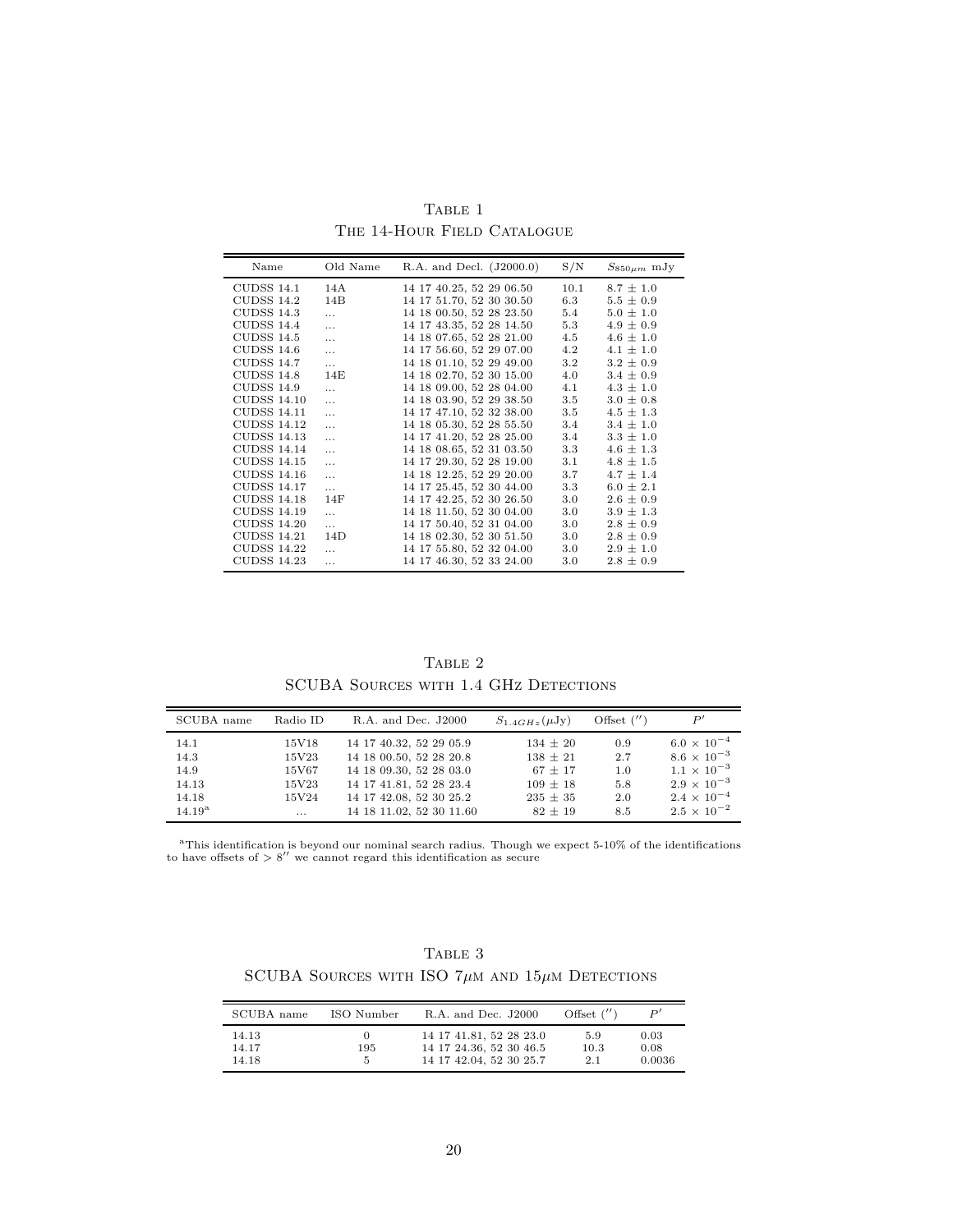| Name               | Old Name | R.A. and Decl. (J2000.0) | S/N     | $S_{850\mu m}$ mJy |
|--------------------|----------|--------------------------|---------|--------------------|
| <b>CUDSS 14.1</b>  | 14A      | 14 17 40.25, 52 29 06.50 | 10.1    | $8.7 \pm 1.0$      |
| CUDSS 14.2         | 14B      | 14 17 51.70, 52 30 30.50 | 6.3     | $5.5 \pm 0.9$      |
| <b>CUDSS 14.3</b>  | $\cdots$ | 14 18 00.50, 52 28 23.50 | 5.4     | $5.0 \pm 1.0$      |
| <b>CUDSS 14.4</b>  | $\cdots$ | 14 17 43.35, 52 28 14.50 | 5.3     | $4.9 \pm 0.9$      |
| <b>CUDSS 14.5</b>  | $\cdots$ | 14 18 07.65, 52 28 21.00 | 4.5     | $4.6 \pm 1.0$      |
| <b>CUDSS 14.6</b>  | $\cdots$ | 14 17 56.60, 52 29 07.00 | 4.2     | $4.1 \pm 1.0$      |
| CUDSS 14.7         | $\cdots$ | 14 18 01.10, 52 29 49.00 | 3.2     | $3.2 \pm 0.9$      |
| CUDSS 14.8         | 14E      | 14 18 02.70, 52 30 15.00 | 4.0     | $3.4 \pm 0.9$      |
| CUDSS 14.9         | $\cdots$ | 14 18 09.00, 52 28 04.00 | 4.1     | $4.3 \pm 1.0$      |
| CUDSS 14.10        | $\cdots$ | 14 18 03.90, 52 29 38.50 | $3.5\,$ | $3.0 \pm 0.8$      |
| CUDSS 14.11        | $\cdots$ | 14 17 47.10, 52 32 38.00 | 3.5     | $4.5 \pm 1.3$      |
| CUDSS 14.12        | $\cdots$ | 14 18 05.30, 52 28 55.50 | 3.4     | $3.4 \pm 1.0$      |
| <b>CUDSS 14.13</b> |          | 14 17 41.20, 52 28 25.00 | 3.4     | $3.3 \pm 1.0$      |
| CUDSS 14.14        |          | 14 18 08.65, 52 31 03.50 | 3.3     | $4.6 \pm 1.3$      |
| <b>CUDSS 14.15</b> | $\cdots$ | 14 17 29.30, 52 28 19.00 | 3.1     | $4.8 \pm 1.5$      |
| <b>CUDSS 14.16</b> | .        | 14 18 12.25, 52 29 20.00 | 3.7     | $4.7 \pm 1.4$      |
| <b>CUDSS 14.17</b> | $\cdots$ | 14 17 25.45, 52 30 44.00 | 3.3     | $6.0 \pm 2.1$      |
| CUDSS 14.18        | 14F      | 14 17 42.25, 52 30 26.50 | 3.0     | $2.6 \pm 0.9$      |
| CUDSS 14.19        |          | 14 18 11.50, 52 30 04.00 | 3.0     | $3.9 \pm 1.3$      |
| <b>CUDSS 14.20</b> | $\cdots$ | 14 17 50.40, 52 31 04.00 | 3.0     | $2.8 \pm 0.9$      |
| <b>CUDSS 14.21</b> | 14D      | 14 18 02.30, 52 30 51.50 | $3.0\,$ | $2.8 \pm 0.9$      |
| CUDSS 14.22        | .        | 14 17 55.80, 52 32 04.00 | 3.0     | $2.9 \pm 1.0$      |
| <b>CUDSS 14.23</b> | $\cdots$ | 14 17 46.30, 52 33 24.00 | $3.0\,$ | $2.8 \pm 0.9$      |

TABLE 1 THE 14-HOUR FIELD CATALOGUE

TABLE 2 SCUBA SOURCES WITH 1.4 GHZ DETECTIONS

| SCUBA name           | Radio ID          | R.A. and Dec. J2000                                 | $S_{1.4GHz}(\mu Jy)$        | Offset $('')$ |                                              |
|----------------------|-------------------|-----------------------------------------------------|-----------------------------|---------------|----------------------------------------------|
| 14.1                 | 15V18             | 14 17 40.32, 52 29 05.9                             | $134 \pm 20$                | 0.9           | $6.0 \times 10^{-4}$                         |
| 14.3<br>14.9         | 15V23<br>15V67    | 14 18 00.50, 52 28 20.8<br>14 18 09.30, 52 28 03.0  | $138 \pm 21$<br>$67 \pm 17$ | 2.7<br>1.0    | $8.6 \times 10^{-3}$<br>$1.1 \times 10^{-3}$ |
| 14.13                | 15V23             | 14 17 41.81, 52 28 23.4                             | $109 \pm 18$                | 5.8           | $2.9 \times 10^{-3}$                         |
| 14.18<br>$14.19^{a}$ | 15V24<br>$\cdots$ | 14 17 42.08, 52 30 25.2<br>14 18 11.02, 52 30 11.60 | $235 \pm 35$<br>$82 \pm 19$ | 2.0<br>8.5    | $2.4 \times 10^{-4}$<br>$2.5 \times 10^{-2}$ |

<sup>a</sup>This identification is beyond our nominal search radius. Though we expect 5-10% of the identifications to have offsets of  $> 8''$  we cannot regard this identification as secure

TABLE  $3$ SCUBA SOURCES WITH ISO  $7\mu{\rm m}$  and  $15\mu{\rm m}$  Detections

| SCUBA name     | ISO Number | R.A. and Dec. J2000                                | Offset $('')$ | P'           |
|----------------|------------|----------------------------------------------------|---------------|--------------|
| 14.13<br>14.17 | 195        | 14 17 41.81, 52 28 23.0<br>14 17 24.36, 52 30 46.5 | 5.9<br>10.3   | 0.03<br>0.08 |
| 14.18          | 5          | 14 17 42.04, 52 30 25.7                            | 2.1           | 0.0036       |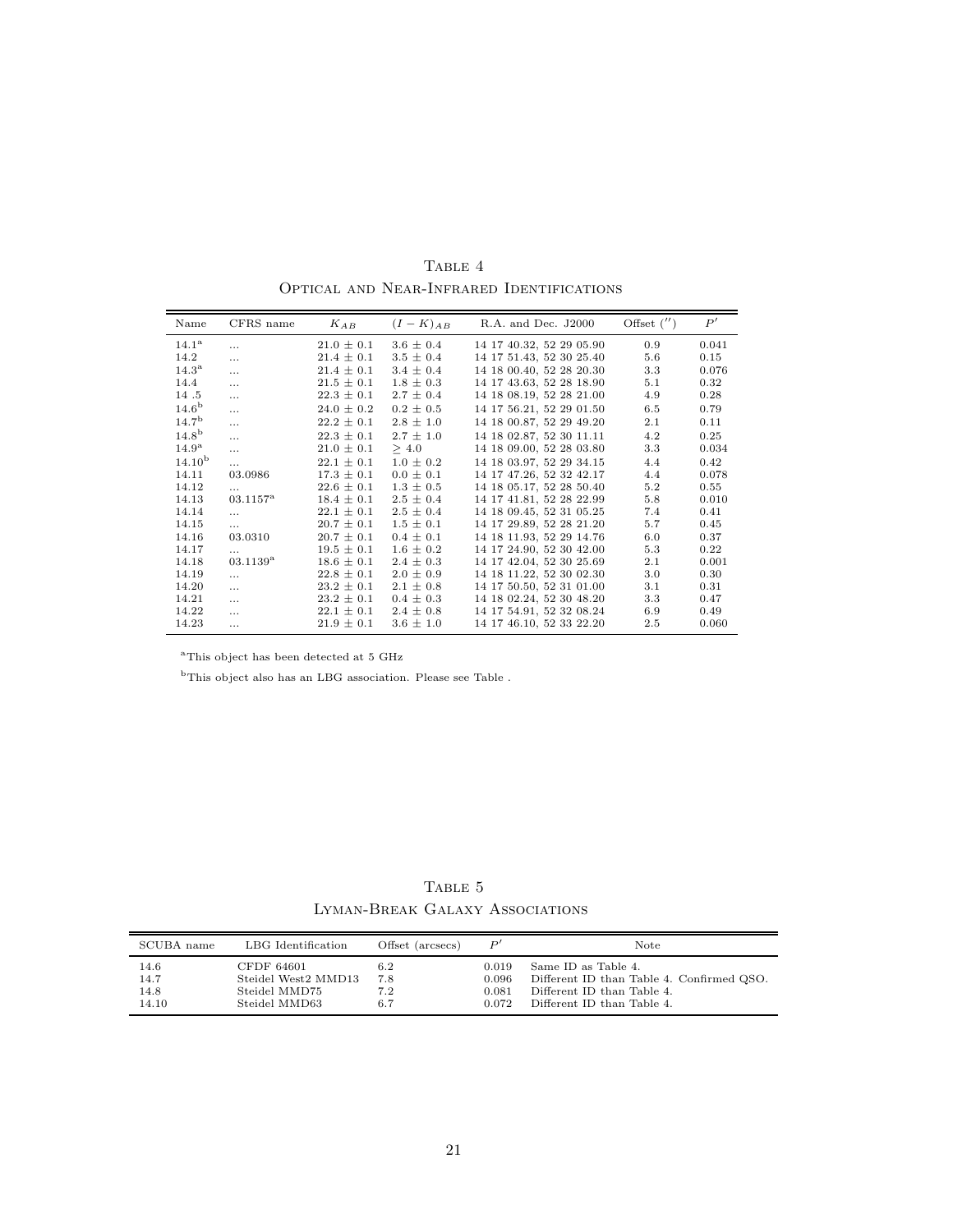| Name               | CFRS name         | $K_{AB}$       | $(I - K)_{AB}$ | R.A. and Dec. J2000      | Offset $('')$ | P'    |
|--------------------|-------------------|----------------|----------------|--------------------------|---------------|-------|
| 14.1 <sup>a</sup>  | $\cdots$          | $21.0 \pm 0.1$ | $3.6 \pm 0.4$  | 14 17 40.32, 52 29 05.90 | 0.9           | 0.041 |
| 14.2               | $\cdots$          | $21.4 \pm 0.1$ | $3.5 \pm 0.4$  | 14 17 51 43, 52 30 25 40 | 5.6           | 0.15  |
| $14.3^{\rm a}$     | $\cdots$          | $21.4 \pm 0.1$ | $3.4 \pm 0.4$  | 14 18 00.40, 52 28 20.30 | 3.3           | 0.076 |
| 14.4               | $\ldots$          | $21.5 \pm 0.1$ | $1.8 \pm 0.3$  | 14 17 43.63, 52 28 18.90 | 5.1           | 0.32  |
| 14.5               | $\cdots$          | $22.3 \pm 0.1$ | $2.7 \pm 0.4$  | 14 18 08.19, 52 28 21.00 | 4.9           | 0.28  |
| 14.6 <sup>b</sup>  | $\cdots$          | $24.0 \pm 0.2$ | $0.2 \pm 0.5$  | 14 17 56.21, 52 29 01.50 | 6.5           | 0.79  |
| 14.7 <sup>b</sup>  | $\cdots$          | $22.2 \pm 0.1$ | $2.8 \pm 1.0$  | 14 18 00.87, 52 29 49.20 | 2.1           | 0.11  |
| 14.8 <sup>b</sup>  | $\ddotsc$         | $22.3 \pm 0.1$ | $2.7 \pm 1.0$  | 14 18 02.87, 52 30 11.11 | 4.2           | 0.25  |
| 14.9 <sup>a</sup>  | $\cdots$          | $21.0 \pm 0.1$ | > 4.0          | 14 18 09:00, 52 28 03:80 | 3.3           | 0.034 |
| 14.10 <sup>b</sup> | $\cdots$          | $22.1 \pm 0.1$ | $1.0 \pm 0.2$  | 14 18 03.97, 52 29 34.15 | 4.4           | 0.42  |
| 14.11              | 03.0986           | $17.3 \pm 0.1$ | $0.0 \pm 0.1$  | 14 17 47.26, 52 32 42.17 | 4.4           | 0.078 |
| 14.12              | $\cdots$          | $22.6 \pm 0.1$ | $1.3 \pm 0.5$  | 14 18 05.17, 52 28 50.40 | 5.2           | 0.55  |
| 14.13              | $03.1157^{\rm a}$ | $18.4 \pm 0.1$ | $2.5 \pm 0.4$  | 14 17 41.81, 52 28 22.99 | 5.8           | 0.010 |
| 14.14              | $\cdots$          | $22.1 \pm 0.1$ | $2.5 \pm 0.4$  | 14 18 09.45, 52 31 05.25 | 7.4           | 0.41  |
| 14.15              | $\cdots$          | $20.7 \pm 0.1$ | $1.5 \pm 0.1$  | 14 17 29.89, 52 28 21.20 | 5.7           | 0.45  |
| 14.16              | 03.0310           | $20.7 \pm 0.1$ | $0.4 \pm 0.1$  | 14 18 11 93, 52 29 14.76 | 6.0           | 0.37  |
| 14.17              | $\cdots$          | $19.5 \pm 0.1$ | $1.6 \pm 0.2$  | 14 17 24.90, 52 30 42.00 | 5.3           | 0.22  |
| 14.18              | $03.1139^{\rm a}$ | $18.6 \pm 0.1$ | $2.4 \pm 0.3$  | 14 17 42.04, 52 30 25.69 | 2.1           | 0.001 |
| 14.19              | $\cdots$          | $22.8 \pm 0.1$ | $2.0 \pm 0.9$  | 14 18 11.22, 52 30 02.30 | 3.0           | 0.30  |
| 14.20              | $\cdots$          | $23.2 \pm 0.1$ | $2.1 \pm 0.8$  | 14 17 50.50, 52 31 01.00 | 3.1           | 0.31  |
| 14.21              | $\cdots$          | $23.2 \pm 0.1$ | $0.4 \pm 0.3$  | 14 18 02.24, 52 30 48.20 | 3.3           | 0.47  |
| 14.22              | $\cdots$          | $22.1 \pm 0.1$ | $2.4 \pm 0.8$  | 14 17 54.91, 52 32 08.24 | 6.9           | 0.49  |
| 14.23              | $\cdots$          | $21.9 \pm 0.1$ | $3.6 \pm 1.0$  | 14 17 46.10, 52 33 22.20 | 2.5           | 0.060 |

TABLE 4 Optical and Near-Infrared Identifications

 $^{\rm a}{\rm This}$  object has been detected at 5 GHz

 $^{\rm b}$  This object also has an LBG association. Please see Table .

TABLE 5 Lyman-Break Galaxy Associations

| SCUBA name | LBG Identification  | Offset (arcsecs) | P'    | Note                                      |
|------------|---------------------|------------------|-------|-------------------------------------------|
| 14.6       | CFDF 64601          | 6.2              | 0.019 | Same ID as Table 4.                       |
| 14.7       | Steidel West2 MMD13 | 7.8              | 0.096 | Different ID than Table 4. Confirmed QSO. |
| 14.8       | Steidel MMD75       | 7.2              | 0.081 | Different ID than Table 4.                |
| 14.10      | Steidel MMD63       | 6.7              | 0.072 | Different ID than Table 4.                |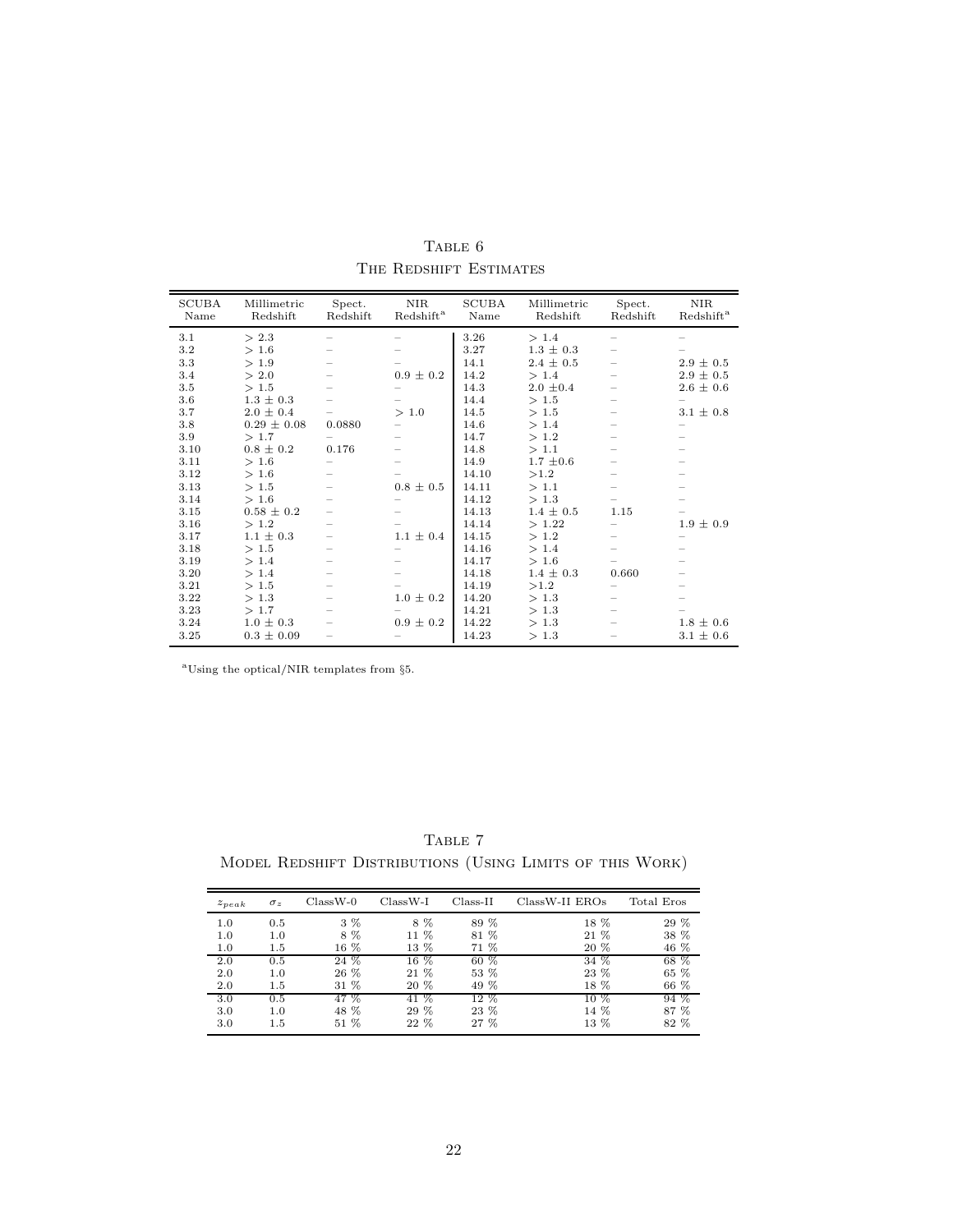| <b>SCUBA</b><br>Name | Millimetric<br>Redshift | Spect.<br>Redshift | <b>NIR</b><br>Redshift <sup>a</sup> | <b>SCUBA</b><br>Name | Millimetric<br>Redshift | Spect.<br>Redshift | <b>NIR</b><br>Redshift <sup>a</sup> |
|----------------------|-------------------------|--------------------|-------------------------------------|----------------------|-------------------------|--------------------|-------------------------------------|
| 3.1                  | > 2.3                   |                    |                                     | 3.26                 | >1.4                    |                    |                                     |
| 3.2                  | >1.6                    |                    |                                     | 3.27                 | $1.3 \pm 0.3$           |                    |                                     |
| 3.3                  | >1.9                    |                    |                                     | 14.1                 | $2.4 \pm 0.5$           |                    | $2.9 \pm 0.5$                       |
| 3.4                  | > 2.0                   |                    | $0.9 \pm 0.2$                       | 14.2                 | >1.4                    |                    | $2.9 \pm 0.5$                       |
| 3.5                  | >1.5                    |                    |                                     | 14.3                 | $2.0 \pm 0.4$           |                    | $2.6 \pm 0.6$                       |
| 3.6                  | $1.3 \pm 0.3$           |                    |                                     | 14.4                 | >1.5                    |                    |                                     |
| 3.7                  | $2.0 \pm 0.4$           |                    | > 1.0                               | 14.5                 | >1.5                    |                    | $3.1 \pm 0.8$                       |
| 3.8                  | $0.29 \pm 0.08$         | 0.0880             |                                     | 14.6                 | >1.4                    |                    |                                     |
| 3.9                  | >1.7                    |                    |                                     | 14.7                 | >1.2                    |                    |                                     |
| 3.10                 | $0.8 \pm 0.2$           | 0.176              |                                     | 14.8                 | >1.1                    |                    |                                     |
| 3.11                 | >1.6                    |                    |                                     | 14.9                 | $1.7 \pm 0.6$           |                    |                                     |
| 3.12                 | >1.6                    |                    |                                     | 14.10                | >1.2                    |                    |                                     |
| 3.13                 | >1.5                    |                    | $0.8 \pm 0.5$                       | 14.11                | >1.1                    |                    |                                     |
| 3.14                 | >1.6                    |                    |                                     | 14.12                | >1.3                    |                    |                                     |
| 3.15                 | $0.58 \pm 0.2$          |                    |                                     | 14.13                | $1.4 \pm 0.5$           | 1.15               |                                     |
| 3.16                 | >1.2                    |                    |                                     | 14.14                | >1.22                   |                    | $1.9 \pm 0.9$                       |
| 3.17                 | $1.1 \pm 0.3$           |                    | $1.1 \pm 0.4$                       | 14.15                | >1.2                    |                    |                                     |
| 3.18                 | >1.5                    |                    |                                     | 14.16                | >1.4                    |                    |                                     |
| 3.19                 | >1.4                    |                    |                                     | 14.17                | >1.6                    |                    |                                     |
| 3.20                 | >1.4                    |                    |                                     | 14.18                | $1.4 \pm 0.3$           | 0.660              |                                     |
| 3.21                 | >1.5                    |                    |                                     | 14.19                | >1.2                    |                    |                                     |
| 3.22                 | >1.3                    |                    | $1.0 \pm 0.2$                       | 14.20                | >1.3                    |                    |                                     |
| 3.23                 | >1.7                    |                    |                                     | 14.21                | >1.3                    |                    |                                     |
| 3.24                 | $1.0 \pm 0.3$           |                    | $0.9 \pm 0.2$                       | 14.22                | >1.3                    |                    | $1.8 \pm 0.6$                       |
| 3.25                 | $0.3 \pm 0.09$          |                    |                                     | 14.23                | >1.3                    |                    | $3.1 \pm 0.6$                       |

TABLE  $\,$ THE REDSHIFT ESTIMATES

 $\mathrm{^{a}Using}$  the optical/NIR templates from §5.

TABLE  $7\,$ MODEL REDSHIFT DISTRIBUTIONS (USING LIMITS OF THIS WORK)

| $z_{peak}$ | $\sigma_z$ | $ClassW-0$ | $ClassW-I$ | $Class-II$ | ClassW-II EROs | Total Eros |
|------------|------------|------------|------------|------------|----------------|------------|
| 1.0        | 0.5        | $3\%$      | 8 %        | 89 %       | 18 %           | 29 %       |
| 1.0        | 1.0        | 8 %        | 11 %       | 81 %       | 21 %           | 38 %       |
| 1.0        | $1.5\,$    | 16 %       | 13 %       | 71 %       | 20 %           | 46 %       |
| 2.0        | 0.5        | 24 %       | $16\%$     | $60\%$     | 34 %           | 68 %       |
| 2.0        | 1.0        | 26 %       | 21 %       | 53 %       | 23 %           | 65 %       |
| 2.0        | 1.5        | 31 %       | 20 %       | 49 %       | 18 %           | 66 %       |
| 3.0        | 0.5        | 47 %       | 41 %       | $12\%$     | $10\%$         | 94 %       |
| 3.0        | 1.0        | 48 %       | 29 %       | 23 %       | 14 %           | 87 %       |
| 3.0        | 1.5        | $51\%$     | $22\%$     | $27 \%$    | $13\%$         | 82 %       |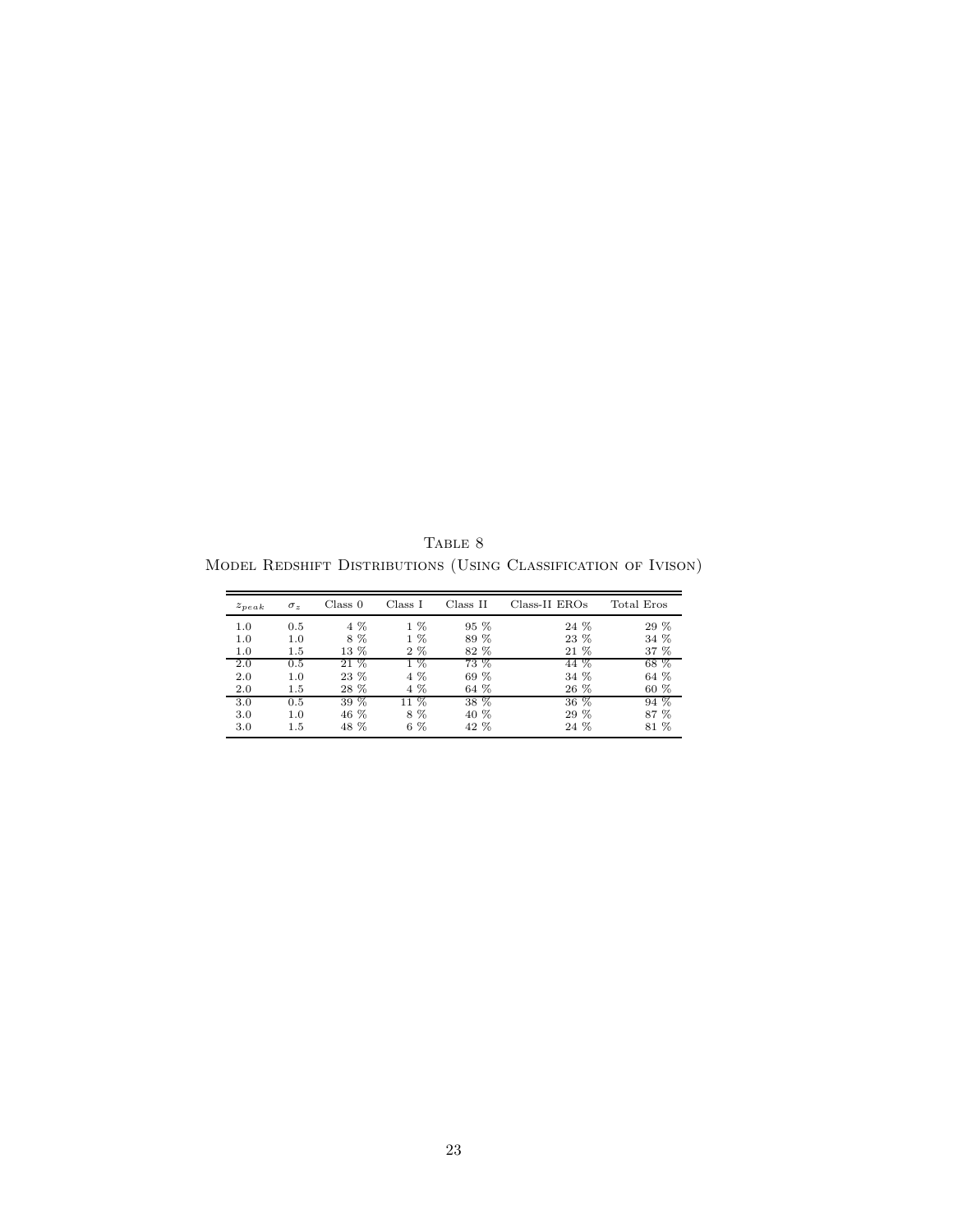TABLE  $\,$ Model Redshift Distributions (Using Classification of Ivison)

| $z_{peak}$ | $\sigma_z$ | Class 0 | Class I | Class II | Class-II EROs | Total Eros |
|------------|------------|---------|---------|----------|---------------|------------|
| 1.0        | 0.5        | 4 %     | $1\%$   | 95 %     | 24 %          | 29 %       |
| 1.0        | 1.0        | 8 %     | $1\%$   | 89 %     | 23 %          | 34 %       |
| 1.0        | 1.5        | 13 %    | $2\%$   | 82 %     | 21 %          | 37 %       |
| 2.0        | 0.5        | 21 %    | $1\%$   | 73 %     | 44 %          | 68 %       |
| 2.0        | 1.0        | 23 %    | 4 %     | 69 %     | 34 %          | 64 %       |
| 2.0        | 1.5        | 28 %    | 4 %     | 64 %     | 26 %          | 60 %       |
| 3.0        | 0.5        | $39\%$  | $11\%$  | 38 %     | $36\%$        | 94 %       |
| 3.0        | 1.0        | 46 %    | 8%      | 40 %     | 29 %          | 87 %       |
| 3.0        | 1.5        | 48 %    | $6\%$   | 42 %     | 24 %          | 81 %       |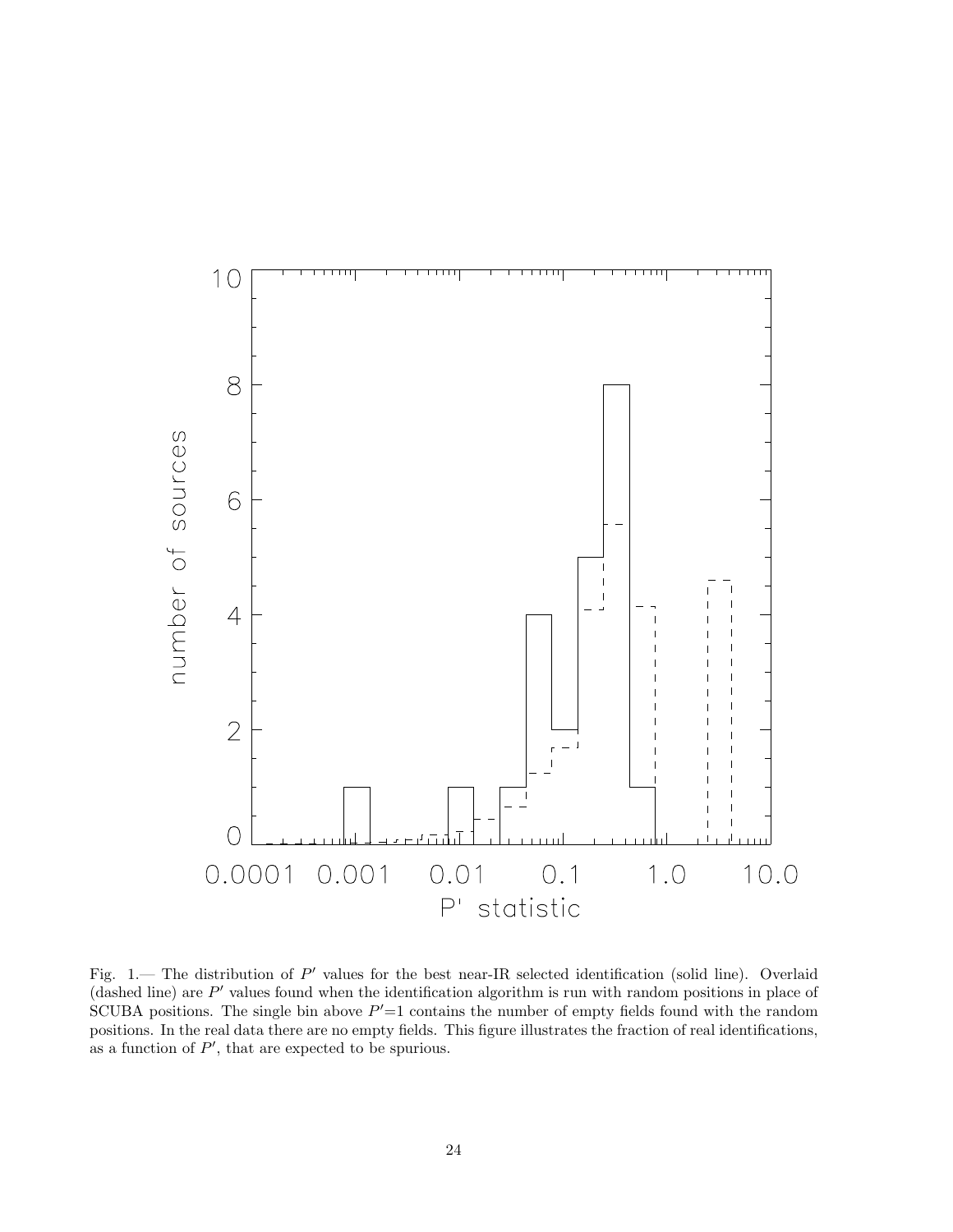

Fig. 1. The distribution of P' values for the best near-IR selected identification (solid line). Overlaid (dashed line) are  $P'$  values found when the identification algorithm is run with random positions in place of SCUBA positions. The single bin above  $P'=1$  contains the number of empty fields found with the random positions. In the real data there are no empty fields. This figure illustrates the fraction of real identifications, as a function of  $P'$ , that are expected to be spurious.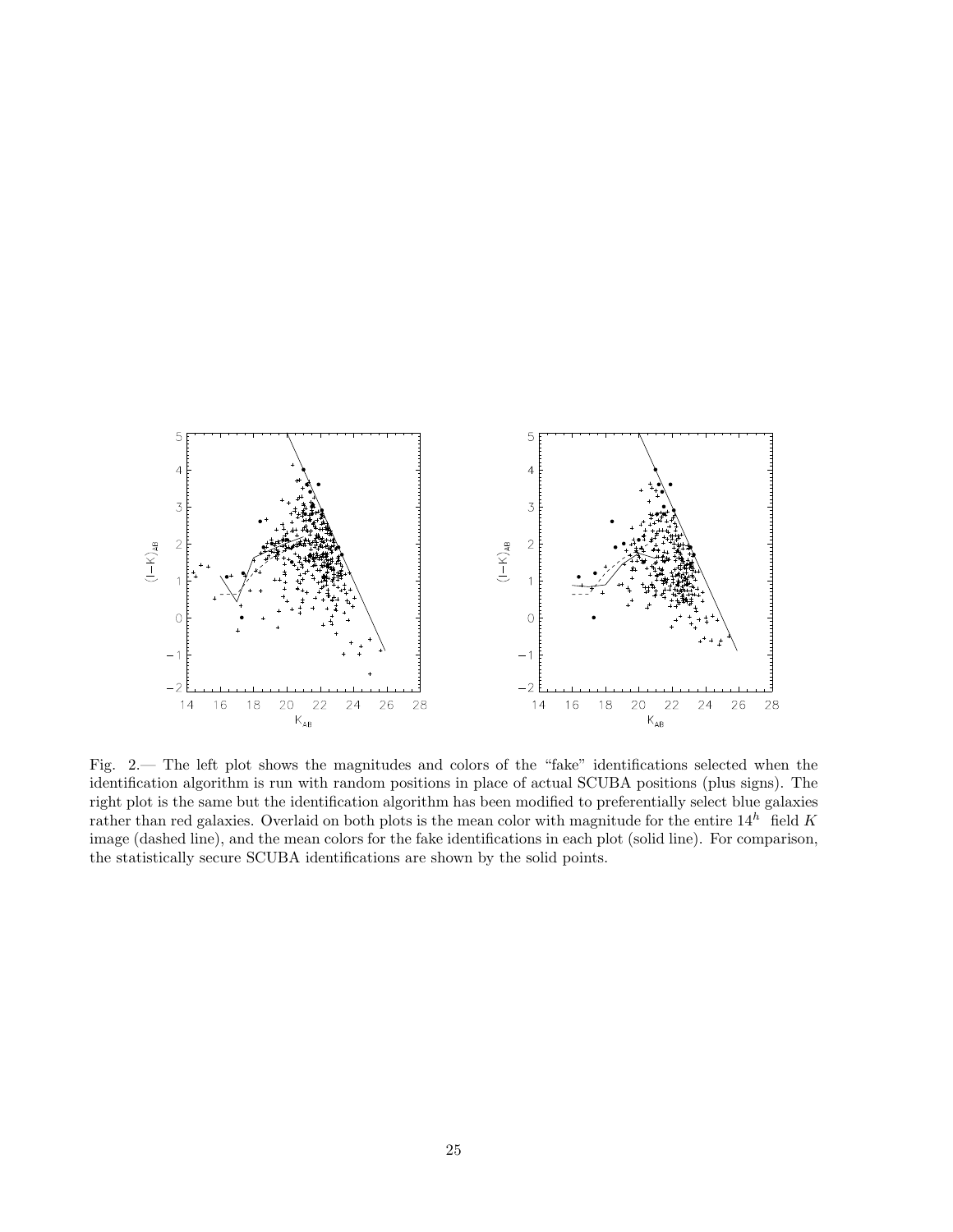

Fig. 2.— The left plot shows the magnitudes and colors of the "fake" identifications selected when the identification algorithm is run with random positions in place of actual SCUBA positions (plus signs). The right plot is the same but the identification algorithm has been modified to preferentially select blue galaxies rather than red galaxies. Overlaid on both plots is the mean color with magnitude for the entire  $14^h$  field K image (dashed line), and the mean colors for the fake identifications in each plot (solid line). For comparison, the statistically secure SCUBA identifications are shown by the solid points.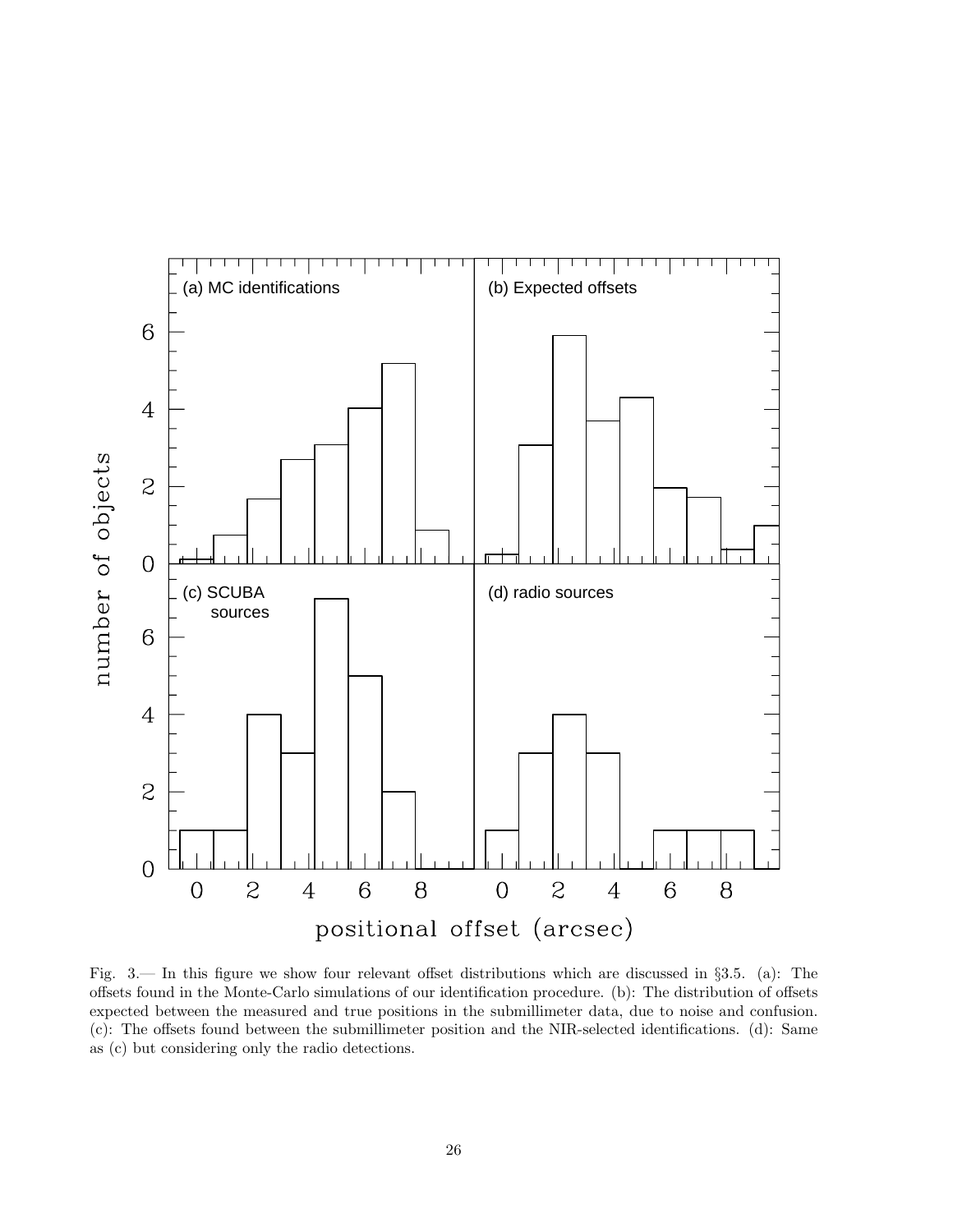

Fig. 3.— In this figure we show four relevant offset distributions which are discussed in §3.5. (a): The offsets found in the Monte-Carlo simulations of our identification procedure. (b): The distribution of offsets expected between the measured and true positions in the submillimeter data, due to noise and confusion. (c): The offsets found between the submillimeter position and the NIR-selected identifications. (d): Same as (c) but considering only the radio detections.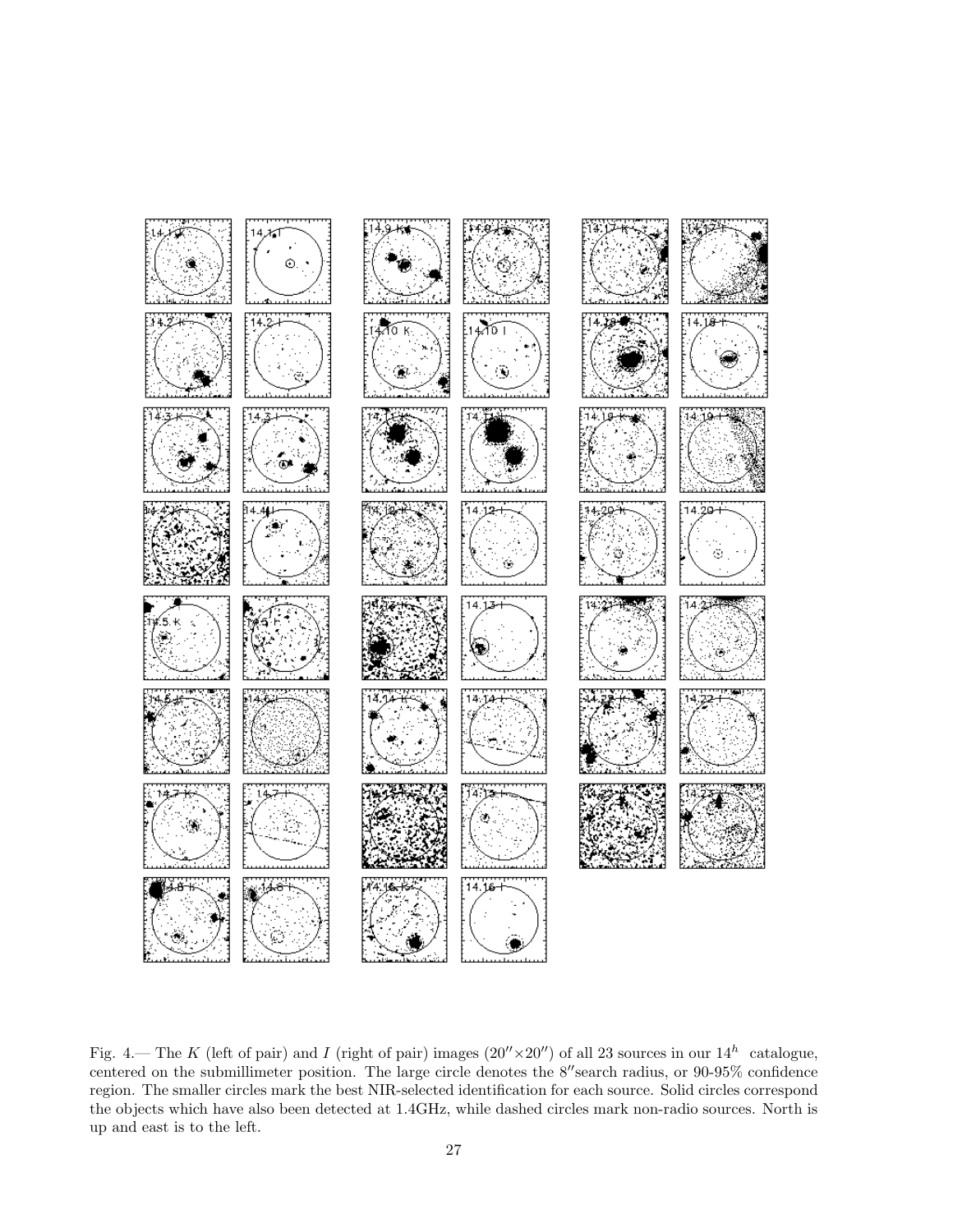

Fig. 4.— The K (left of pair) and I (right of pair) images  $(20'' \times 20'')$  of all 23 sources in our  $14^h$  catalogue, centered on the submillimeter position. The large circle denotes the  $8''$ search radius, or  $90\text{-}95\%$  confidence region. The smaller circles mark the best NIR-selected identification for each source. Solid circles correspond the objects which have also been detected at 1.4GHz, while dashed circles mark non-radio sources. North is up and east is to the left.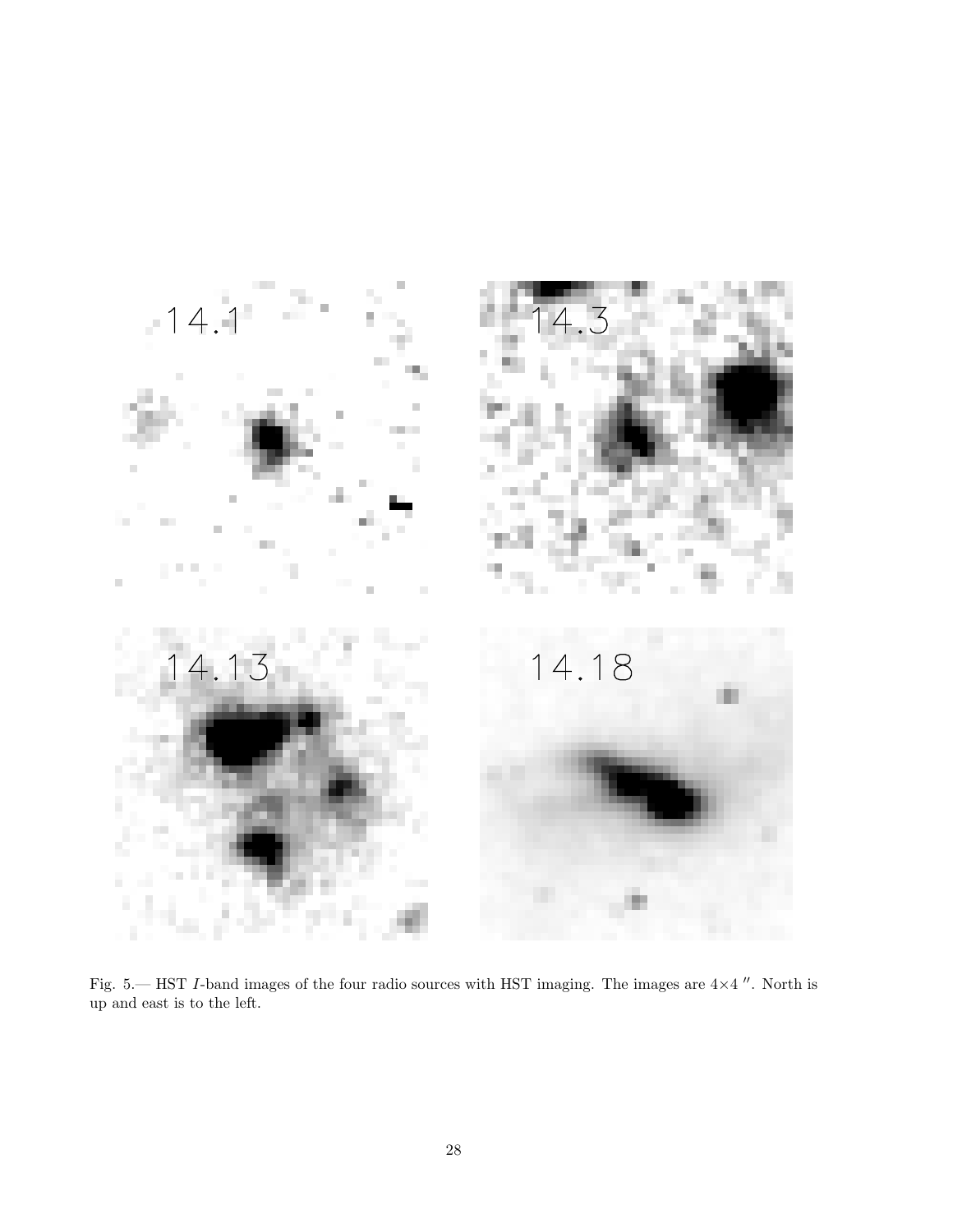

Fig. 5.— HST I-band images of the four radio sources with HST imaging. The images are  $4\times4$  ". North is up and east is to the left.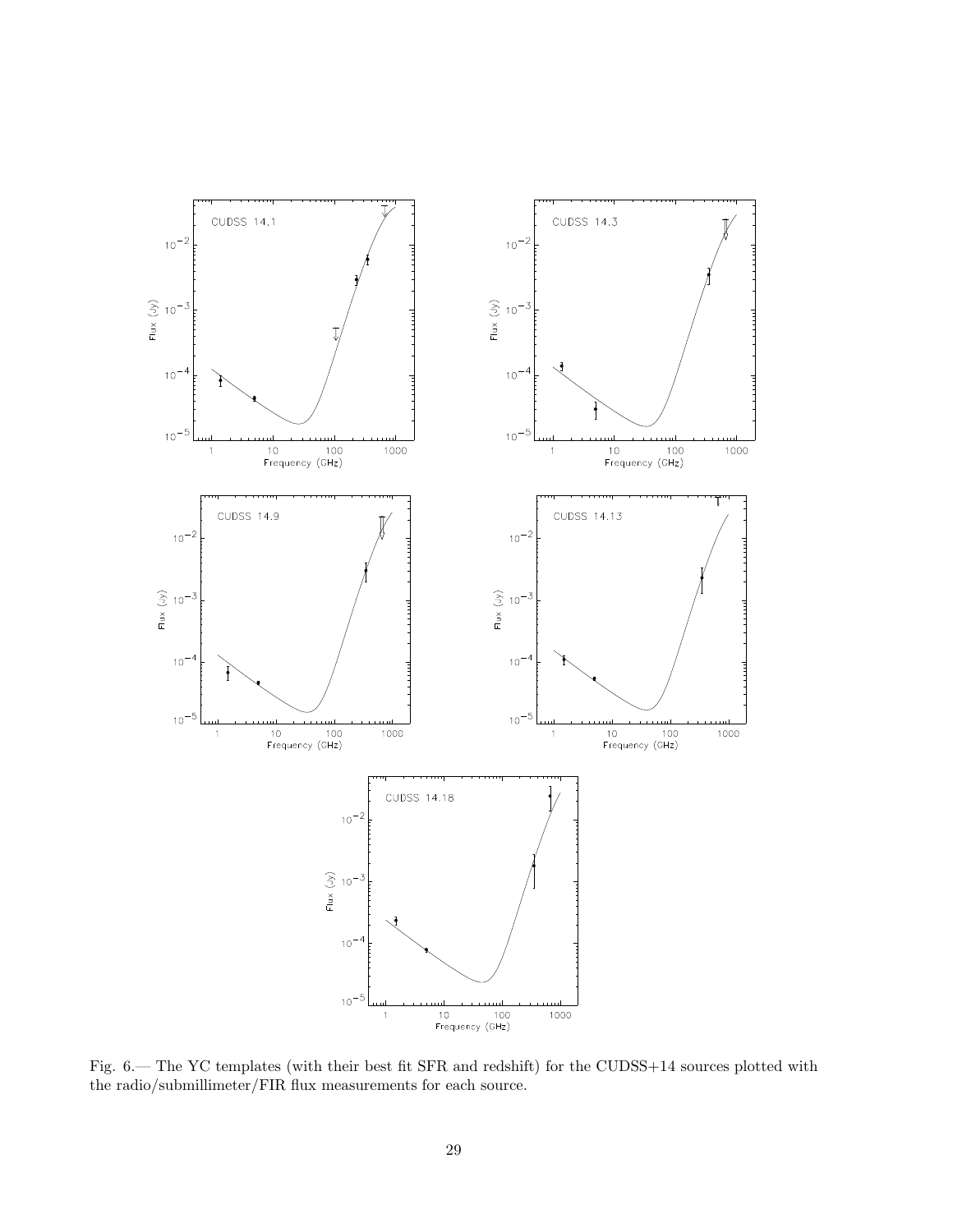

Fig. 6.— The YC templates (with their best fit SFR and redshift) for the CUDSS+14 sources plotted with the radio/submillimeter/FIR flux measurements for each source.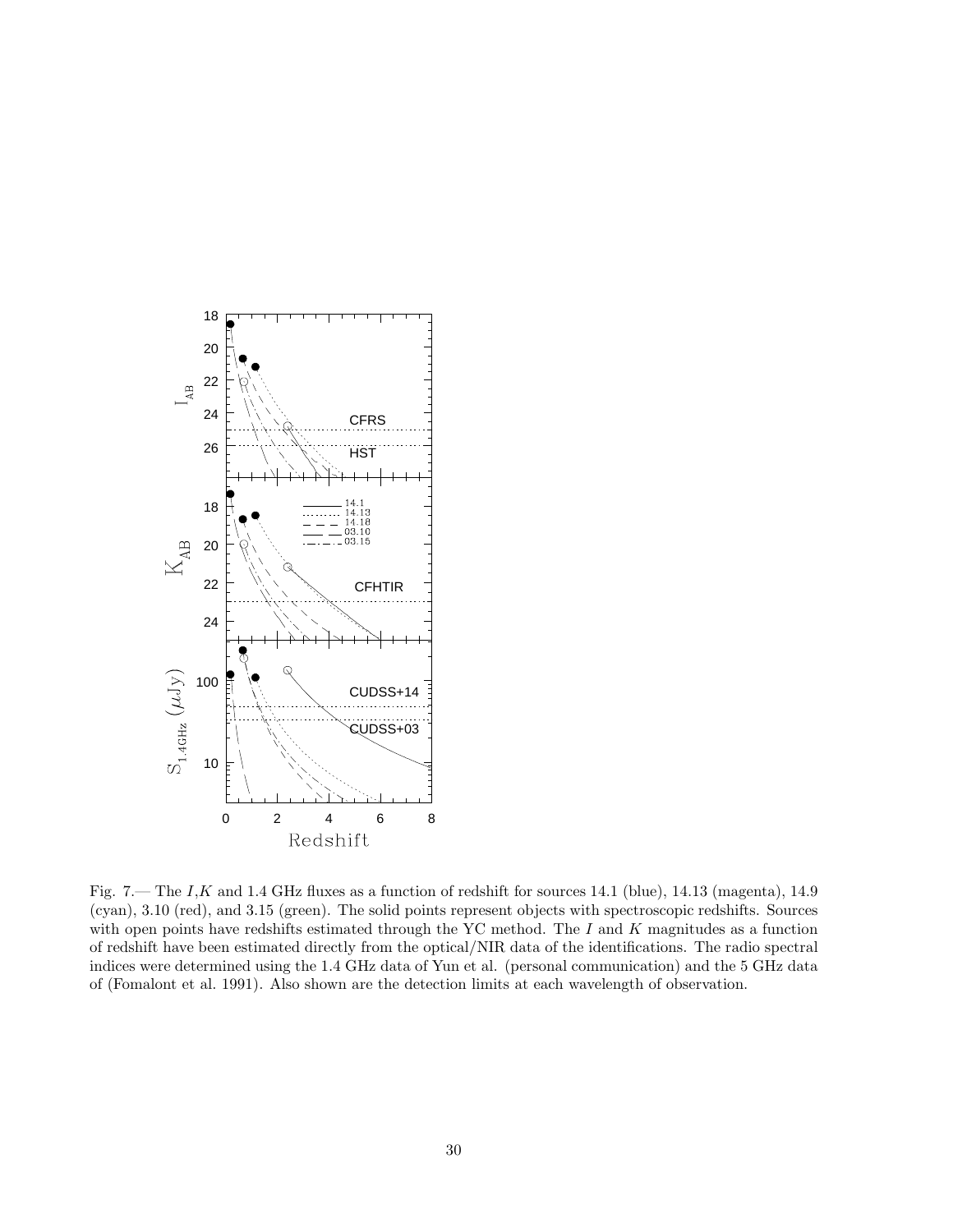

Fig. 7.— The I,K and 1.4 GHz fluxes as a function of redshift for sources 14.1 (blue), 14.13 (magenta), 14.9 (cyan), 3.10 (red), and 3.15 (green). The solid points represent objects with spectroscopic redshifts. Sources with open points have redshifts estimated through the YC method. The  $I$  and  $K$  magnitudes as a function of redshift have been estimated directly from the optical/NIR data of the identifications. The radio spectral indices were determined using the 1.4 GHz data of Yun et al. (personal communication) and the 5 GHz data of (Fomalont et al. 1991). Also shown are the detection limits at each wavelength of observation.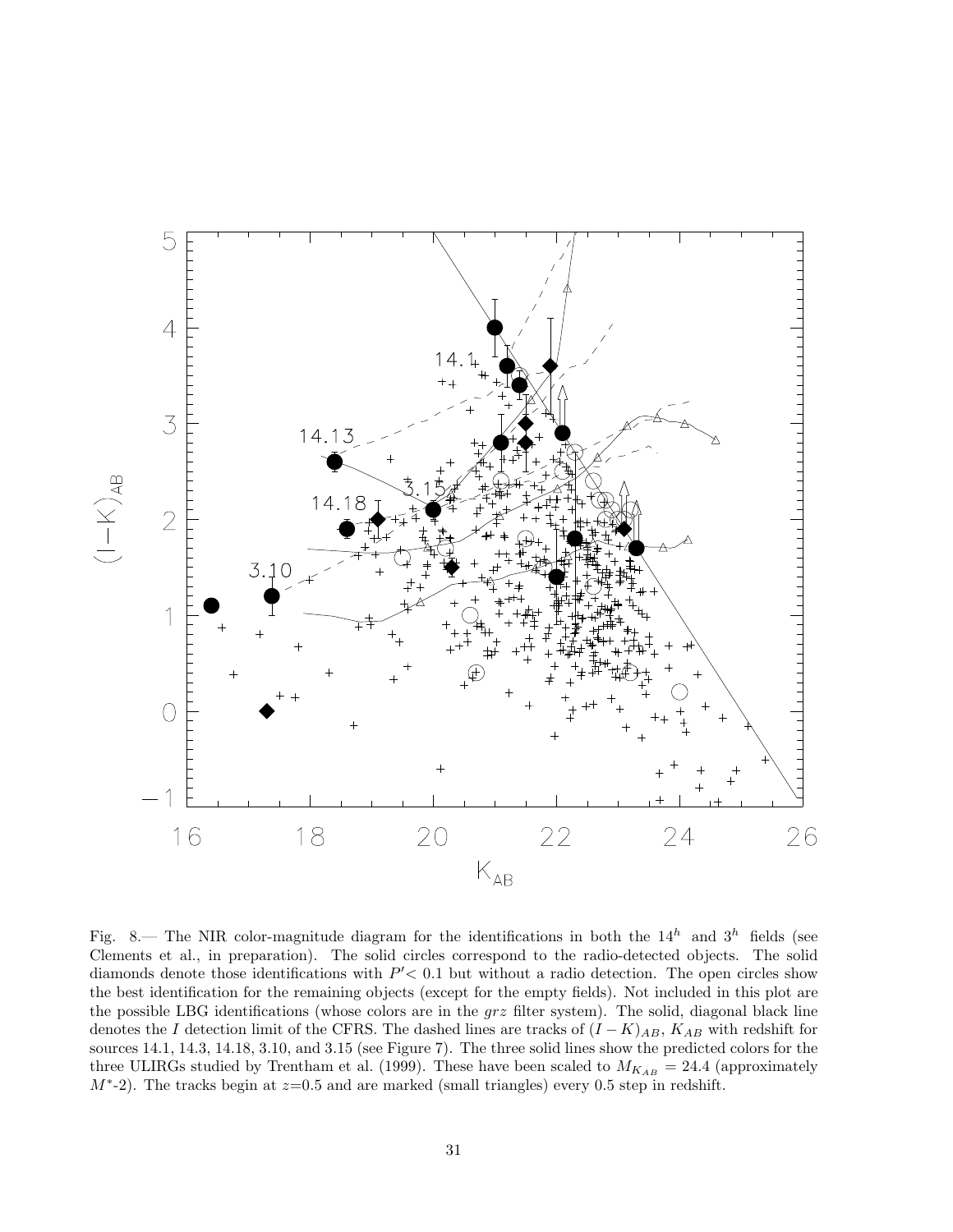

Fig. 8.— The NIR color-magnitude diagram for the identifications in both the  $14^h$  and  $3^h$  fields (see Clements et al., in preparation). The solid circles correspond to the radio-detected objects. The solid diamonds denote those identifications with  $P' < 0.1$  but without a radio detection. The open circles show the best identification for the remaining objects (except for the empty fields). Not included in this plot are the possible LBG identifications (whose colors are in the  $grz$  filter system). The solid, diagonal black line denotes the I detection limit of the CFRS. The dashed lines are tracks of  $(I - K)_{AB}$ ,  $K_{AB}$  with redshift for sources 14.1, 14.3, 14.18, 3.10, and 3.15 (see Figure 7). The three solid lines show the predicted colors for the three ULIRGs studied by Trentham et al. (1999). These have been scaled to  $M_{K_{AB}} = 24.4$  (approximately  $M^*$ -2). The tracks begin at  $z=0.5$  and are marked (small triangles) every 0.5 step in redshift.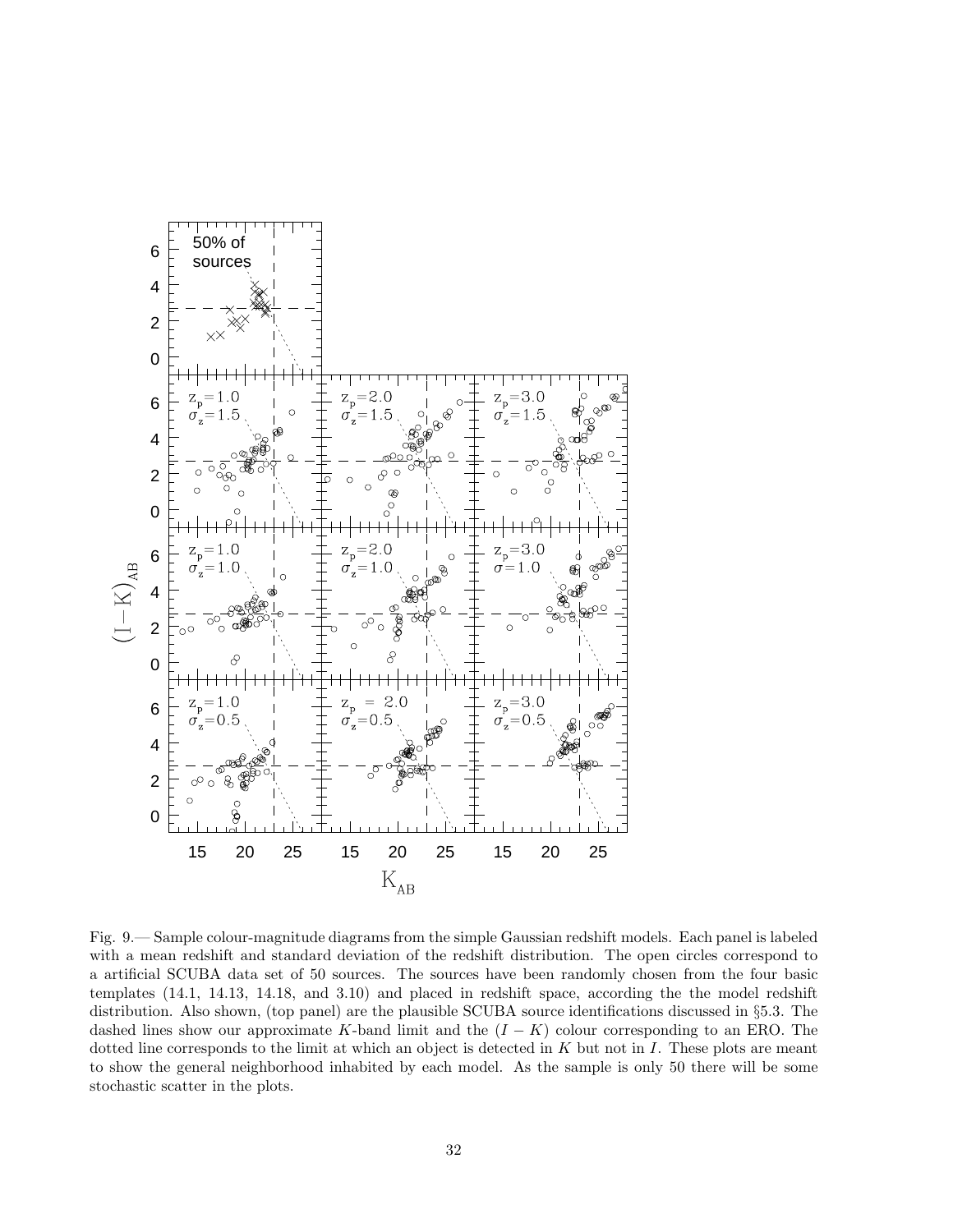

Fig. 9.— Sample colour-magnitude diagrams from the simple Gaussian redshift models. Each panel is labeled with a mean redshift and standard deviation of the redshift distribution. The open circles correspond to a artificial SCUBA data set of 50 sources. The sources have been randomly chosen from the four basic templates (14.1, 14.13, 14.18, and 3.10) and placed in redshift space, according the the model redshift distribution. Also shown, (top panel) are the plausible SCUBA source identifications discussed in §5.3. The dashed lines show our approximate K-band limit and the  $(I - K)$  colour corresponding to an ERO. The dotted line corresponds to the limit at which an object is detected in  $K$  but not in  $I$ . These plots are meant to show the general neighborhood inhabited by each model. As the sample is only 50 there will be some stochastic scatter in the plots.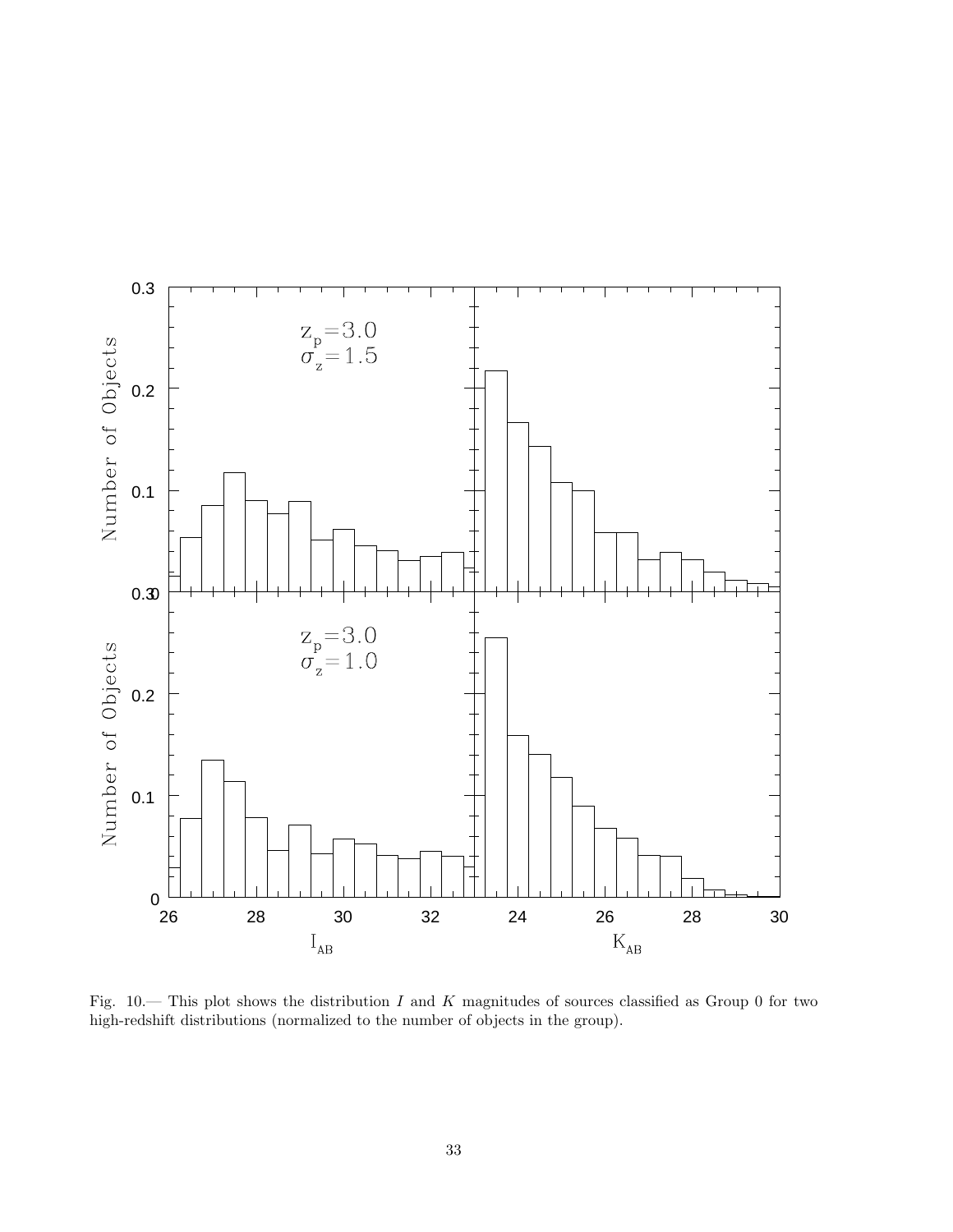

Fig.  $10$ — This plot shows the distribution I and K magnitudes of sources classified as Group 0 for two high-redshift distributions (normalized to the number of objects in the group).